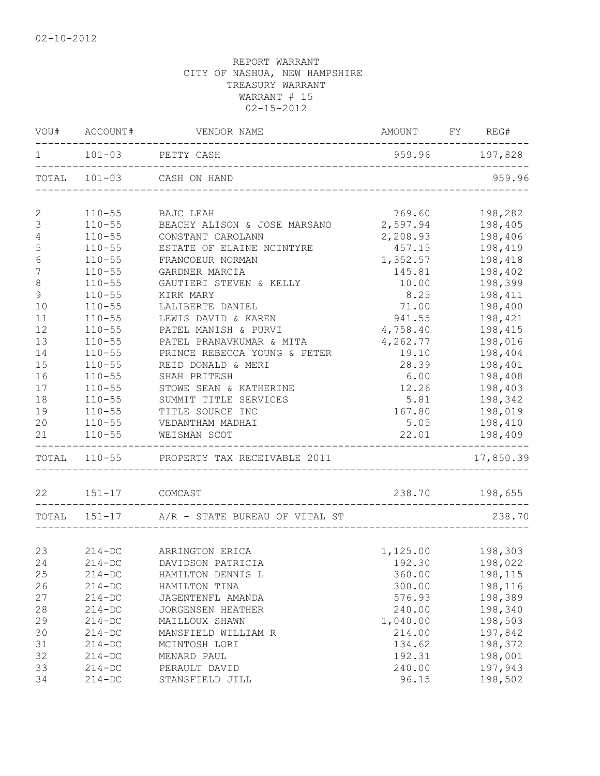|                 | VOU# ACCOUNT#  | VENDOR NAME                                 | AMOUNT FY                         | REG#           |
|-----------------|----------------|---------------------------------------------|-----------------------------------|----------------|
|                 |                | 101-03 PETTY CASH                           | 959.96 197,828                    |                |
|                 |                | TOTAL 101-03 CASH ON HAND                   |                                   | 959.96         |
| $\mathbf{2}$    | $110 - 55$     | BAJC LEAH                                   | 769.60                            | 198,282        |
| $\mathsf 3$     | $110 - 55$     | BEACHY ALISON & JOSE MARSANO                | 2,597.94                          | 198,405        |
| 4               | $110 - 55$     | CONSTANT CAROLANN                           | 2,208.93                          | 198,406        |
| $\mathsf S$     | $110 - 55$     | ESTATE OF ELAINE NCINTYRE                   | 457.15                            | 198,419        |
| $\sqrt{6}$      | $110 - 55$     | FRANCOEUR NORMAN                            | 1,352.57                          | 198,418        |
| $7\phantom{.0}$ | $110 - 55$     | GARDNER MARCIA                              | 145.81                            | 198,402        |
| $\,8\,$         | $110 - 55$     | GAUTIERI STEVEN & KELLY                     | 10.00                             | 198,399        |
| $\mathcal{G}$   | $110 - 55$     | KIRK MARY                                   | 8.25                              | 198,411        |
| 10              | $110 - 55$     | LALIBERTE DANIEL                            | 71.00                             | 198,400        |
| 11              | $110 - 55$     | LEWIS DAVID & KAREN                         | 941.55                            | 198,421        |
| 12              | $110 - 55$     | PATEL MANISH & PURVI                        | 4,758.40                          | 198,415        |
| 13              | $110 - 55$     | PATEL PRANAVKUMAR & MITA                    | 4,262.77                          | 198,016        |
| 14              | $110 - 55$     | PRINCE REBECCA YOUNG & PETER                | 19.10                             | 198,404        |
| 15              | $110 - 55$     | REID DONALD & MERI                          | 28.39                             | 198,401        |
| 16              | $110 - 55$     | SHAH PRITESH                                | 6.00                              | 198,408        |
| 17              | $110 - 55$     | STOWE SEAN & KATHERINE                      | 12.26                             | 198,403        |
| 18              | $110 - 55$     | SUMMIT TITLE SERVICES                       | 5.81                              | 198,342        |
| 19              | $110 - 55$     | TITLE SOURCE INC                            | 167.80                            | 198,019        |
| 20              | $110 - 55$     | VEDANTHAM MADHAI                            | 5.05                              | 198,410        |
| 21              | $110 - 55$     | WEISMAN SCOT                                | 22.01<br>______________________   | 198,409        |
|                 |                | TOTAL 110-55 PROPERTY TAX RECEIVABLE 2011   | _________________________________ | 17,850.39      |
| 22              | 151-17 COMCAST |                                             |                                   | 238.70 198,655 |
|                 |                | TOTAL 151-17 A/R - STATE BUREAU OF VITAL ST |                                   | 238.70         |
|                 |                |                                             |                                   |                |
| 23              | $214 - DC$     | ARRINGTON ERICA                             | 1,125.00 198,303                  |                |
| 24              | $214 - DC$     | DAVIDSON PATRICIA                           | 192.30                            | 198,022        |
| 25              | $214 - DC$     | HAMILTON DENNIS L                           | 360.00                            | 198,115        |
| 26              | $214 - DC$     | HAMILTON TINA                               | 300.00                            | 198,116        |
| 27              | $214 - DC$     | JAGENTENFL AMANDA                           | 576.93                            | 198,389        |
| 28              | $214 - DC$     | JORGENSEN HEATHER                           | 240.00                            | 198,340        |
| 29              | $214 - DC$     | MAILLOUX SHAWN                              | 1,040.00                          | 198,503        |
| 30              | $214 - DC$     | MANSFIELD WILLIAM R                         | 214.00                            | 197,842        |
| 31              | $214 - DC$     | MCINTOSH LORI                               | 134.62                            | 198,372        |
| 32              | $214 - DC$     | MENARD PAUL                                 | 192.31                            | 198,001        |
| 33              | $214 - DC$     | PERAULT DAVID                               | 240.00                            | 197,943        |
| 34              | $214 - DC$     | STANSFIELD JILL                             | 96.15                             | 198,502        |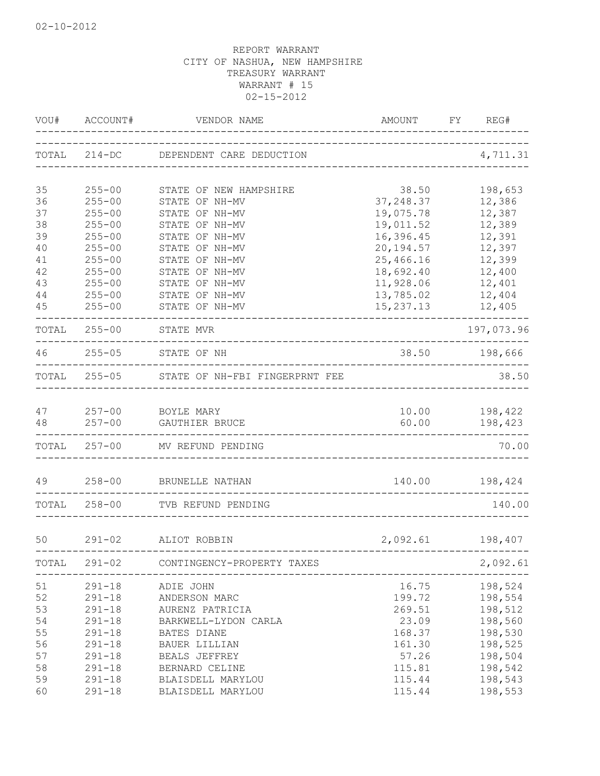| VOU#  | ACCOUNT#   | VENDOR NAME                                                    | AMOUNT<br>------------------------------------- | FY REG#                             |
|-------|------------|----------------------------------------------------------------|-------------------------------------------------|-------------------------------------|
|       |            | TOTAL 214-DC DEPENDENT CARE DEDUCTION                          | _____________________                           | 4,711.31                            |
| 35    | $255 - 00$ | STATE OF NEW HAMPSHIRE                                         | 38.50                                           | 198,653                             |
| 36    | $255 - 00$ | STATE OF NH-MV                                                 | 37, 248.37                                      | 12,386                              |
| 37    | $255 - 00$ | STATE OF NH-MV                                                 | 19,075.78                                       | 12,387                              |
| 38    | $255 - 00$ | STATE OF NH-MV                                                 | 19,011.52                                       | 12,389                              |
| 39    | $255 - 00$ | STATE OF NH-MV                                                 | 16,396.45                                       | 12,391                              |
| 40    | $255 - 00$ | STATE OF NH-MV                                                 | 20, 194.57                                      | 12,397                              |
| 41    | $255 - 00$ | STATE OF NH-MV                                                 | 25,466.16                                       | 12,399                              |
| 42    | $255 - 00$ | STATE OF NH-MV                                                 | 18,692.40                                       | 12,400                              |
| 43    | $255 - 00$ | STATE OF NH-MV                                                 | 11,928.06                                       | 12,401                              |
| 44    | $255 - 00$ | STATE OF NH-MV                                                 | 13,785.02                                       | 12,404                              |
| 45    | $255 - 00$ | STATE OF NH-MV                                                 | 15, 237. 13                                     | 12,405<br>. _ _ _ _ _ _ _ _ _ _ _ _ |
|       |            | TOTAL 255-00 STATE MVR                                         |                                                 | 197,073.96                          |
|       |            | 46 255-05 STATE OF NH                                          | 38.50 198,666                                   |                                     |
|       |            | TOTAL 255-05 STATE OF NH-FBI FINGERPRNT FEE                    |                                                 | 38.50                               |
| 47    |            | 257-00 BOYLE MARY                                              |                                                 | 10.00    198,422                    |
| 48    | $257 - 00$ | GAUTHIER BRUCE                                                 |                                                 | 60.00 198,423                       |
|       |            | TOTAL 257-00 MV REFUND PENDING                                 |                                                 | 70.00                               |
| 49    | $258 - 00$ | BRUNELLE NATHAN                                                | 140.00                                          | 198,424                             |
| TOTAL | $258 - 00$ | TVB REFUND PENDING                                             |                                                 | 140.00                              |
| 50    | $291 - 02$ | ALIOT ROBBIN                                                   | 2,092.61                                        | 198,407                             |
| TOTAL | $291 - 02$ | ________________________________<br>CONTINGENCY-PROPERTY TAXES |                                                 | 2,092.61                            |
| 51    | $291 - 18$ | ADIE JOHN                                                      | 16.75                                           | 198,524                             |
| 52    | $291 - 18$ | ANDERSON MARC                                                  | 199.72                                          | 198,554                             |
| 53    | $291 - 18$ | AURENZ PATRICIA                                                | 269.51                                          | 198,512                             |
| 54    | $291 - 18$ | BARKWELL-LYDON CARLA                                           | 23.09                                           | 198,560                             |
| 55    | $291 - 18$ | BATES DIANE                                                    | 168.37                                          | 198,530                             |
| 56    | $291 - 18$ | <b>BAUER LILLIAN</b>                                           | 161.30                                          | 198,525                             |
| 57    | $291 - 18$ | BEALS JEFFREY                                                  | 57.26                                           | 198,504                             |
| 58    | $291 - 18$ | BERNARD CELINE                                                 | 115.81                                          | 198,542                             |
| 59    | $291 - 18$ | BLAISDELL MARYLOU                                              | 115.44                                          | 198,543                             |
| 60    | $291 - 18$ | BLAISDELL MARYLOU                                              | 115.44                                          | 198,553                             |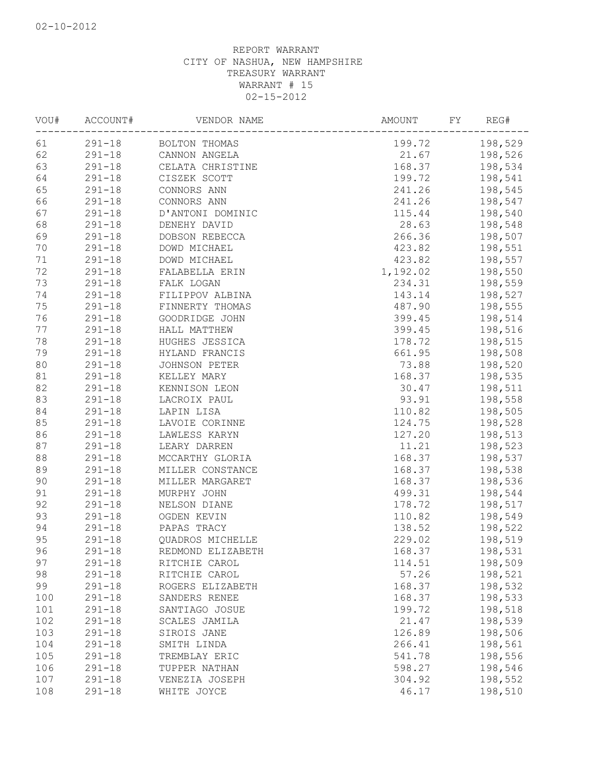| VOU#   | ACCOUNT#   | VENDOR NAME       | AMOUNT   | FY<br>REG# |
|--------|------------|-------------------|----------|------------|
| 61     | $291 - 18$ | BOLTON THOMAS     | 199.72   | 198,529    |
| 62     | $291 - 18$ | CANNON ANGELA     | 21.67    | 198,526    |
| 63     | $291 - 18$ | CELATA CHRISTINE  | 168.37   | 198,534    |
| 64     | $291 - 18$ | CISZEK SCOTT      | 199.72   | 198,541    |
| 65     | $291 - 18$ | CONNORS ANN       | 241.26   | 198,545    |
| 66     | $291 - 18$ | CONNORS ANN       | 241.26   | 198,547    |
| 67     | $291 - 18$ | D'ANTONI DOMINIC  | 115.44   | 198,540    |
| 68     | $291 - 18$ | DENEHY DAVID      | 28.63    | 198,548    |
| 69     | $291 - 18$ | DOBSON REBECCA    | 266.36   | 198,507    |
| 70     | $291 - 18$ | DOWD MICHAEL      | 423.82   | 198,551    |
| 71     | $291 - 18$ | DOWD MICHAEL      | 423.82   | 198,557    |
| 72     | $291 - 18$ | FALABELLA ERIN    | 1,192.02 | 198,550    |
| 73     | $291 - 18$ | FALK LOGAN        | 234.31   | 198,559    |
| 74     | $291 - 18$ | FILIPPOV ALBINA   | 143.14   | 198,527    |
| 75     | $291 - 18$ | FINNERTY THOMAS   | 487.90   | 198,555    |
| 76     | $291 - 18$ | GOODRIDGE JOHN    | 399.45   | 198,514    |
| 77     | $291 - 18$ | HALL MATTHEW      | 399.45   | 198,516    |
| 78     | $291 - 18$ | HUGHES JESSICA    | 178.72   | 198,515    |
| 79     | $291 - 18$ | HYLAND FRANCIS    | 661.95   | 198,508    |
| 80     | $291 - 18$ | JOHNSON PETER     | 73.88    | 198,520    |
| 81     | $291 - 18$ | KELLEY MARY       | 168.37   | 198,535    |
| 82     | $291 - 18$ | KENNISON LEON     | 30.47    | 198,511    |
| 83     | $291 - 18$ | LACROIX PAUL      | 93.91    | 198,558    |
| 84     | $291 - 18$ | LAPIN LISA        | 110.82   | 198,505    |
| 85     | $291 - 18$ | LAVOIE CORINNE    | 124.75   | 198,528    |
| 86     | $291 - 18$ | LAWLESS KARYN     | 127.20   | 198,513    |
| 87     | $291 - 18$ | LEARY DARREN      | 11.21    | 198,523    |
| $8\,8$ | $291 - 18$ | MCCARTHY GLORIA   | 168.37   | 198,537    |
| 89     | $291 - 18$ | MILLER CONSTANCE  | 168.37   | 198,538    |
| 90     | $291 - 18$ | MILLER MARGARET   | 168.37   | 198,536    |
| 91     | $291 - 18$ | MURPHY JOHN       | 499.31   | 198,544    |
| 92     | $291 - 18$ | NELSON DIANE      | 178.72   | 198,517    |
| 93     | $291 - 18$ | OGDEN KEVIN       | 110.82   | 198,549    |
| 94     | $291 - 18$ | PAPAS TRACY       | 138.52   | 198,522    |
| 95     | $291 - 18$ | QUADROS MICHELLE  | 229.02   | 198,519    |
| 96     | $291 - 18$ | REDMOND ELIZABETH | 168.37   | 198,531    |
| 97     | $291 - 18$ | RITCHIE CAROL     | 114.51   | 198,509    |
| 98     | $291 - 18$ | RITCHIE CAROL     | 57.26    | 198,521    |
| 99     | $291 - 18$ |                   | 168.37   |            |
|        |            | ROGERS ELIZABETH  |          | 198,532    |
| 100    | $291 - 18$ | SANDERS RENEE     | 168.37   | 198,533    |
| 101    | $291 - 18$ | SANTIAGO JOSUE    | 199.72   | 198,518    |
| 102    | $291 - 18$ | SCALES JAMILA     | 21.47    | 198,539    |
| 103    | $291 - 18$ | SIROIS JANE       | 126.89   | 198,506    |
| 104    | $291 - 18$ | SMITH LINDA       | 266.41   | 198,561    |
| 105    | $291 - 18$ | TREMBLAY ERIC     | 541.78   | 198,556    |
| 106    | $291 - 18$ | TUPPER NATHAN     | 598.27   | 198,546    |
| 107    | $291 - 18$ | VENEZIA JOSEPH    | 304.92   | 198,552    |
| 108    | $291 - 18$ | WHITE JOYCE       | 46.17    | 198,510    |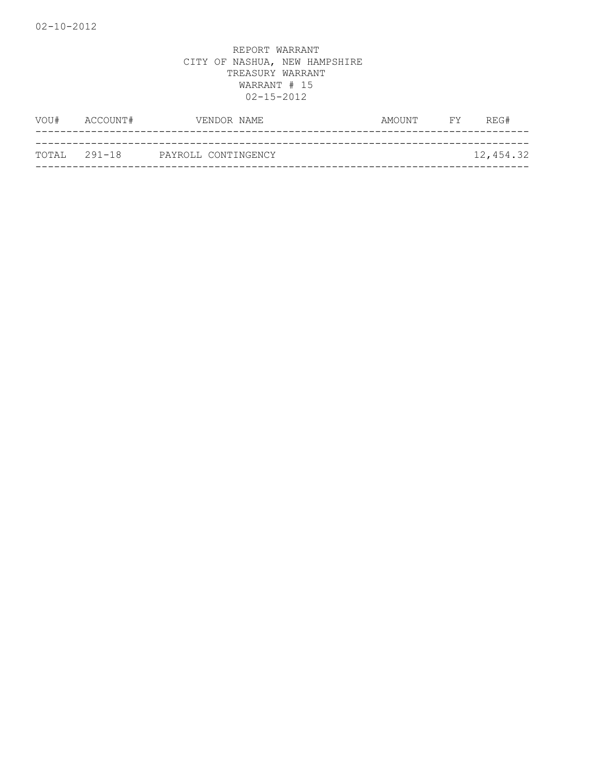| VOU#         | ACCOUNT#            | VENDOR NAME | AMOUNT | <b>FY</b> | REG#      |
|--------------|---------------------|-------------|--------|-----------|-----------|
|              |                     |             |        |           |           |
| TOTAL 291-18 | PAYROLL CONTINGENCY |             |        |           | 12,454.32 |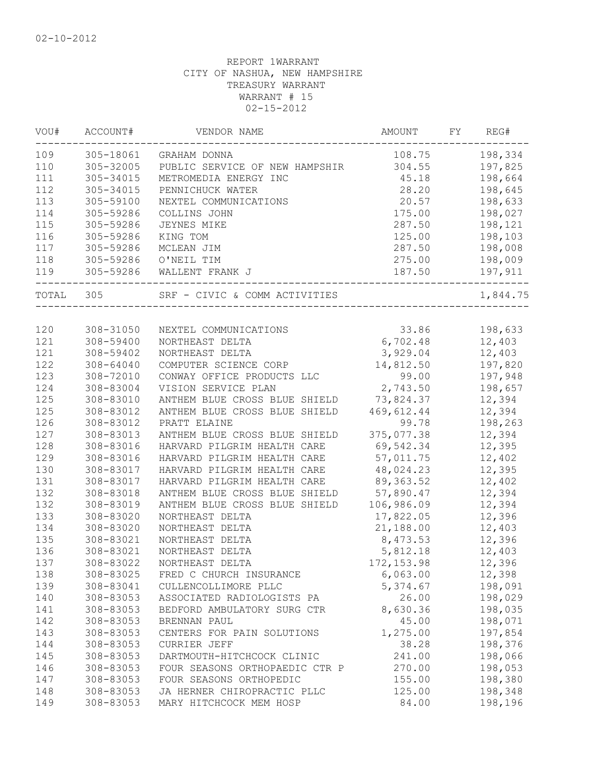| 109<br>305-18061<br>108.75<br>GRAHAM DONNA<br>110<br>305-32005<br>304.55<br>PUBLIC SERVICE OF NEW HAMPSHIR<br>111<br>305-34015<br>45.18<br>METROMEDIA ENERGY INC<br>112<br>305-34015<br>28.20<br>PENNICHUCK WATER<br>113<br>305-59100<br>20.57<br>NEXTEL COMMUNICATIONS<br>114<br>305-59286<br>175.00<br>COLLINS JOHN<br>115<br>305-59286<br>287.50<br>JEYNES MIKE<br>116<br>125.00<br>305-59286<br>KING TOM<br>287.50<br>117<br>305-59286<br>MCLEAN JIM<br>118<br>305-59286<br>O'NEIL TIM<br>275.00<br>305-59286<br>119<br>WALLENT FRANK J<br>187.50<br>TOTAL<br>305<br>SRF - CIVIC & COMM ACTIVITIES<br>120<br>308-31050<br>33.86<br>NEXTEL COMMUNICATIONS<br>121<br>6,702.48<br>308-59400<br>NORTHEAST DELTA<br>3,929.04<br>121<br>308-59402<br>NORTHEAST DELTA<br>14,812.50<br>122<br>$308 - 64040$<br>COMPUTER SCIENCE CORP<br>123<br>99.00<br>308-72010<br>CONWAY OFFICE PRODUCTS LLC<br>2,743.50<br>124<br>308-83004<br>VISION SERVICE PLAN<br>125<br>308-83010<br>ANTHEM BLUE CROSS BLUE SHIELD<br>73,824.37<br>125<br>469,612.44<br>308-83012<br>ANTHEM BLUE CROSS BLUE SHIELD<br>126<br>308-83012<br>PRATT ELAINE<br>99.78<br>127<br>308-83013<br>375,077.38<br>ANTHEM BLUE CROSS BLUE SHIELD<br>128<br>69,542.34<br>308-83016<br>HARVARD PILGRIM HEALTH CARE<br>129<br>308-83016<br>57,011.75<br>HARVARD PILGRIM HEALTH CARE | 198,334<br>197,825<br>198,664<br>198,645<br>198,633<br>198,027<br>198,121<br>198,103<br>198,008 |
|-----------------------------------------------------------------------------------------------------------------------------------------------------------------------------------------------------------------------------------------------------------------------------------------------------------------------------------------------------------------------------------------------------------------------------------------------------------------------------------------------------------------------------------------------------------------------------------------------------------------------------------------------------------------------------------------------------------------------------------------------------------------------------------------------------------------------------------------------------------------------------------------------------------------------------------------------------------------------------------------------------------------------------------------------------------------------------------------------------------------------------------------------------------------------------------------------------------------------------------------------------------------------------------------------------------------------------------------|-------------------------------------------------------------------------------------------------|
|                                                                                                                                                                                                                                                                                                                                                                                                                                                                                                                                                                                                                                                                                                                                                                                                                                                                                                                                                                                                                                                                                                                                                                                                                                                                                                                                         |                                                                                                 |
|                                                                                                                                                                                                                                                                                                                                                                                                                                                                                                                                                                                                                                                                                                                                                                                                                                                                                                                                                                                                                                                                                                                                                                                                                                                                                                                                         |                                                                                                 |
|                                                                                                                                                                                                                                                                                                                                                                                                                                                                                                                                                                                                                                                                                                                                                                                                                                                                                                                                                                                                                                                                                                                                                                                                                                                                                                                                         |                                                                                                 |
|                                                                                                                                                                                                                                                                                                                                                                                                                                                                                                                                                                                                                                                                                                                                                                                                                                                                                                                                                                                                                                                                                                                                                                                                                                                                                                                                         |                                                                                                 |
|                                                                                                                                                                                                                                                                                                                                                                                                                                                                                                                                                                                                                                                                                                                                                                                                                                                                                                                                                                                                                                                                                                                                                                                                                                                                                                                                         |                                                                                                 |
|                                                                                                                                                                                                                                                                                                                                                                                                                                                                                                                                                                                                                                                                                                                                                                                                                                                                                                                                                                                                                                                                                                                                                                                                                                                                                                                                         |                                                                                                 |
|                                                                                                                                                                                                                                                                                                                                                                                                                                                                                                                                                                                                                                                                                                                                                                                                                                                                                                                                                                                                                                                                                                                                                                                                                                                                                                                                         |                                                                                                 |
|                                                                                                                                                                                                                                                                                                                                                                                                                                                                                                                                                                                                                                                                                                                                                                                                                                                                                                                                                                                                                                                                                                                                                                                                                                                                                                                                         |                                                                                                 |
|                                                                                                                                                                                                                                                                                                                                                                                                                                                                                                                                                                                                                                                                                                                                                                                                                                                                                                                                                                                                                                                                                                                                                                                                                                                                                                                                         |                                                                                                 |
|                                                                                                                                                                                                                                                                                                                                                                                                                                                                                                                                                                                                                                                                                                                                                                                                                                                                                                                                                                                                                                                                                                                                                                                                                                                                                                                                         | 198,009                                                                                         |
|                                                                                                                                                                                                                                                                                                                                                                                                                                                                                                                                                                                                                                                                                                                                                                                                                                                                                                                                                                                                                                                                                                                                                                                                                                                                                                                                         | 197,911                                                                                         |
|                                                                                                                                                                                                                                                                                                                                                                                                                                                                                                                                                                                                                                                                                                                                                                                                                                                                                                                                                                                                                                                                                                                                                                                                                                                                                                                                         | 1,844.75                                                                                        |
|                                                                                                                                                                                                                                                                                                                                                                                                                                                                                                                                                                                                                                                                                                                                                                                                                                                                                                                                                                                                                                                                                                                                                                                                                                                                                                                                         |                                                                                                 |
|                                                                                                                                                                                                                                                                                                                                                                                                                                                                                                                                                                                                                                                                                                                                                                                                                                                                                                                                                                                                                                                                                                                                                                                                                                                                                                                                         | 198,633                                                                                         |
|                                                                                                                                                                                                                                                                                                                                                                                                                                                                                                                                                                                                                                                                                                                                                                                                                                                                                                                                                                                                                                                                                                                                                                                                                                                                                                                                         | 12,403                                                                                          |
|                                                                                                                                                                                                                                                                                                                                                                                                                                                                                                                                                                                                                                                                                                                                                                                                                                                                                                                                                                                                                                                                                                                                                                                                                                                                                                                                         | 12,403                                                                                          |
|                                                                                                                                                                                                                                                                                                                                                                                                                                                                                                                                                                                                                                                                                                                                                                                                                                                                                                                                                                                                                                                                                                                                                                                                                                                                                                                                         | 197,820                                                                                         |
|                                                                                                                                                                                                                                                                                                                                                                                                                                                                                                                                                                                                                                                                                                                                                                                                                                                                                                                                                                                                                                                                                                                                                                                                                                                                                                                                         | 197,948                                                                                         |
|                                                                                                                                                                                                                                                                                                                                                                                                                                                                                                                                                                                                                                                                                                                                                                                                                                                                                                                                                                                                                                                                                                                                                                                                                                                                                                                                         | 198,657                                                                                         |
|                                                                                                                                                                                                                                                                                                                                                                                                                                                                                                                                                                                                                                                                                                                                                                                                                                                                                                                                                                                                                                                                                                                                                                                                                                                                                                                                         | 12,394                                                                                          |
|                                                                                                                                                                                                                                                                                                                                                                                                                                                                                                                                                                                                                                                                                                                                                                                                                                                                                                                                                                                                                                                                                                                                                                                                                                                                                                                                         | 12,394                                                                                          |
|                                                                                                                                                                                                                                                                                                                                                                                                                                                                                                                                                                                                                                                                                                                                                                                                                                                                                                                                                                                                                                                                                                                                                                                                                                                                                                                                         | 198,263                                                                                         |
|                                                                                                                                                                                                                                                                                                                                                                                                                                                                                                                                                                                                                                                                                                                                                                                                                                                                                                                                                                                                                                                                                                                                                                                                                                                                                                                                         | 12,394                                                                                          |
|                                                                                                                                                                                                                                                                                                                                                                                                                                                                                                                                                                                                                                                                                                                                                                                                                                                                                                                                                                                                                                                                                                                                                                                                                                                                                                                                         | 12,395                                                                                          |
|                                                                                                                                                                                                                                                                                                                                                                                                                                                                                                                                                                                                                                                                                                                                                                                                                                                                                                                                                                                                                                                                                                                                                                                                                                                                                                                                         | 12,402                                                                                          |
| 130<br>308-83017<br>HARVARD PILGRIM HEALTH CARE<br>48,024.23                                                                                                                                                                                                                                                                                                                                                                                                                                                                                                                                                                                                                                                                                                                                                                                                                                                                                                                                                                                                                                                                                                                                                                                                                                                                            | 12,395                                                                                          |
| 131<br>308-83017<br>HARVARD PILGRIM HEALTH CARE<br>89, 363.52                                                                                                                                                                                                                                                                                                                                                                                                                                                                                                                                                                                                                                                                                                                                                                                                                                                                                                                                                                                                                                                                                                                                                                                                                                                                           | 12,402                                                                                          |
| 132<br>ANTHEM BLUE CROSS BLUE SHIELD<br>57,890.47<br>308-83018                                                                                                                                                                                                                                                                                                                                                                                                                                                                                                                                                                                                                                                                                                                                                                                                                                                                                                                                                                                                                                                                                                                                                                                                                                                                          | 12,394                                                                                          |
| 132<br>308-83019<br>ANTHEM BLUE CROSS BLUE SHIELD<br>106,986.09                                                                                                                                                                                                                                                                                                                                                                                                                                                                                                                                                                                                                                                                                                                                                                                                                                                                                                                                                                                                                                                                                                                                                                                                                                                                         | 12,394                                                                                          |
| 133<br>308-83020<br>17,822.05<br>NORTHEAST DELTA                                                                                                                                                                                                                                                                                                                                                                                                                                                                                                                                                                                                                                                                                                                                                                                                                                                                                                                                                                                                                                                                                                                                                                                                                                                                                        | 12,396                                                                                          |
| 134<br>308-83020<br>NORTHEAST DELTA<br>21,188.00                                                                                                                                                                                                                                                                                                                                                                                                                                                                                                                                                                                                                                                                                                                                                                                                                                                                                                                                                                                                                                                                                                                                                                                                                                                                                        | 12,403                                                                                          |
| 135<br>8,473.53<br>308-83021<br>NORTHEAST DELTA                                                                                                                                                                                                                                                                                                                                                                                                                                                                                                                                                                                                                                                                                                                                                                                                                                                                                                                                                                                                                                                                                                                                                                                                                                                                                         | 12,396                                                                                          |
| 136<br>308-83021<br>NORTHEAST DELTA<br>5,812.18                                                                                                                                                                                                                                                                                                                                                                                                                                                                                                                                                                                                                                                                                                                                                                                                                                                                                                                                                                                                                                                                                                                                                                                                                                                                                         | 12,403                                                                                          |
| 137<br>308-83022<br>NORTHEAST DELTA<br>172, 153.98                                                                                                                                                                                                                                                                                                                                                                                                                                                                                                                                                                                                                                                                                                                                                                                                                                                                                                                                                                                                                                                                                                                                                                                                                                                                                      | 12,396                                                                                          |
| 308-83025<br>138<br>FRED C CHURCH INSURANCE<br>6,063.00                                                                                                                                                                                                                                                                                                                                                                                                                                                                                                                                                                                                                                                                                                                                                                                                                                                                                                                                                                                                                                                                                                                                                                                                                                                                                 | 12,398                                                                                          |
| 139<br>308-83041<br>CULLENCOLLIMORE PLLC<br>5,374.67                                                                                                                                                                                                                                                                                                                                                                                                                                                                                                                                                                                                                                                                                                                                                                                                                                                                                                                                                                                                                                                                                                                                                                                                                                                                                    | 198,091                                                                                         |
| 26.00<br>140<br>308-83053<br>ASSOCIATED RADIOLOGISTS PA                                                                                                                                                                                                                                                                                                                                                                                                                                                                                                                                                                                                                                                                                                                                                                                                                                                                                                                                                                                                                                                                                                                                                                                                                                                                                 | 198,029                                                                                         |
| 141<br>308-83053<br>BEDFORD AMBULATORY SURG CTR<br>8,630.36                                                                                                                                                                                                                                                                                                                                                                                                                                                                                                                                                                                                                                                                                                                                                                                                                                                                                                                                                                                                                                                                                                                                                                                                                                                                             | 198,035                                                                                         |
| 142<br>45.00<br>308-83053<br>BRENNAN PAUL                                                                                                                                                                                                                                                                                                                                                                                                                                                                                                                                                                                                                                                                                                                                                                                                                                                                                                                                                                                                                                                                                                                                                                                                                                                                                               | 198,071                                                                                         |
| 143<br>308-83053<br>1,275.00<br>CENTERS FOR PAIN SOLUTIONS                                                                                                                                                                                                                                                                                                                                                                                                                                                                                                                                                                                                                                                                                                                                                                                                                                                                                                                                                                                                                                                                                                                                                                                                                                                                              | 197,854                                                                                         |
| 144<br>308-83053<br>38.28<br>CURRIER JEFF                                                                                                                                                                                                                                                                                                                                                                                                                                                                                                                                                                                                                                                                                                                                                                                                                                                                                                                                                                                                                                                                                                                                                                                                                                                                                               | 198,376                                                                                         |
| 145<br>308-83053<br>241.00<br>DARTMOUTH-HITCHCOCK CLINIC                                                                                                                                                                                                                                                                                                                                                                                                                                                                                                                                                                                                                                                                                                                                                                                                                                                                                                                                                                                                                                                                                                                                                                                                                                                                                | 198,066                                                                                         |
| 146<br>308-83053<br>270.00<br>FOUR SEASONS ORTHOPAEDIC CTR P                                                                                                                                                                                                                                                                                                                                                                                                                                                                                                                                                                                                                                                                                                                                                                                                                                                                                                                                                                                                                                                                                                                                                                                                                                                                            | 198,053                                                                                         |
| 147<br>308-83053<br>155.00<br>FOUR SEASONS ORTHOPEDIC                                                                                                                                                                                                                                                                                                                                                                                                                                                                                                                                                                                                                                                                                                                                                                                                                                                                                                                                                                                                                                                                                                                                                                                                                                                                                   | 198,380                                                                                         |
| 148<br>308-83053<br>JA HERNER CHIROPRACTIC PLLC<br>125.00                                                                                                                                                                                                                                                                                                                                                                                                                                                                                                                                                                                                                                                                                                                                                                                                                                                                                                                                                                                                                                                                                                                                                                                                                                                                               | 198,348                                                                                         |
| 149<br>308-83053<br>84.00<br>MARY HITCHCOCK MEM HOSP<br>198,196                                                                                                                                                                                                                                                                                                                                                                                                                                                                                                                                                                                                                                                                                                                                                                                                                                                                                                                                                                                                                                                                                                                                                                                                                                                                         |                                                                                                 |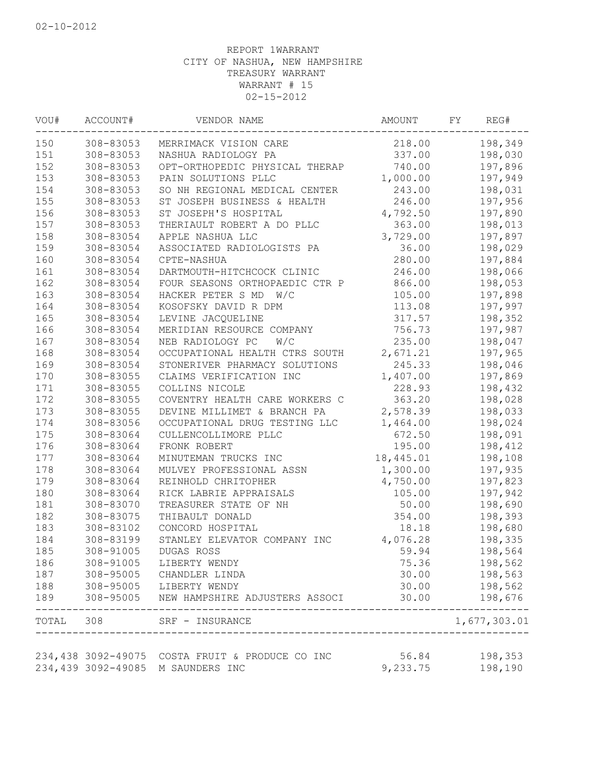| VOU#  | ACCOUNT#           | VENDOR NAME                    | AMOUNT    | FY | REG#         |
|-------|--------------------|--------------------------------|-----------|----|--------------|
| 150   | 308-83053          | MERRIMACK VISION CARE          | 218.00    |    | 198,349      |
| 151   | 308-83053          | NASHUA RADIOLOGY PA            | 337.00    |    | 198,030      |
| 152   | 308-83053          | OPT-ORTHOPEDIC PHYSICAL THERAP | 740.00    |    | 197,896      |
| 153   | 308-83053          | PAIN SOLUTIONS PLLC            | 1,000.00  |    | 197,949      |
| 154   | 308-83053          | SO NH REGIONAL MEDICAL CENTER  | 243.00    |    | 198,031      |
| 155   | 308-83053          | ST JOSEPH BUSINESS & HEALTH    | 246.00    |    | 197,956      |
| 156   | 308-83053          | ST JOSEPH'S HOSPITAL           | 4,792.50  |    | 197,890      |
| 157   | 308-83053          | THERIAULT ROBERT A DO PLLC     | 363.00    |    | 198,013      |
| 158   | 308-83054          | APPLE NASHUA LLC               | 3,729.00  |    | 197,897      |
| 159   | 308-83054          | ASSOCIATED RADIOLOGISTS PA     | 36.00     |    | 198,029      |
| 160   | 308-83054          | CPTE-NASHUA                    | 280.00    |    | 197,884      |
| 161   | 308-83054          | DARTMOUTH-HITCHCOCK CLINIC     | 246.00    |    | 198,066      |
| 162   | 308-83054          | FOUR SEASONS ORTHOPAEDIC CTR P | 866.00    |    | 198,053      |
| 163   | 308-83054          | HACKER PETER S MD<br>W/C       | 105.00    |    | 197,898      |
| 164   | 308-83054          | KOSOFSKY DAVID R DPM           | 113.08    |    | 197,997      |
| 165   | 308-83054          | LEVINE JACQUELINE              | 317.57    |    | 198,352      |
| 166   | 308-83054          | MERIDIAN RESOURCE COMPANY      | 756.73    |    | 197,987      |
| 167   | 308-83054          | NEB RADIOLOGY PC<br>W/C        | 235.00    |    | 198,047      |
| 168   | 308-83054          | OCCUPATIONAL HEALTH CTRS SOUTH | 2,671.21  |    | 197,965      |
| 169   | 308-83054          | STONERIVER PHARMACY SOLUTIONS  | 245.33    |    | 198,046      |
| 170   | 308-83055          | CLAIMS VERIFICATION INC        | 1,407.00  |    | 197,869      |
| 171   | 308-83055          | COLLINS NICOLE                 | 228.93    |    | 198,432      |
| 172   | 308-83055          | COVENTRY HEALTH CARE WORKERS C | 363.20    |    | 198,028      |
| 173   | 308-83055          | DEVINE MILLIMET & BRANCH PA    | 2,578.39  |    | 198,033      |
| 174   | 308-83056          | OCCUPATIONAL DRUG TESTING LLC  | 1,464.00  |    | 198,024      |
| 175   | 308-83064          | CULLENCOLLIMORE PLLC           | 672.50    |    | 198,091      |
| 176   | 308-83064          | FRONK ROBERT                   | 195.00    |    |              |
| 177   |                    |                                |           |    | 198,412      |
| 178   | 308-83064          | MINUTEMAN TRUCKS INC           | 18,445.01 |    | 198,108      |
|       | 308-83064          | MULVEY PROFESSIONAL ASSN       | 1,300.00  |    | 197,935      |
| 179   | 308-83064          | REINHOLD CHRITOPHER            | 4,750.00  |    | 197,823      |
| 180   | 308-83064          | RICK LABRIE APPRAISALS         | 105.00    |    | 197,942      |
| 181   | 308-83070          | TREASURER STATE OF NH          | 50.00     |    | 198,690      |
| 182   | 308-83075          | THIBAULT DONALD                | 354.00    |    | 198,393      |
| 183   | 308-83102          | CONCORD HOSPITAL               | 18.18     |    | 198,680      |
| 184   | 308-83199          | STANLEY ELEVATOR COMPANY INC   | 4,076.28  |    | 198,335      |
| 185   | 308-91005          | DUGAS ROSS                     | 59.94     |    | 198,564      |
| 186   | 308-91005          | LIBERTY WENDY                  | 75.36     |    | 198,562      |
| 187   | 308-95005          | CHANDLER LINDA                 | 30.00     |    | 198,563      |
| 188   | 308-95005          | LIBERTY WENDY                  | 30.00     |    | 198,562      |
| 189   | 308-95005          | NEW HAMPSHIRE ADJUSTERS ASSOCI | 30.00     |    | 198,676      |
| TOTAL | 308                | SRF - INSURANCE                |           |    | 1,677,303.01 |
|       |                    |                                |           |    |              |
|       | 234,438 3092-49075 | COSTA FRUIT & PRODUCE CO INC   | 56.84     |    | 198,353      |
|       | 234,439 3092-49085 | M SAUNDERS INC                 | 9,233.75  |    | 198,190      |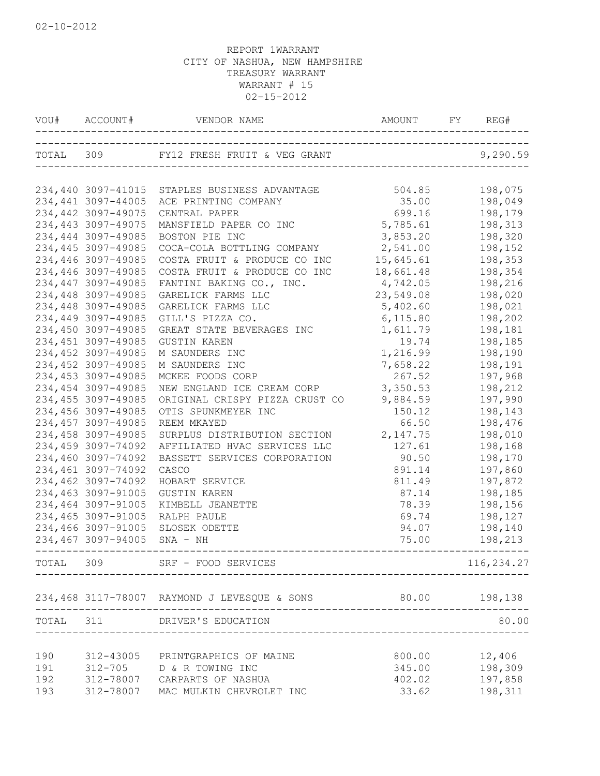|           | VOU# ACCOUNT#                            | VENDOR NAME                                                | AMOUNT FY       | REG#               |
|-----------|------------------------------------------|------------------------------------------------------------|-----------------|--------------------|
|           |                                          | TOTAL 309 FY12 FRESH FRUIT & VEG GRANT                     |                 | 9,290.59           |
|           |                                          | 234,440 3097-41015 STAPLES BUSINESS ADVANTAGE              | 504.85          | 198,075            |
|           | 234,441 3097-44005                       | ACE PRINTING COMPANY                                       | 35.00           | 198,049            |
|           | 234,442 3097-49075                       | CENTRAL PAPER                                              | 699.16          | 198,179            |
|           | 234,443 3097-49075                       | MANSFIELD PAPER CO INC                                     | 5,785.61        | 198,313            |
|           | 234,444 3097-49085                       | BOSTON PIE INC                                             | 3,853.20        | 198,320            |
|           | 234,445 3097-49085                       | COCA-COLA BOTTLING COMPANY                                 | 2,541.00        | 198,152            |
|           | 234,446 3097-49085                       | COSTA FRUIT & PRODUCE CO INC                               | 15,645.61       | 198,353            |
|           | 234,446 3097-49085                       | COSTA FRUIT & PRODUCE CO INC                               | 18,661.48       | 198,354            |
|           | 234,447 3097-49085                       | FANTINI BAKING CO., INC.                                   | 4,742.05        | 198,216            |
|           | 234,448 3097-49085                       | GARELICK FARMS LLC                                         | 23,549.08       | 198,020            |
|           | 234,448 3097-49085                       | GARELICK FARMS LLC                                         | 5,402.60        | 198,021            |
|           | 234,449 3097-49085                       | GILL'S PIZZA CO.                                           | 6, 115.80       | 198,202            |
|           | 234,450 3097-49085                       | GREAT STATE BEVERAGES INC                                  | 1,611.79        | 198,181            |
|           | 234,451 3097-49085                       | <b>GUSTIN KAREN</b>                                        | 19.74           | 198,185            |
|           | 234,452 3097-49085                       | M SAUNDERS INC                                             | 1,216.99        | 198,190            |
|           | 234,452 3097-49085                       | M SAUNDERS INC                                             | 7,658.22        | 198,191            |
|           | 234,453 3097-49085                       | MCKEE FOODS CORP                                           | 267.52          | 197,968            |
|           | 234,454 3097-49085                       | NEW ENGLAND ICE CREAM CORP                                 | 3,350.53        | 198,212            |
|           | 234,455 3097-49085                       | ORIGINAL CRISPY PIZZA CRUST CO                             | 9,884.59        | 197,990            |
|           | 234,456 3097-49085                       | OTIS SPUNKMEYER INC                                        | 150.12          | 198,143            |
|           | 234,457 3097-49085                       | REEM MKAYED                                                | 66.50           | 198,476            |
|           | 234,458 3097-49085                       | SURPLUS DISTRIBUTION SECTION                               | 2,147.75        | 198,010            |
|           | 234,459 3097-74092                       | AFFILIATED HVAC SERVICES LLC                               | 127.61          | 198,168            |
|           | 234,460 3097-74092                       | BASSETT SERVICES CORPORATION                               | 90.50           | 198,170            |
|           | 234,461 3097-74092                       | CASCO                                                      | 891.14          | 197,860            |
|           | 234,462 3097-74092<br>234,463 3097-91005 | HOBART SERVICE                                             | 811.49<br>87.14 | 197,872            |
|           | 234,464 3097-91005                       | <b>GUSTIN KAREN</b><br>KIMBELL JEANETTE                    | 78.39           | 198,185<br>198,156 |
|           | 234,465 3097-91005                       | RALPH PAULE                                                | 69.74           | 198,127            |
|           | 234,466 3097-91005                       | SLOSEK ODETTE                                              | 94.07           | 198,140            |
|           | 234,467 3097-94005                       | $SNA - NH$                                                 | 75.00           | 198,213            |
| TOTAL 309 |                                          | SRF - FOOD SERVICES                                        |                 | 116,234.27         |
|           |                                          | 234,468 3117-78007 RAYMOND J LEVESQUE & SONS 80.00 198,138 |                 |                    |
|           |                                          | TOTAL 311 DRIVER'S EDUCATION                               |                 | 80.00              |
|           |                                          |                                                            |                 |                    |
| 190       |                                          | 312-43005 PRINTGRAPHICS OF MAINE                           | 800.00          | 12,406             |
| 191       |                                          | 312-705 D & R TOWING INC                                   |                 | 345.00 198,309     |
| 192       |                                          | 312-78007 CARPARTS OF NASHUA                               | 402.02          | 197,858            |
| 193       |                                          | 312-78007 MAC MULKIN CHEVROLET INC                         | 33.62           | 198,311            |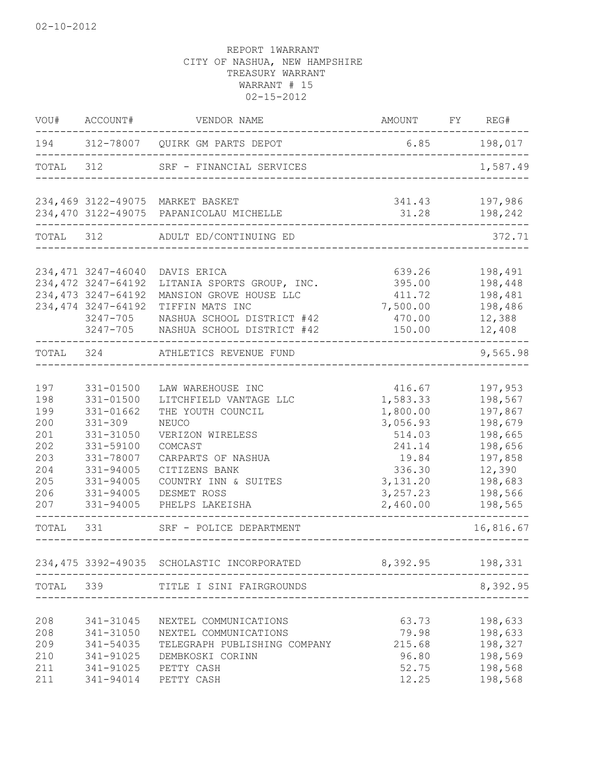| VOU#                                                                      | ACCOUNT#                                                                                                                                          | VENDOR NAME                                                                                                                                                                                               | AMOUNT                                                                                                                  | FY | REG#                                                                                                                 |
|---------------------------------------------------------------------------|---------------------------------------------------------------------------------------------------------------------------------------------------|-----------------------------------------------------------------------------------------------------------------------------------------------------------------------------------------------------------|-------------------------------------------------------------------------------------------------------------------------|----|----------------------------------------------------------------------------------------------------------------------|
| 194                                                                       |                                                                                                                                                   | 312-78007 QUIRK GM PARTS DEPOT                                                                                                                                                                            | 6.85                                                                                                                    |    | 198,017                                                                                                              |
| TOTAL                                                                     | 312                                                                                                                                               | SRF - FINANCIAL SERVICES                                                                                                                                                                                  |                                                                                                                         |    | 1,587.49                                                                                                             |
|                                                                           | 234,470 3122-49075                                                                                                                                | 234,469 3122-49075 MARKET BASKET<br>PAPANICOLAU MICHELLE                                                                                                                                                  | 341.43<br>31.28                                                                                                         |    | 197,986<br>198,242                                                                                                   |
|                                                                           |                                                                                                                                                   |                                                                                                                                                                                                           |                                                                                                                         |    |                                                                                                                      |
| TOTAL                                                                     | 312                                                                                                                                               | ADULT ED/CONTINUING ED                                                                                                                                                                                    |                                                                                                                         |    | 372.71                                                                                                               |
|                                                                           | 234, 471 3247-46040<br>234, 472 3247-64192<br>234, 473 3247-64192<br>234, 474 3247-64192<br>3247-705<br>$3247 - 705$                              | DAVIS ERICA<br>LITANIA SPORTS GROUP, INC.<br>MANSION GROVE HOUSE LLC<br>TIFFIN MATS INC<br>NASHUA SCHOOL DISTRICT #42<br>NASHUA SCHOOL DISTRICT #42                                                       | 639.26<br>395.00<br>411.72<br>7,500.00<br>470.00<br>150.00                                                              |    | 198,491<br>198,448<br>198,481<br>198,486<br>12,388<br>12,408                                                         |
| TOTAL                                                                     | 324                                                                                                                                               | ATHLETICS REVENUE FUND                                                                                                                                                                                    |                                                                                                                         |    | 9,565.98                                                                                                             |
| 197<br>198<br>199<br>200<br>201<br>202<br>203<br>204<br>205<br>206<br>207 | 331-01500<br>$331 - 01500$<br>331-01662<br>$331 - 309$<br>331-31050<br>331-59100<br>331-78007<br>331-94005<br>331-94005<br>331-94005<br>331-94005 | LAW WAREHOUSE INC<br>LITCHFIELD VANTAGE LLC<br>THE YOUTH COUNCIL<br>NEUCO<br>VERIZON WIRELESS<br>COMCAST<br>CARPARTS OF NASHUA<br>CITIZENS BANK<br>COUNTRY INN & SUITES<br>DESMET ROSS<br>PHELPS LAKEISHA | 416.67<br>1,583.33<br>1,800.00<br>3,056.93<br>514.03<br>241.14<br>19.84<br>336.30<br>3, 131.20<br>3, 257.23<br>2,460.00 |    | 197,953<br>198,567<br>197,867<br>198,679<br>198,665<br>198,656<br>197,858<br>12,390<br>198,683<br>198,566<br>198,565 |
| TOTAL                                                                     | 331                                                                                                                                               | SRF - POLICE DEPARTMENT                                                                                                                                                                                   |                                                                                                                         |    | 16,816.67                                                                                                            |
|                                                                           |                                                                                                                                                   | 234,475 3392-49035 SCHOLASTIC INCORPORATED<br>____________                                                                                                                                                | 8,392.95 198,331                                                                                                        |    |                                                                                                                      |
|                                                                           |                                                                                                                                                   |                                                                                                                                                                                                           |                                                                                                                         |    | 8,392.95                                                                                                             |
| 208<br>208<br>209<br>210<br>211<br>211                                    | 341-31045<br>341-54035<br>341-91025 PETTY CASH                                                                                                    | NEXTEL COMMUNICATIONS<br>341-31050 NEXTEL COMMUNICATIONS<br>TELEGRAPH PUBLISHING COMPANY<br>341-91025 DEMBKOSKI CORINN<br>341-94014 PETTY CASH                                                            | 63.73<br>79.98<br>215.68<br>96.80<br>52.75<br>12.25                                                                     |    | 198,633<br>198,633<br>198,327<br>198,569<br>198,568<br>198,568                                                       |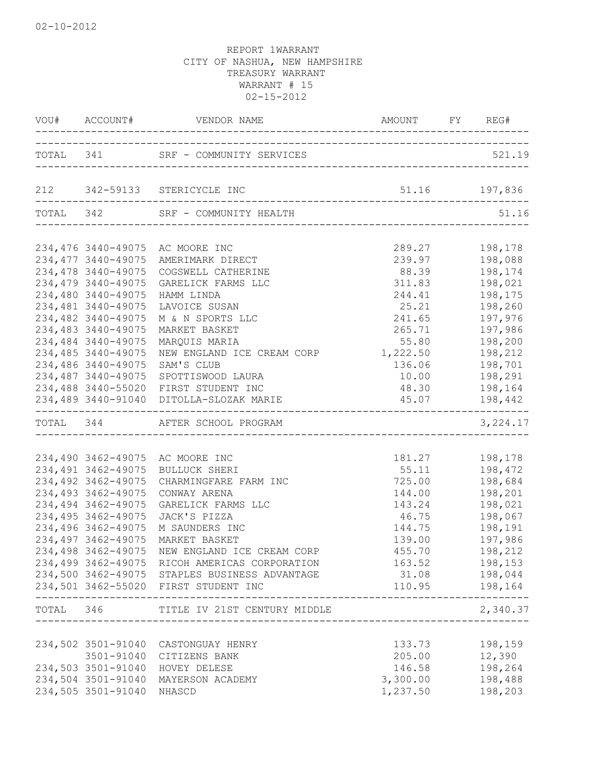|           |                                                                                                                                                                                                                                                                                             | VOU# ACCOUNT# VENDOR NAME AMOUNT FY REGES                                                                                                                                                                                                                                                                                                                    | AMOUNT FY REG#                                                                                                                                                |                                                                                                                                             |
|-----------|---------------------------------------------------------------------------------------------------------------------------------------------------------------------------------------------------------------------------------------------------------------------------------------------|--------------------------------------------------------------------------------------------------------------------------------------------------------------------------------------------------------------------------------------------------------------------------------------------------------------------------------------------------------------|---------------------------------------------------------------------------------------------------------------------------------------------------------------|---------------------------------------------------------------------------------------------------------------------------------------------|
|           |                                                                                                                                                                                                                                                                                             | TOTAL 341 SRF - COMMUNITY SERVICES                                                                                                                                                                                                                                                                                                                           |                                                                                                                                                               | 521.19                                                                                                                                      |
|           |                                                                                                                                                                                                                                                                                             | 212 342-59133 STERICYCLE INC                                                                                                                                                                                                                                                                                                                                 | 51.16 197,836                                                                                                                                                 |                                                                                                                                             |
| TOTAL 342 |                                                                                                                                                                                                                                                                                             | SRF - COMMUNITY HEALTH                                                                                                                                                                                                                                                                                                                                       |                                                                                                                                                               | 51.16                                                                                                                                       |
|           | 234,476 3440-49075<br>234, 477 3440-49075<br>234,478 3440-49075<br>234,479 3440-49075<br>234,480 3440-49075<br>234,481 3440-49075<br>234,482 3440-49075<br>234,483 3440-49075<br>234,484 3440-49075<br>234,485 3440-49075<br>234,486 3440-49075<br>234,487 3440-49075<br>234,488 3440-55020 | AC MOORE INC<br>AMERIMARK DIRECT<br>COGSWELL CATHERINE<br>GARELICK FARMS LLC<br>HAMM LINDA<br>LAVOICE SUSAN<br>M & N SPORTS LLC<br>MARKET BASKET<br>MARQUIS MARIA<br>NEW ENGLAND ICE CREAM CORP<br>SAM'S CLUB<br>SPOTTISWOOD LAURA<br>FIRST STUDENT INC                                                                                                      | 289.27<br>239.97<br>88.39<br>311.83<br>244.41<br>25.21<br>241.65<br>265.71<br>55.80<br>1,222.50<br>136.06<br>10.00<br>48.30                                   | 198,178<br>198,088<br>198,174<br>198,021<br>198,175<br>198,260<br>197,976<br>197,986<br>198,200<br>198,212<br>198,701<br>198,291<br>198,164 |
|           |                                                                                                                                                                                                                                                                                             | 234,489 3440-91040 DITOLLA-SLOZAK MARIE<br>--------------------------------------<br>TOTAL 344 AFTER SCHOOL PROGRAM                                                                                                                                                                                                                                          |                                                                                                                                                               | 45.07 198,442<br>3, 224.17                                                                                                                  |
|           | 234,490 3462-49075<br>234, 491 3462-49075<br>234,492 3462-49075<br>234, 493 3462-49075<br>234,494 3462-49075<br>234,495 3462-49075<br>234,496 3462-49075<br>234,497 3462-49075<br>234,498 3462-49075                                                                                        | AC MOORE INC<br>BULLUCK SHERI<br>CHARMINGFARE FARM INC<br>CONWAY ARENA<br>GARELICK FARMS LLC<br>JACK'S PIZZA<br>M SAUNDERS INC<br>MARKET BASKET<br>NEW ENGLAND ICE CREAM CORP<br>234,499 3462-49075 RICOH AMERICAS CORPORATION<br>234,500 3462-49075 STAPLES BUSINESS ADVANTAGE<br>234,501 3462-55020 FIRST STUDENT INC<br>--------------------------------- | 181.27<br>55.11<br>725.00<br>144.00<br>143.24<br>46.75<br>144.75<br>139.00<br>455.70<br>163.52 198,153<br>31.08 198,044<br>---------------------------------- | 198,178<br>198,472<br>198,684<br>198,201<br>198,021<br>198,067<br>198,191<br>197,986<br>198,212<br>110.95 198,164                           |
|           |                                                                                                                                                                                                                                                                                             | TOTAL 346 TITLE IV 21ST CENTURY MIDDLE                                                                                                                                                                                                                                                                                                                       | ---------------------------------                                                                                                                             | 2,340.37                                                                                                                                    |
|           | 234,502 3501-91040<br>3501-91040<br>234,503 3501-91040<br>234,504 3501-91040<br>234,505 3501-91040                                                                                                                                                                                          | CASTONGUAY HENRY<br>CITIZENS BANK<br>HOVEY DELESE<br>MAYERSON ACADEMY<br>NHASCD                                                                                                                                                                                                                                                                              | 133.73<br>205.00<br>146.58<br>3,300.00<br>1,237.50                                                                                                            | 198,159<br>12,390<br>198,264<br>198,488<br>198,203                                                                                          |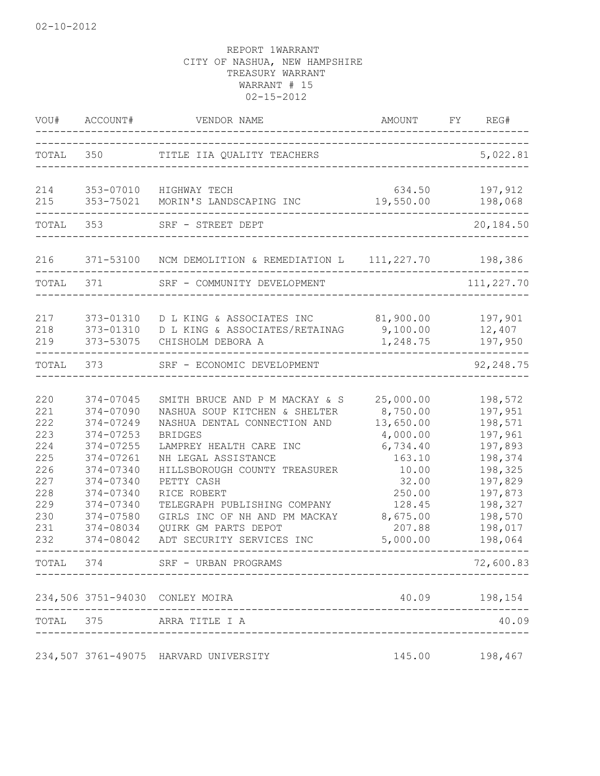| VOU#                                                                                    | ACCOUNT#                                                                                                                                                              | VENDOR NAME<br>--------                                                                                                                                                                                                                                                                                                                                                                   | AMOUNT                                                                                                                                       | FY | REG#                                                                                                                                                     |
|-----------------------------------------------------------------------------------------|-----------------------------------------------------------------------------------------------------------------------------------------------------------------------|-------------------------------------------------------------------------------------------------------------------------------------------------------------------------------------------------------------------------------------------------------------------------------------------------------------------------------------------------------------------------------------------|----------------------------------------------------------------------------------------------------------------------------------------------|----|----------------------------------------------------------------------------------------------------------------------------------------------------------|
| TOTAL                                                                                   | 350                                                                                                                                                                   | TITLE IIA QUALITY TEACHERS                                                                                                                                                                                                                                                                                                                                                                |                                                                                                                                              |    | 5,022.81                                                                                                                                                 |
| 214<br>215                                                                              | 353-07010<br>353-75021                                                                                                                                                | HIGHWAY TECH<br>MORIN'S LANDSCAPING INC                                                                                                                                                                                                                                                                                                                                                   | 634.50<br>19,550.00                                                                                                                          |    | 197,912<br>198,068                                                                                                                                       |
| TOTAL                                                                                   | 353                                                                                                                                                                   | SRF - STREET DEPT                                                                                                                                                                                                                                                                                                                                                                         |                                                                                                                                              |    | 20,184.50                                                                                                                                                |
| 216                                                                                     |                                                                                                                                                                       | 371-53100 NCM DEMOLITION & REMEDIATION L 111, 227.70 198, 386                                                                                                                                                                                                                                                                                                                             |                                                                                                                                              |    |                                                                                                                                                          |
| TOTAL                                                                                   | 371                                                                                                                                                                   | SRF - COMMUNITY DEVELOPMENT                                                                                                                                                                                                                                                                                                                                                               |                                                                                                                                              |    | 111,227.70                                                                                                                                               |
| 217<br>218<br>219                                                                       | 373-01310<br>373-01310<br>373-53075                                                                                                                                   | D L KING & ASSOCIATES INC<br>D L KING & ASSOCIATES/RETAINAG<br>CHISHOLM DEBORA A                                                                                                                                                                                                                                                                                                          | 81,900.00<br>9,100.00<br>1,248.75                                                                                                            |    | 197,901<br>12,407<br>197,950                                                                                                                             |
| TOTAL 373                                                                               |                                                                                                                                                                       | SRF - ECONOMIC DEVELOPMENT                                                                                                                                                                                                                                                                                                                                                                |                                                                                                                                              |    | 92,248.75                                                                                                                                                |
| 220<br>221<br>222<br>223<br>224<br>225<br>226<br>227<br>228<br>229<br>230<br>231<br>232 | 374-07045<br>374-07090<br>374-07249<br>374-07253<br>374-07255<br>374-07261<br>374-07340<br>374-07340<br>374-07340<br>374-07340<br>374-07580<br>374-08034<br>374-08042 | SMITH BRUCE AND P M MACKAY & S<br>NASHUA SOUP KITCHEN & SHELTER<br>NASHUA DENTAL CONNECTION AND<br><b>BRIDGES</b><br>LAMPREY HEALTH CARE INC<br>NH LEGAL ASSISTANCE<br>HILLSBOROUGH COUNTY TREASURER<br>PETTY CASH<br>RICE ROBERT<br>TELEGRAPH PUBLISHING COMPANY<br>GIRLS INC OF NH AND PM MACKAY<br>QUIRK GM PARTS DEPOT<br>ADT SECURITY SERVICES INC<br>TOTAL 374 SRF - URBAN PROGRAMS | 25,000.00<br>8,750.00<br>13,650.00<br>4,000.00<br>6,734.40<br>163.10<br>10.00<br>32.00<br>250.00<br>128.45<br>8,675.00<br>207.88<br>5,000.00 |    | 198,572<br>197,951<br>198,571<br>197,961<br>197,893<br>198,374<br>198,325<br>197,829<br>197,873<br>198,327<br>198,570<br>198,017<br>198,064<br>72,600.83 |
|                                                                                         |                                                                                                                                                                       | 234,506 3751-94030 CONLEY MOIRA                                                                                                                                                                                                                                                                                                                                                           |                                                                                                                                              |    | 40.09 198,154                                                                                                                                            |
|                                                                                         |                                                                                                                                                                       | TOTAL 375 ARRA TITLE I A                                                                                                                                                                                                                                                                                                                                                                  |                                                                                                                                              |    | 40.09                                                                                                                                                    |
|                                                                                         |                                                                                                                                                                       | 234,507 3761-49075 HARVARD UNIVERSITY                                                                                                                                                                                                                                                                                                                                                     | 145.00                                                                                                                                       |    | 198,467                                                                                                                                                  |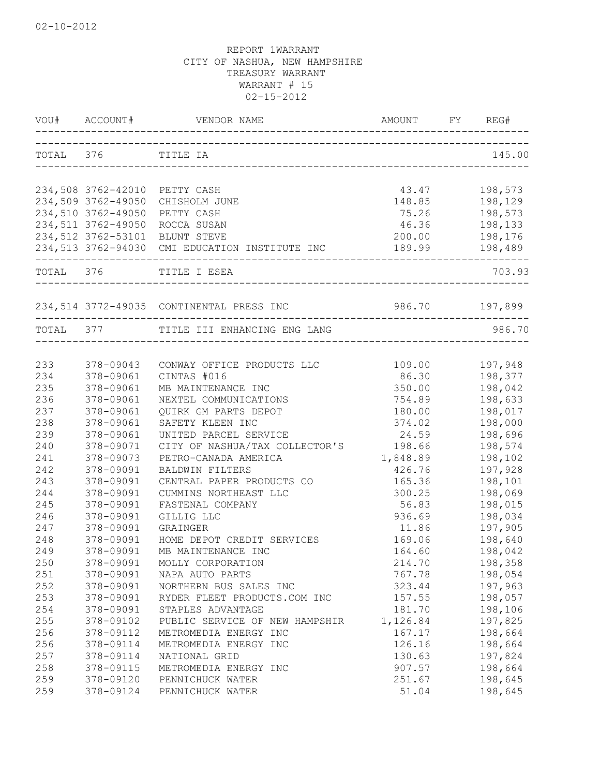| VOU# | ACCOUNT#           | VENDOR NAME                                    | AMOUNT         | FY REG#        |
|------|--------------------|------------------------------------------------|----------------|----------------|
|      | TOTAL 376 TITLE IA |                                                |                | 145.00         |
|      |                    |                                                |                |                |
|      | 234,508 3762-42010 | PETTY CASH                                     | 43.47          | 198,573        |
|      | 234,509 3762-49050 | CHISHOLM JUNE                                  | 148.85         | 198,129        |
|      | 234,510 3762-49050 | PETTY CASH                                     | 75.26          | 198,573        |
|      | 234,511 3762-49050 | ROCCA SUSAN                                    | 46.36          | 198,133        |
|      | 234,512 3762-53101 | BLUNT STEVE                                    | 200.00         | 198,176        |
|      |                    | 234,513 3762-94030 CMI EDUCATION INSTITUTE INC | 189.99         | 198,489        |
|      |                    | TOTAL 376 TITLE I ESEA                         |                | 703.93         |
|      |                    | 234,514 3772-49035 CONTINENTAL PRESS INC       | 986.70 197,899 |                |
|      |                    | TOTAL 377 TITLE III ENHANCING ENG LANG         |                | 986.70         |
|      |                    |                                                |                |                |
| 233  | 378-09043          | CONWAY OFFICE PRODUCTS LLC                     |                | 109.00 197,948 |
| 234  | 378-09061          | CINTAS #016                                    | 86.30          | 198,377        |
| 235  | 378-09061          | MB MAINTENANCE INC                             | 350.00         | 198,042        |
| 236  | 378-09061          | NEXTEL COMMUNICATIONS                          | 754.89         | 198,633        |
| 237  | 378-09061          | QUIRK GM PARTS DEPOT                           | 180.00         | 198,017        |
| 238  | 378-09061          | SAFETY KLEEN INC                               | 374.02         | 198,000        |
| 239  | 378-09061          | UNITED PARCEL SERVICE                          | 24.59          | 198,696        |
| 240  | 378-09071          | CITY OF NASHUA/TAX COLLECTOR'S                 | 198.66         | 198,574        |
| 241  | 378-09073          | PETRO-CANADA AMERICA                           | 1,848.89       | 198,102        |
| 242  | 378-09091          | BALDWIN FILTERS                                | 426.76         | 197,928        |
| 243  | 378-09091          | CENTRAL PAPER PRODUCTS CO                      | 165.36         | 198,101        |
| 244  | 378-09091          | CUMMINS NORTHEAST LLC                          | 300.25         | 198,069        |
| 245  | 378-09091          | FASTENAL COMPANY                               | 56.83          | 198,015        |
| 246  | 378-09091          | GILLIG LLC                                     | 936.69         | 198,034        |
| 247  | 378-09091          | GRAINGER                                       | 11.86          | 197,905        |
| 248  | 378-09091          | HOME DEPOT CREDIT SERVICES                     | 169.06         | 198,640        |
| 249  | 378-09091          | MB MAINTENANCE INC                             | 164.60         | 198,042        |
| 250  | 378-09091          | MOLLY CORPORATION                              | 214.70         | 198,358        |
| 251  | 378-09091          | NAPA AUTO PARTS                                | 767.78         | 198,054        |
| 252  | 378-09091          | NORTHERN BUS SALES INC                         | 323.44         | 197,963        |
| 253  | 378-09091          | RYDER FLEET PRODUCTS.COM INC                   | 157.55         | 198,057        |
| 254  | 378-09091          | STAPLES ADVANTAGE                              | 181.70         | 198,106        |
| 255  | 378-09102          | PUBLIC SERVICE OF NEW HAMPSHIR                 | 1,126.84       | 197,825        |
| 256  | 378-09112          | METROMEDIA ENERGY INC                          | 167.17         | 198,664        |
| 256  | 378-09114          | METROMEDIA ENERGY INC                          | 126.16         | 198,664        |
| 257  | 378-09114          | NATIONAL GRID                                  | 130.63         | 197,824        |
| 258  | 378-09115          | METROMEDIA ENERGY INC                          | 907.57         | 198,664        |
| 259  | 378-09120          | PENNICHUCK WATER                               | 251.67         | 198,645        |
| 259  | 378-09124          | PENNICHUCK WATER                               | 51.04          | 198,645        |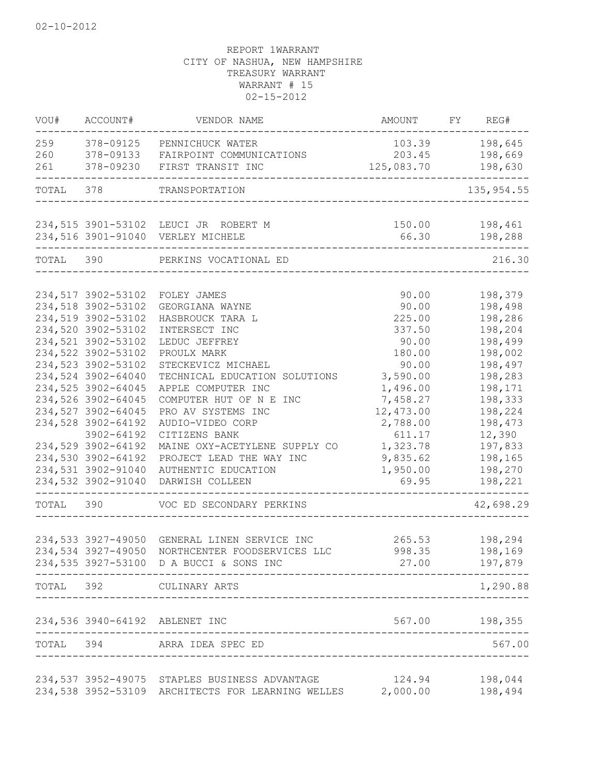| VOU#      | ACCOUNT#           | VENDOR NAME                                       | AMOUNT     | FY | REG#               |
|-----------|--------------------|---------------------------------------------------|------------|----|--------------------|
| 259       | 378-09125          | PENNICHUCK WATER                                  | 103.39     |    | 198,645            |
| 260       | 378-09133          | FAIRPOINT COMMUNICATIONS                          | 203.45     |    | 198,669            |
| 261       | 378-09230          | FIRST TRANSIT INC                                 | 125,083.70 |    | 198,630            |
| TOTAL 378 |                    | TRANSPORTATION                                    |            |    | 135, 954.55        |
|           |                    |                                                   |            |    |                    |
|           |                    | 234,515 3901-53102 LEUCI JR ROBERT M              | 150.00     |    | 198,461            |
|           |                    | 234,516 3901-91040 VERLEY MICHELE                 | 66.30      |    | 198,288            |
| TOTAL 390 |                    | PERKINS VOCATIONAL ED                             |            |    | 216.30             |
|           | 234,517 3902-53102 |                                                   | 90.00      |    |                    |
|           | 234,518 3902-53102 | FOLEY JAMES<br>GEORGIANA WAYNE                    | 90.00      |    | 198,379<br>198,498 |
|           | 234,519 3902-53102 | HASBROUCK TARA L                                  | 225.00     |    | 198,286            |
|           | 234,520 3902-53102 | INTERSECT INC                                     | 337.50     |    | 198,204            |
|           | 234,521 3902-53102 | LEDUC JEFFREY                                     | 90.00      |    | 198,499            |
|           | 234,522 3902-53102 | PROULX MARK                                       | 180.00     |    | 198,002            |
|           | 234,523 3902-53102 | STECKEVICZ MICHAEL                                | 90.00      |    | 198,497            |
|           | 234,524 3902-64040 | TECHNICAL EDUCATION SOLUTIONS                     | 3,590.00   |    | 198,283            |
|           | 234,525 3902-64045 | APPLE COMPUTER INC                                | 1,496.00   |    | 198,171            |
|           | 234,526 3902-64045 | COMPUTER HUT OF N E INC                           | 7,458.27   |    | 198,333            |
|           | 234,527 3902-64045 | PRO AV SYSTEMS INC                                | 12,473.00  |    | 198,224            |
|           | 234,528 3902-64192 | AUDIO-VIDEO CORP                                  | 2,788.00   |    | 198,473            |
|           | 3902-64192         | CITIZENS BANK                                     | 611.17     |    | 12,390             |
|           | 234,529 3902-64192 | MAINE OXY-ACETYLENE SUPPLY CO                     | 1,323.78   |    | 197,833            |
|           | 234,530 3902-64192 | PROJECT LEAD THE WAY INC                          | 9,835.62   |    | 198,165            |
|           | 234,531 3902-91040 | AUTHENTIC EDUCATION                               | 1,950.00   |    | 198,270            |
|           | 234,532 3902-91040 | DARWISH COLLEEN                                   | 69.95      |    | 198,221            |
| TOTAL     | 390                | VOC ED SECONDARY PERKINS                          |            |    | 42,698.29          |
|           |                    |                                                   |            |    |                    |
|           | 234,533 3927-49050 | GENERAL LINEN SERVICE INC                         | 265.53     |    | 198,294            |
|           | 234,534 3927-49050 | NORTHCENTER FOODSERVICES LLC                      | 998.35     |    | 198,169            |
|           |                    | 234,535 3927-53100 D A BUCCI & SONS INC           | 27.00      |    | 197,879            |
|           |                    | TOTAL 392 CULINARY ARTS                           |            |    | 1,290.88           |
|           |                    | 234,536 3940-64192 ABLENET INC                    |            |    | 567.00 198,355     |
|           |                    | TOTAL 394 ARRA IDEA SPEC ED                       |            |    | 567.00             |
|           |                    | 234,537 3952-49075 STAPLES BUSINESS ADVANTAGE     | 124.94     |    | 198,044            |
|           |                    | 234,538 3952-53109 ARCHITECTS FOR LEARNING WELLES | 2,000.00   |    | 198,494            |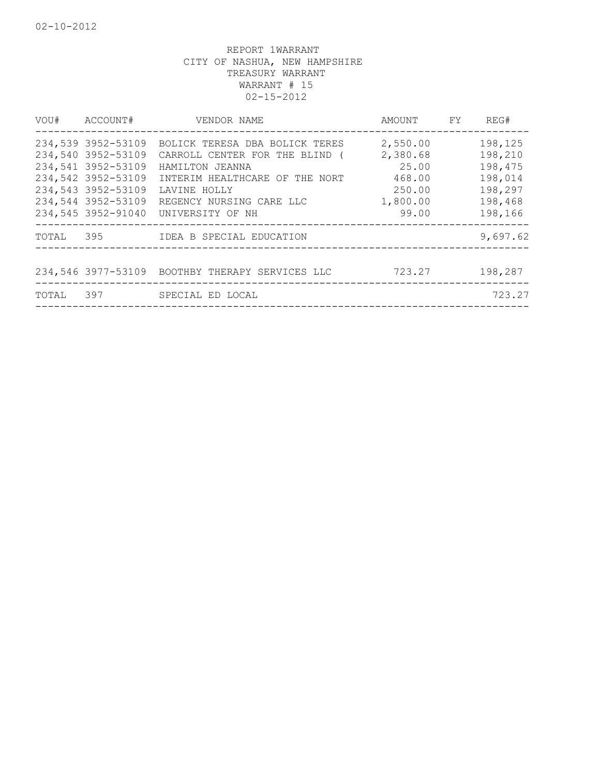| ACCOUNT#<br>VOU#                                                                                                                                       | VENDOR NAME                                                                                                                                                                           | AMOUNT FY                                                              | REG#                                                                      |
|--------------------------------------------------------------------------------------------------------------------------------------------------------|---------------------------------------------------------------------------------------------------------------------------------------------------------------------------------------|------------------------------------------------------------------------|---------------------------------------------------------------------------|
| 234,539 3952-53109<br>234,540 3952-53109<br>234,541 3952-53109<br>234,542 3952-53109<br>234,543 3952-53109<br>234,544 3952-53109<br>234,545 3952-91040 | BOLICK TERESA DBA BOLICK TERES<br>CARROLL CENTER FOR THE BLIND (<br>HAMILTON JEANNA<br>INTERIM HEALTHCARE OF THE NORT<br>LAVINE HOLLY<br>REGENCY NURSING CARE LLC<br>UNIVERSITY OF NH | 2,550.00<br>2,380.68<br>25.00<br>468.00<br>250.00<br>1,800.00<br>99.00 | 198,125<br>198,210<br>198,475<br>198,014<br>198,297<br>198,468<br>198,166 |
| TOTAL                                                                                                                                                  |                                                                                                                                                                                       |                                                                        | 9,697.62                                                                  |
|                                                                                                                                                        | 234,546 3977-53109 BOOTHBY THERAPY SERVICES LLC                                                                                                                                       | 723.27                                                                 | 198,287                                                                   |
| 397<br>TOTAL                                                                                                                                           | SPECIAL ED LOCAL                                                                                                                                                                      |                                                                        | 723.27                                                                    |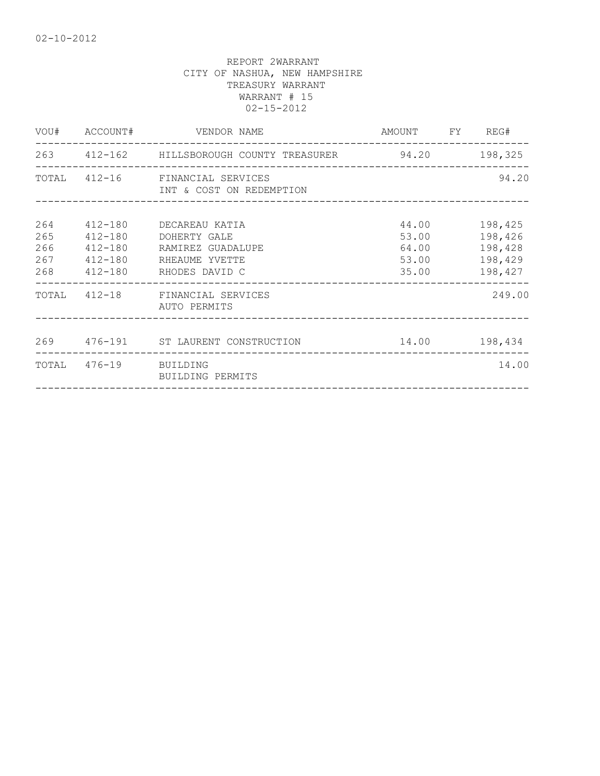|                          | VOU# ACCOUNT#         | VENDOR NAME                                                                                                         | AMOUNT FY REG#                            |                                                     |
|--------------------------|-----------------------|---------------------------------------------------------------------------------------------------------------------|-------------------------------------------|-----------------------------------------------------|
|                          |                       | 263 412-162 HILLSBOROUGH COUNTY TREASURER 94.20 198,325                                                             |                                           |                                                     |
|                          |                       | TOTAL 412-16 FINANCIAL SERVICES<br>INT & COST ON REDEMPTION                                                         |                                           | 94.20                                               |
| 264<br>265<br>266<br>267 | 412-180<br>412-180    | 412-180 DECAREAU KATIA<br>DOHERTY GALE<br>RAMIREZ GUADALUPE<br>412-180 RHEAUME YVETTE<br>268 412-180 RHODES DAVID C | 44.00<br>53.00<br>64.00<br>53.00<br>35.00 | 198,425<br>198,426<br>198,428<br>198,429<br>198,427 |
|                          |                       | TOTAL 412-18 FINANCIAL SERVICES<br>AUTO PERMITS                                                                     |                                           | 249.00                                              |
|                          |                       | 269 476-191 ST LAURENT CONSTRUCTION                                                                                 | 14.00 198,434                             |                                                     |
|                          | TOTAL 476-19 BUILDING | BUILDING PERMITS                                                                                                    |                                           | 14.00                                               |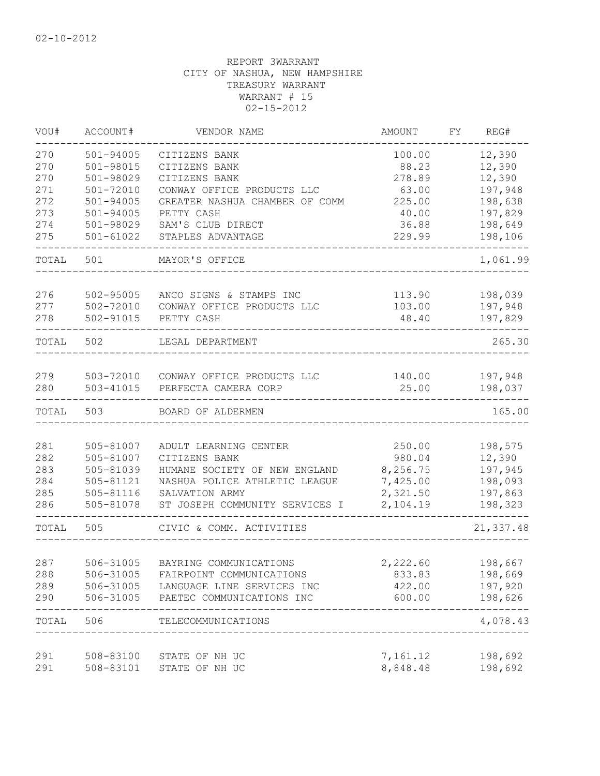| VOU#       | ACCOUNT#               | VENDOR NAME                                            | AMOUNT               | FY | REG#               |
|------------|------------------------|--------------------------------------------------------|----------------------|----|--------------------|
| 270        | $501 - 94005$          | CITIZENS BANK                                          | 100.00               |    | 12,390             |
| 270        | 501-98015              | CITIZENS BANK                                          | 88.23                |    | 12,390             |
| 270        | 501-98029              | CITIZENS BANK                                          | 278.89               |    | 12,390             |
| 271        | $501 - 72010$          | CONWAY OFFICE PRODUCTS LLC                             | 63.00                |    | 197,948            |
| 272        | $501 - 94005$          | GREATER NASHUA CHAMBER OF COMM                         | 225.00               |    | 198,638            |
| 273        | $501 - 94005$          | PETTY CASH                                             | 40.00                |    | 197,829            |
| 274        | 501-98029              | SAM'S CLUB DIRECT                                      | 36.88                |    | 198,649            |
| 275        | $501 - 61022$          | STAPLES ADVANTAGE                                      | 229.99               |    | 198,106            |
| TOTAL      | 501                    | MAYOR'S OFFICE                                         |                      |    | 1,061.99           |
| 276        | 502-95005              | ANCO SIGNS & STAMPS INC                                | 113.90               |    | 198,039            |
| 277        | 502-72010              | CONWAY OFFICE PRODUCTS LLC                             | 103.00               |    | 197,948            |
| 278        | 502-91015              | PETTY CASH                                             | 48.40                |    | 197,829            |
|            |                        |                                                        |                      |    |                    |
| TOTAL      | 502                    | LEGAL DEPARTMENT                                       |                      |    | 265.30             |
| 279        |                        | 503-72010 CONWAY OFFICE PRODUCTS LLC                   |                      |    |                    |
| 280        | 503-41015              | PERFECTA CAMERA CORP                                   | 25.00                |    | 198,037            |
| TOTAL      | 503                    | BOARD OF ALDERMEN                                      |                      |    | 165.00             |
|            |                        |                                                        |                      |    |                    |
| 281        | 505-81007              | ADULT LEARNING CENTER                                  | 250.00               |    | 198,575            |
| 282        | 505-81007              | CITIZENS BANK                                          | 980.04               |    | 12,390             |
| 283        | 505-81039              | HUMANE SOCIETY OF NEW ENGLAND                          | 8,256.75             |    | 197,945            |
| 284        | 505-81121              | NASHUA POLICE ATHLETIC LEAGUE                          | 7,425.00             |    | 198,093            |
| 285        | 505-81116              | SALVATION ARMY                                         | 2,321.50             |    | 197,863            |
| 286        | 505-81078              | ST JOSEPH COMMUNITY SERVICES I                         | 2,104.19             |    | 198,323<br>-----   |
| TOTAL      | 505                    | CIVIC & COMM. ACTIVITIES                               |                      |    | 21,337.48          |
|            |                        |                                                        |                      |    |                    |
| 287<br>288 | 506-31005<br>506-31005 | BAYRING COMMUNICATIONS                                 | 2,222.60             |    | 198,667            |
| 289        | 506-31005              | FAIRPOINT COMMUNICATIONS<br>LANGUAGE LINE SERVICES INC | 833.83<br>422.00     |    | 198,669<br>197,920 |
| 290        | 506-31005              | PAETEC COMMUNICATIONS INC                              | 600.00               |    | 198,626            |
| TOTAL      | 506                    | TELECOMMUNICATIONS                                     |                      |    | 4,078.43           |
|            |                        |                                                        |                      |    |                    |
| 291<br>291 | 508-83100<br>508-83101 | STATE OF NH UC<br>STATE OF NH UC                       | 7,161.12<br>8,848.48 |    | 198,692<br>198,692 |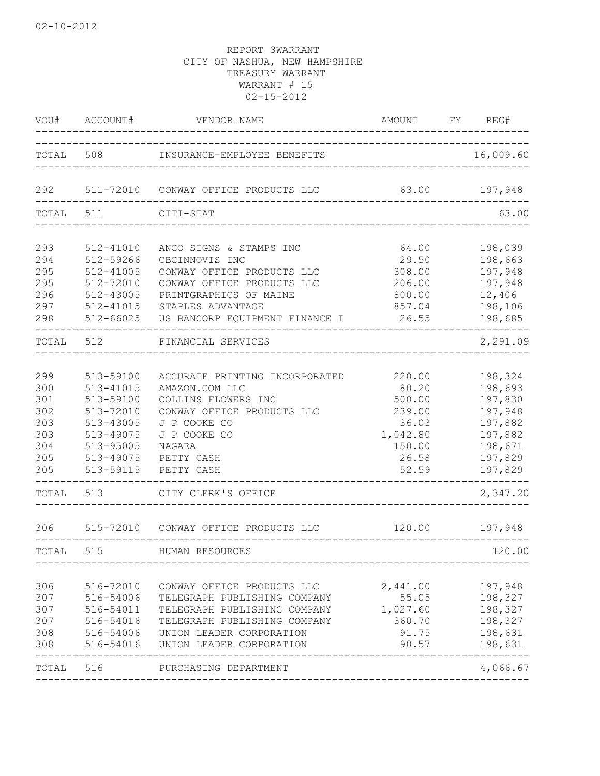| VOU#                                                        | ACCOUNT#                                                                                                          | VENDOR NAME                                                                                                                                                                        | AMOUNT<br>____________________________________                                       | FY REG#                                                                                         |
|-------------------------------------------------------------|-------------------------------------------------------------------------------------------------------------------|------------------------------------------------------------------------------------------------------------------------------------------------------------------------------------|--------------------------------------------------------------------------------------|-------------------------------------------------------------------------------------------------|
|                                                             |                                                                                                                   | TOTAL 508 INSURANCE-EMPLOYEE BENEFITS                                                                                                                                              |                                                                                      | 16,009.60                                                                                       |
| 292                                                         |                                                                                                                   | 511-72010 CONWAY OFFICE PRODUCTS LLC                                                                                                                                               |                                                                                      | 63.00 197,948                                                                                   |
| TOTAL 511                                                   |                                                                                                                   | CITI-STAT                                                                                                                                                                          |                                                                                      | 63.00                                                                                           |
| 293<br>294<br>295<br>295                                    | 512-41010<br>512-59266<br>$512 - 41005$<br>512-72010                                                              | ANCO SIGNS & STAMPS INC<br>CBCINNOVIS INC<br>CONWAY OFFICE PRODUCTS LLC<br>CONWAY OFFICE PRODUCTS LLC                                                                              | 64.00<br>29.50<br>308.00<br>206.00                                                   | 198,039<br>198,663<br>197,948<br>197,948                                                        |
| 296<br>297<br>298                                           | 512-43005<br>512-41015<br>512-66025                                                                               | PRINTGRAPHICS OF MAINE<br>STAPLES ADVANTAGE<br>US BANCORP EQUIPMENT FINANCE I                                                                                                      | 800.00<br>857.04<br>26.55                                                            | 12,406<br>198,106<br>198,685                                                                    |
| TOTAL                                                       | 512                                                                                                               | FINANCIAL SERVICES                                                                                                                                                                 |                                                                                      | 2,291.09                                                                                        |
| 299<br>300<br>301<br>302<br>303<br>303<br>304<br>305<br>305 | 513-59100<br>513-41015<br>513-59100<br>513-72010<br>513-43005<br>513-49075<br>513-95005<br>513-49075<br>513-59115 | ACCURATE PRINTING INCORPORATED<br>AMAZON.COM LLC<br>COLLINS FLOWERS INC<br>CONWAY OFFICE PRODUCTS LLC<br>J P COOKE CO<br>J P COOKE CO<br>NAGARA<br>PETTY CASH<br>PETTY CASH        | 220.00<br>80.20<br>500.00<br>239.00<br>36.03<br>1,042.80<br>150.00<br>26.58<br>52.59 | 198,324<br>198,693<br>197,830<br>197,948<br>197,882<br>197,882<br>198,671<br>197,829<br>197,829 |
| TOTAL                                                       | 513                                                                                                               | CITY CLERK'S OFFICE                                                                                                                                                                | ________________________________                                                     | 2,347.20                                                                                        |
| 306                                                         |                                                                                                                   | 515-72010 CONWAY OFFICE PRODUCTS LLC                                                                                                                                               | 120.00                                                                               | 197,948                                                                                         |
| TOTAL                                                       | 515                                                                                                               | HUMAN RESOURCES                                                                                                                                                                    |                                                                                      | 120.00                                                                                          |
| 306<br>307<br>307<br>307<br>308<br>308                      | 516-72010<br>516-54006<br>516-54011<br>516-54016<br>516-54006<br>516-54016                                        | CONWAY OFFICE PRODUCTS LLC<br>TELEGRAPH PUBLISHING COMPANY<br>TELEGRAPH PUBLISHING COMPANY<br>TELEGRAPH PUBLISHING COMPANY<br>UNION LEADER CORPORATION<br>UNION LEADER CORPORATION | 2,441.00<br>55.05<br>1,027.60<br>360.70<br>91.75<br>90.57                            | 197,948<br>198,327<br>198,327<br>198,327<br>198,631<br>198,631                                  |
| TOTAL                                                       | 516                                                                                                               | PURCHASING DEPARTMENT                                                                                                                                                              |                                                                                      | 4,066.67                                                                                        |
|                                                             |                                                                                                                   |                                                                                                                                                                                    |                                                                                      |                                                                                                 |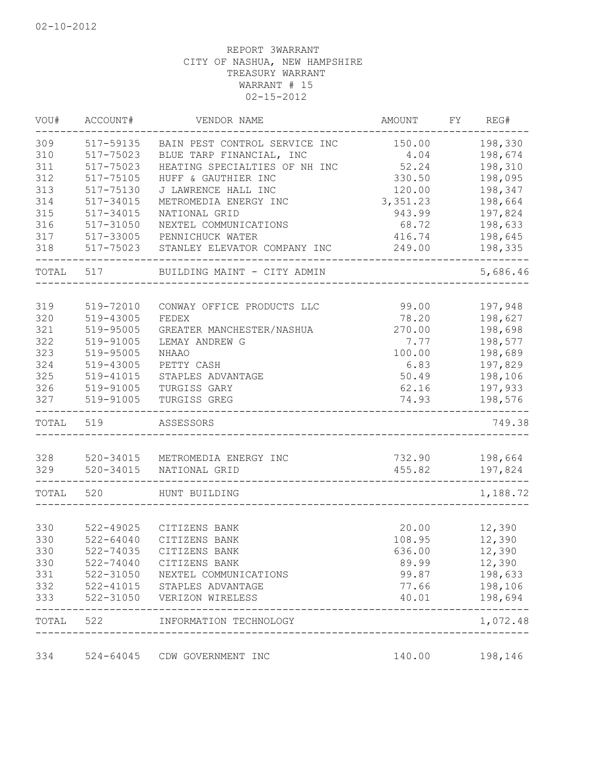| VOU#      | ACCOUNT#      | VENDOR NAME                   | <b>AMOUNT</b> | FY | REG#     |
|-----------|---------------|-------------------------------|---------------|----|----------|
| 309       | 517-59135     | BAIN PEST CONTROL SERVICE INC | 150.00        |    | 198,330  |
| 310       | 517-75023     | BLUE TARP FINANCIAL, INC      | 4.04          |    | 198,674  |
| 311       | 517-75023     | HEATING SPECIALTIES OF NH INC | 52.24         |    | 198,310  |
| 312       | 517-75105     | HUFF & GAUTHIER INC           | 330.50        |    | 198,095  |
| 313       | 517-75130     | J LAWRENCE HALL INC           | 120.00        |    | 198,347  |
| 314       | 517-34015     | METROMEDIA ENERGY INC         | 3, 351.23     |    | 198,664  |
| 315       | 517-34015     | NATIONAL GRID                 | 943.99        |    | 197,824  |
| 316       | 517-31050     | NEXTEL COMMUNICATIONS         | 68.72         |    | 198,633  |
| 317       | 517-33005     | PENNICHUCK WATER              | 416.74        |    | 198,645  |
| 318       | 517-75023     | STANLEY ELEVATOR COMPANY INC  | 249.00        |    | 198,335  |
| TOTAL 517 |               | BUILDING MAINT - CITY ADMIN   |               |    | 5,686.46 |
| 319       | 519-72010     | CONWAY OFFICE PRODUCTS LLC    | 99.00         |    | 197,948  |
| 320       | 519-43005     | FEDEX                         | 78.20         |    | 198,627  |
| 321       | 519-95005     | GREATER MANCHESTER/NASHUA     | 270.00        |    | 198,698  |
| 322       | 519-91005     | LEMAY ANDREW G                | 7.77          |    | 198,577  |
| 323       | 519-95005     | <b>NHAAO</b>                  | 100.00        |    | 198,689  |
| 324       | 519-43005     | PETTY CASH                    | 6.83          |    | 197,829  |
| 325       | 519-41015     | STAPLES ADVANTAGE             | 50.49         |    | 198,106  |
| 326       | 519-91005     | TURGISS GARY                  | 62.16         |    | 197,933  |
| 327       | 519-91005     | TURGISS GREG                  | 74.93         |    | 198,576  |
| TOTAL     | 519           | ASSESSORS                     |               |    | 749.38   |
|           |               |                               |               |    |          |
| 328       | 520-34015     | METROMEDIA ENERGY INC         | 732.90        |    | 198,664  |
| 329       | 520-34015     | NATIONAL GRID                 | 455.82        |    | 197,824  |
| TOTAL     | 520           | HUNT BUILDING                 |               |    | 1,188.72 |
|           |               |                               |               |    |          |
| 330       | 522-49025     | CITIZENS BANK                 | 20.00         |    | 12,390   |
| 330       | $522 - 64040$ | CITIZENS BANK                 | 108.95        |    | 12,390   |
| 330       | 522-74035     | CITIZENS BANK                 | 636.00        |    | 12,390   |
| 330       | $522 - 74040$ | CITIZENS BANK                 | 89.99         |    | 12,390   |
| 331       | 522-31050     | NEXTEL COMMUNICATIONS         | 99.87         |    | 198,633  |
| 332       | $522 - 41015$ | STAPLES ADVANTAGE             | 77.66         |    | 198,106  |
| 333       | 522-31050     | VERIZON WIRELESS              | 40.01         |    | 198,694  |
| TOTAL     | 522           | INFORMATION TECHNOLOGY        |               |    | 1,072.48 |
| 334       | $524 - 64045$ | CDW GOVERNMENT INC            | 140.00        |    | 198,146  |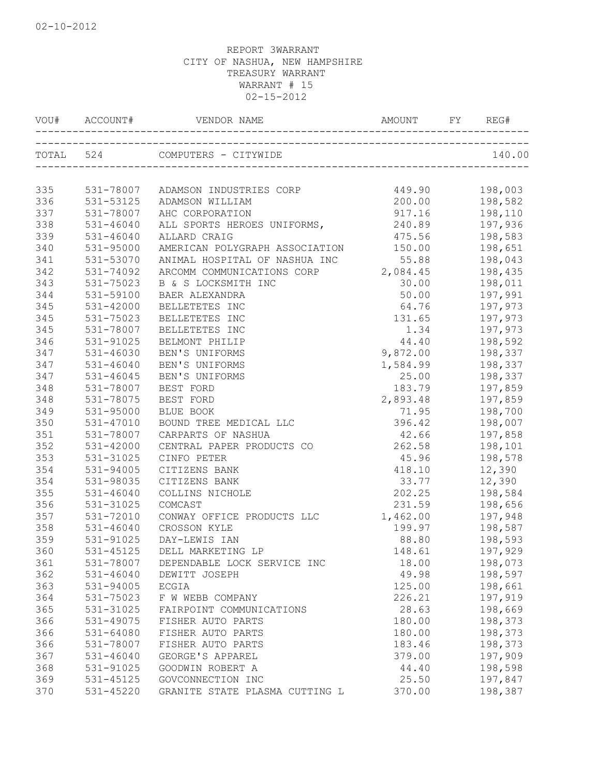|     |               | VOU# ACCOUNT# VENDOR NAME                | AMOUNT FY REG# |         |
|-----|---------------|------------------------------------------|----------------|---------|
|     |               | TOTAL 524 COMPUTERS - CITYWIDE           |                | 140.00  |
| 335 |               | 531-78007 ADAMSON INDUSTRIES CORP 449.90 |                | 198,003 |
| 336 | 531-53125     | ADAMSON WILLIAM                          | 200.00         | 198,582 |
| 337 | 531-78007     | AHC CORPORATION                          | 917.16         | 198,110 |
| 338 | $531 - 46040$ | ALL SPORTS HEROES UNIFORMS,              | 240.89         | 197,936 |
| 339 | 531-46040     | ALLARD CRAIG                             | 475.56         | 198,583 |
| 340 | 531-95000     | AMERICAN POLYGRAPH ASSOCIATION           | 150.00         | 198,651 |
| 341 | 531-53070     | ANIMAL HOSPITAL OF NASHUA INC            | 55.88          | 198,043 |
| 342 | 531-74092     | ARCOMM COMMUNICATIONS CORP 2,084.45      |                | 198,435 |
| 343 | 531-75023     | B & S LOCKSMITH INC                      | 30.00          | 198,011 |
| 344 | 531-59100     | BAER ALEXANDRA                           | 50.00          | 197,991 |
| 345 | 531-42000     | BELLETETES INC                           | 64.76          | 197,973 |
| 345 | 531-75023     | BELLETETES INC                           | 131.65         | 197,973 |
| 345 | 531-78007     | BELLETETES INC                           | 1.34           | 197,973 |
| 346 | 531-91025     | BELMONT PHILIP                           | 44.40          | 198,592 |
| 347 | 531-46030     | BEN'S UNIFORMS                           | 9,872.00       | 198,337 |
| 347 | $531 - 46040$ | BEN'S UNIFORMS                           | 1,584.99       | 198,337 |
| 347 | 531-46045     | BEN'S UNIFORMS                           | 25.00          | 198,337 |
| 348 | 531-78007     | BEST FORD                                | 183.79         | 197,859 |
| 348 | 531-78075     | BEST FORD                                | 2,893.48       | 197,859 |
| 349 | 531-95000     | BLUE BOOK                                | 71.95          | 198,700 |
| 350 | 531-47010     | BOUND TREE MEDICAL LLC                   | 396.42         | 198,007 |
| 351 | 531-78007     | CARPARTS OF NASHUA                       | 42.66          | 197,858 |
| 352 | 531-42000     | CENTRAL PAPER PRODUCTS CO                | 262.58         | 198,101 |
| 353 | 531-31025     | CINFO PETER                              | 45.96          | 198,578 |
| 354 | 531-94005     | CITIZENS BANK                            | 418.10         | 12,390  |
| 354 | 531-98035     | CITIZENS BANK                            | 33.77          | 12,390  |
| 355 | 531-46040     | COLLINS NICHOLE                          | 202.25         | 198,584 |
| 356 | 531-31025     | COMCAST                                  | 231.59         | 198,656 |
| 357 | 531-72010     | CONWAY OFFICE PRODUCTS LLC 1,462.00      |                | 197,948 |
| 358 | $531 - 46040$ | CROSSON KYLE                             | 199.97         | 198,587 |
| 359 | 531-91025     | DAY-LEWIS IAN                            | 88.80          | 198,593 |
| 360 |               | 531-45125 DELL MARKETING LP              | 148.61         | 197,929 |
| 361 | 531-78007     | DEPENDABLE LOCK SERVICE INC              | 18.00          | 198,073 |
| 362 | 531-46040     | DEWITT JOSEPH                            | 49.98          | 198,597 |
| 363 | 531-94005     | ECGIA                                    | 125.00         | 198,661 |
| 364 | 531-75023     | F W WEBB COMPANY                         | 226.21         | 197,919 |
| 365 | 531-31025     | FAIRPOINT COMMUNICATIONS                 | 28.63          | 198,669 |
| 366 | 531-49075     | FISHER AUTO PARTS                        | 180.00         | 198,373 |
| 366 | $531 - 64080$ | FISHER AUTO PARTS                        | 180.00         | 198,373 |
| 366 | 531-78007     | FISHER AUTO PARTS                        | 183.46         | 198,373 |
| 367 | $531 - 46040$ | GEORGE'S APPAREL                         | 379.00         | 197,909 |
| 368 | 531-91025     | GOODWIN ROBERT A                         | 44.40          | 198,598 |
| 369 | 531-45125     | GOVCONNECTION INC                        | 25.50          | 197,847 |
| 370 | 531-45220     | GRANITE STATE PLASMA CUTTING L           | 370.00         | 198,387 |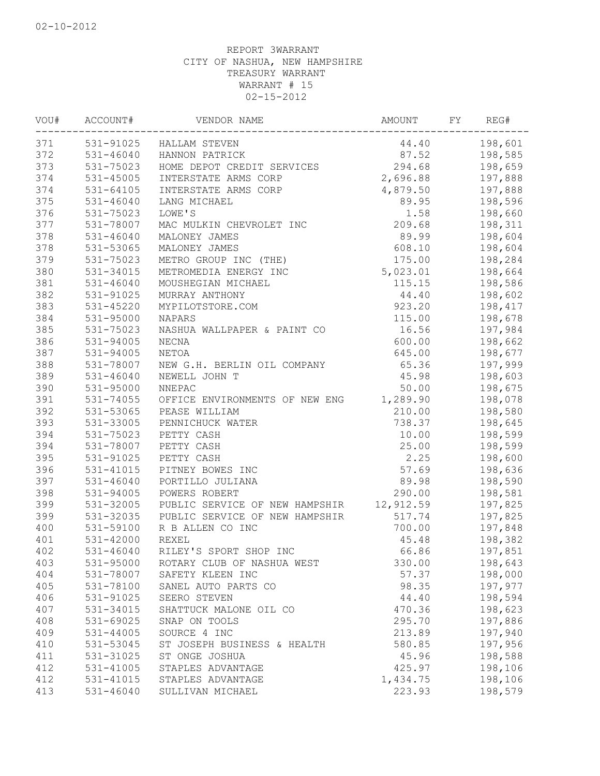| VOU# | ACCOUNT#      | VENDOR NAME                    | AMOUNT    | FY | REG#    |
|------|---------------|--------------------------------|-----------|----|---------|
| 371  | 531-91025     | HALLAM STEVEN                  | 44.40     |    | 198,601 |
| 372  | $531 - 46040$ | HANNON PATRICK                 | 87.52     |    | 198,585 |
| 373  | 531-75023     | HOME DEPOT CREDIT SERVICES     | 294.68    |    | 198,659 |
| 374  | 531-45005     | INTERSTATE ARMS CORP           | 2,696.88  |    | 197,888 |
| 374  | 531-64105     | INTERSTATE ARMS CORP           | 4,879.50  |    | 197,888 |
| 375  | $531 - 46040$ | LANG MICHAEL                   | 89.95     |    | 198,596 |
| 376  | 531-75023     | LOWE'S                         | 1.58      |    | 198,660 |
| 377  | 531-78007     | MAC MULKIN CHEVROLET INC       | 209.68    |    | 198,311 |
| 378  | $531 - 46040$ | MALONEY JAMES                  | 89.99     |    | 198,604 |
| 378  | 531-53065     | MALONEY JAMES                  | 608.10    |    | 198,604 |
| 379  | 531-75023     | METRO GROUP INC (THE)          | 175.00    |    | 198,284 |
| 380  | 531-34015     | METROMEDIA ENERGY INC          | 5,023.01  |    | 198,664 |
| 381  | $531 - 46040$ | MOUSHEGIAN MICHAEL             | 115.15    |    | 198,586 |
| 382  | 531-91025     | MURRAY ANTHONY                 | 44.40     |    | 198,602 |
| 383  | 531-45220     | MYPILOTSTORE.COM               | 923.20    |    | 198,417 |
| 384  | 531-95000     | NAPARS                         | 115.00    |    | 198,678 |
| 385  | 531-75023     | NASHUA WALLPAPER & PAINT CO    | 16.56     |    | 197,984 |
| 386  | 531-94005     | NECNA                          | 600.00    |    | 198,662 |
| 387  | 531-94005     | NETOA                          | 645.00    |    | 198,677 |
| 388  | 531-78007     | NEW G.H. BERLIN OIL COMPANY    | 65.36     |    | 197,999 |
| 389  | $531 - 46040$ | NEWELL JOHN T                  | 45.98     |    | 198,603 |
| 390  | 531-95000     | NNEPAC                         | 50.00     |    | 198,675 |
| 391  | 531-74055     | OFFICE ENVIRONMENTS OF NEW ENG | 1,289.90  |    | 198,078 |
| 392  | 531-53065     | PEASE WILLIAM                  | 210.00    |    | 198,580 |
| 393  | 531-33005     | PENNICHUCK WATER               | 738.37    |    | 198,645 |
| 394  | 531-75023     | PETTY CASH                     | 10.00     |    | 198,599 |
| 394  | 531-78007     | PETTY CASH                     | 25.00     |    | 198,599 |
| 395  | 531-91025     | PETTY CASH                     | 2.25      |    | 198,600 |
| 396  | 531-41015     | PITNEY BOWES INC               | 57.69     |    | 198,636 |
| 397  | $531 - 46040$ | PORTILLO JULIANA               | 89.98     |    | 198,590 |
| 398  | 531-94005     | POWERS ROBERT                  | 290.00    |    | 198,581 |
| 399  | 531-32005     | PUBLIC SERVICE OF NEW HAMPSHIR | 12,912.59 |    | 197,825 |
| 399  | 531-32035     | PUBLIC SERVICE OF NEW HAMPSHIR | 517.74    |    | 197,825 |
| 400  | 531-59100     | R B ALLEN CO INC               | 700.00    |    | 197,848 |
| 401  | $531 - 42000$ | <b>REXEL</b>                   | 45.48     |    | 198,382 |
| 402  | 531-46040     | RILEY'S SPORT SHOP INC         | 66.86     |    | 197,851 |
| 403  | 531-95000     | ROTARY CLUB OF NASHUA WEST     | 330.00    |    | 198,643 |
| 404  | 531-78007     | SAFETY KLEEN INC               | 57.37     |    | 198,000 |
| 405  | 531-78100     | SANEL AUTO PARTS CO            | 98.35     |    | 197,977 |
| 406  | 531-91025     | SEERO STEVEN                   | 44.40     |    | 198,594 |
| 407  | 531-34015     | SHATTUCK MALONE OIL CO         | 470.36    |    | 198,623 |
| 408  | 531-69025     | SNAP ON TOOLS                  | 295.70    |    | 197,886 |
| 409  | 531-44005     | SOURCE 4 INC                   | 213.89    |    | 197,940 |
| 410  | 531-53045     | ST JOSEPH BUSINESS & HEALTH    | 580.85    |    | 197,956 |
| 411  | 531-31025     | ST ONGE JOSHUA                 | 45.96     |    | 198,588 |
| 412  | 531-41005     | STAPLES ADVANTAGE              | 425.97    |    | 198,106 |
| 412  | 531-41015     | STAPLES ADVANTAGE              | 1,434.75  |    | 198,106 |
| 413  | $531 - 46040$ | SULLIVAN MICHAEL               | 223.93    |    | 198,579 |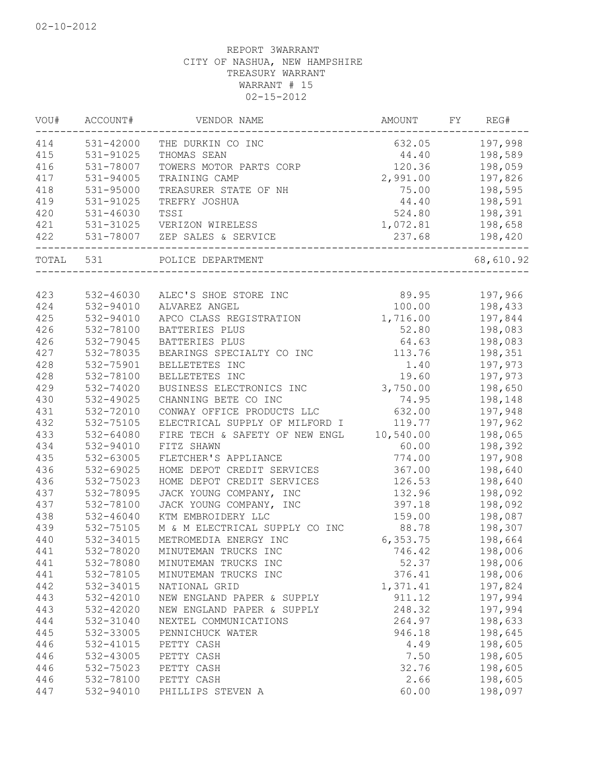| WOU# | ACCOUNT#      | VENDOR NAME                    | AMOUNT    | FY | REG#      |
|------|---------------|--------------------------------|-----------|----|-----------|
| 414  | 531-42000     | THE DURKIN CO INC              | 632.05    |    | 197,998   |
| 415  | 531-91025     | THOMAS SEAN                    | 44.40     |    | 198,589   |
| 416  | 531-78007     | TOWERS MOTOR PARTS CORP        | 120.36    |    | 198,059   |
| 417  | 531-94005     | TRAINING CAMP                  | 2,991.00  |    | 197,826   |
| 418  | 531-95000     | TREASURER STATE OF NH          | 75.00     |    | 198,595   |
| 419  | 531-91025     | TREFRY JOSHUA                  | 44.40     |    | 198,591   |
| 420  | $531 - 46030$ | TSSI                           | 524.80    |    | 198,391   |
| 421  | 531-31025     | VERIZON WIRELESS               | 1,072.81  |    | 198,658   |
| 422  | 531-78007     | ZEP SALES & SERVICE            | 237.68    |    | 198,420   |
|      | TOTAL 531     | POLICE DEPARTMENT              |           |    | 68,610.92 |
|      |               |                                |           |    |           |
| 423  | 532-46030     | ALEC'S SHOE STORE INC          | 89.95     |    | 197,966   |
| 424  | 532-94010     | ALVAREZ ANGEL                  | 100.00    |    | 198,433   |
| 425  | 532-94010     | APCO CLASS REGISTRATION        | 1,716.00  |    | 197,844   |
| 426  | 532-78100     | BATTERIES PLUS                 | 52.80     |    | 198,083   |
| 426  | 532-79045     | BATTERIES PLUS                 | 64.63     |    | 198,083   |
| 427  | 532-78035     | BEARINGS SPECIALTY CO INC      | 113.76    |    | 198,351   |
| 428  | 532-75901     | BELLETETES INC                 | 1.40      |    | 197,973   |
| 428  | 532-78100     | BELLETETES INC                 | 19.60     |    | 197,973   |
| 429  | 532-74020     | BUSINESS ELECTRONICS INC       | 3,750.00  |    | 198,650   |
| 430  | 532-49025     | CHANNING BETE CO INC           | 74.95     |    | 198,148   |
| 431  | 532-72010     | CONWAY OFFICE PRODUCTS LLC     | 632.00    |    | 197,948   |
| 432  | 532-75105     | ELECTRICAL SUPPLY OF MILFORD I | 119.77    |    | 197,962   |
| 433  | 532-64080     | FIRE TECH & SAFETY OF NEW ENGL | 10,540.00 |    | 198,065   |
| 434  | 532-94010     | FITZ SHAWN                     | 60.00     |    | 198,392   |
| 435  | 532-63005     | FLETCHER'S APPLIANCE           | 774.00    |    | 197,908   |
| 436  | 532-69025     | HOME DEPOT CREDIT SERVICES     | 367.00    |    | 198,640   |
| 436  | 532-75023     | HOME DEPOT CREDIT SERVICES     | 126.53    |    | 198,640   |
| 437  | 532-78095     | JACK YOUNG COMPANY, INC        | 132.96    |    | 198,092   |
| 437  | 532-78100     | JACK YOUNG COMPANY, INC        | 397.18    |    | 198,092   |
| 438  | 532-46040     | KTM EMBROIDERY LLC             | 159.00    |    | 198,087   |
| 439  | 532-75105     | M & M ELECTRICAL SUPPLY CO INC | 88.78     |    | 198,307   |
| 440  | 532-34015     | METROMEDIA ENERGY INC          | 6,353.75  |    | 198,664   |
| 441  | 532-78020     | MINUTEMAN TRUCKS INC           | 746.42    |    | 198,006   |
| 441  | 532-78080     | MINUTEMAN TRUCKS INC           | 52.37     |    | 198,006   |
| 441  | 532-78105     | MINUTEMAN TRUCKS INC           | 376.41    |    | 198,006   |
| 442  | 532-34015     | NATIONAL GRID                  | 1,371.41  |    | 197,824   |
| 443  | 532-42010     | NEW ENGLAND PAPER & SUPPLY     | 911.12    |    | 197,994   |
| 443  | 532-42020     | NEW ENGLAND PAPER & SUPPLY     | 248.32    |    | 197,994   |
| 444  | 532-31040     |                                |           |    | 198,633   |
|      |               | NEXTEL COMMUNICATIONS          | 264.97    |    |           |
| 445  | 532-33005     | PENNICHUCK WATER               | 946.18    |    | 198,645   |
| 446  | 532-41015     | PETTY CASH                     | 4.49      |    | 198,605   |
| 446  | 532-43005     | PETTY CASH                     | 7.50      |    | 198,605   |
| 446  | 532-75023     | PETTY CASH                     | 32.76     |    | 198,605   |
| 446  | 532-78100     | PETTY CASH                     | 2.66      |    | 198,605   |
| 447  | 532-94010     | PHILLIPS STEVEN A              | 60.00     |    | 198,097   |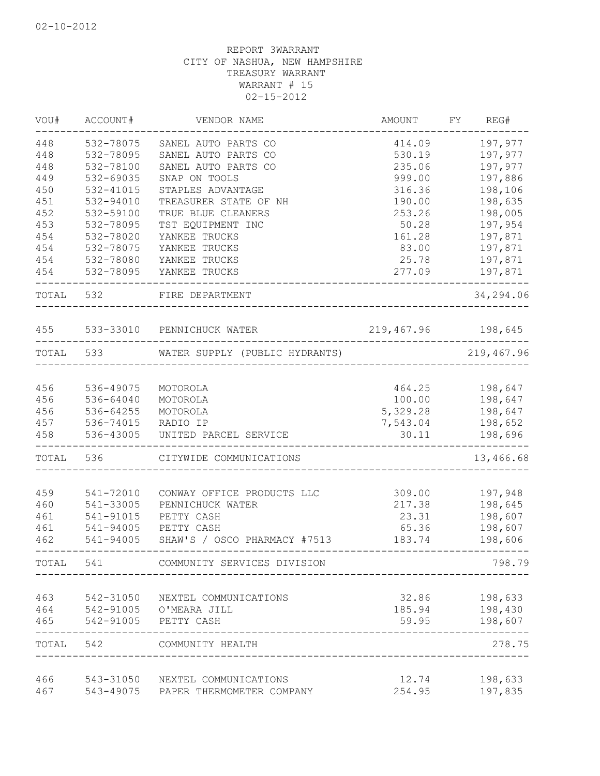| VOU#      | ACCOUNT#  | VENDOR NAME                                        | <b>AMOUNT</b>      | FY | REG#                     |
|-----------|-----------|----------------------------------------------------|--------------------|----|--------------------------|
| 448       | 532-78075 | SANEL AUTO PARTS CO                                | 414.09             |    | 197,977                  |
| 448       | 532-78095 | SANEL AUTO PARTS CO                                | 530.19             |    | 197,977                  |
| 448       | 532-78100 | SANEL AUTO PARTS CO                                | 235.06             |    | 197,977                  |
| 449       | 532-69035 | SNAP ON TOOLS                                      | 999.00             |    | 197,886                  |
| 450       | 532-41015 | STAPLES ADVANTAGE                                  | 316.36             |    | 198,106                  |
| 451       | 532-94010 | TREASURER STATE OF NH                              | 190.00             |    | 198,635                  |
| 452       | 532-59100 | TRUE BLUE CLEANERS                                 | 253.26             |    | 198,005                  |
| 453       | 532-78095 | TST EQUIPMENT INC                                  | 50.28              |    | 197,954                  |
| 454       | 532-78020 | YANKEE TRUCKS                                      | 161.28             |    | 197,871                  |
| 454       | 532-78075 | YANKEE TRUCKS                                      | 83.00              |    | 197,871                  |
| 454       | 532-78080 | YANKEE TRUCKS                                      | 25.78              |    | 197,871                  |
| 454       | 532-78095 | YANKEE TRUCKS                                      | 277.09             |    | 197,871                  |
| TOTAL 532 |           | FIRE DEPARTMENT<br>____________________________    |                    |    | 34,294.06                |
|           |           | 455 533-33010 PENNICHUCK WATER                     | 219,467.96 198,645 |    |                          |
|           | TOTAL 533 | WATER SUPPLY (PUBLIC HYDRANTS)                     |                    |    | 219,467.96               |
|           |           |                                                    |                    |    |                          |
| 456       | 536-49075 | MOTOROLA                                           | 464.25             |    | 198,647                  |
| 456       | 536-64040 | MOTOROLA                                           | 100.00             |    | 198,647                  |
| 456       | 536-64255 | MOTOROLA                                           | 5,329.28           |    | 198,647                  |
| 457       | 536-74015 | RADIO IP                                           | 7,543.04           |    | 198,652                  |
| 458       | 536-43005 | UNITED PARCEL SERVICE                              | 30.11              |    | 198,696<br>$\frac{1}{2}$ |
| TOTAL     | 536       | CITYWIDE COMMUNICATIONS                            |                    |    | 13,466.68                |
| 459       | 541-72010 | CONWAY OFFICE PRODUCTS LLC                         | 309.00             |    | 197,948                  |
| 460       | 541-33005 | PENNICHUCK WATER                                   | 217.38             |    | 198,645                  |
| 461       | 541-91015 | PETTY CASH                                         | 23.31              |    | 198,607                  |
| 461       | 541-94005 | PETTY CASH                                         | 65.36              |    | 198,607                  |
| 462       | 541-94005 | SHAW'S / OSCO PHARMACY #7513                       | 183.74             |    | 198,606                  |
| TOTAL     | 541       | COMMUNITY SERVICES DIVISION                        |                    |    | 798.79                   |
| 463       | 542-31050 |                                                    | 32.86              |    |                          |
| 464       | 542-91005 | NEXTEL COMMUNICATIONS<br>O'MEARA JILL              | 185.94             |    | 198,633<br>198,430       |
| 465       | 542-91005 | PETTY CASH                                         | 59.95              |    | 198,607                  |
| TOTAL     | 542       | <u> Liberalis en Liberalis</u><br>COMMUNITY HEALTH |                    |    | 278.75                   |
| 466       | 543-31050 | NEXTEL COMMUNICATIONS                              | 12.74              |    | 198,633                  |
| 467       | 543-49075 | PAPER THERMOMETER COMPANY                          | 254.95             |    | 197,835                  |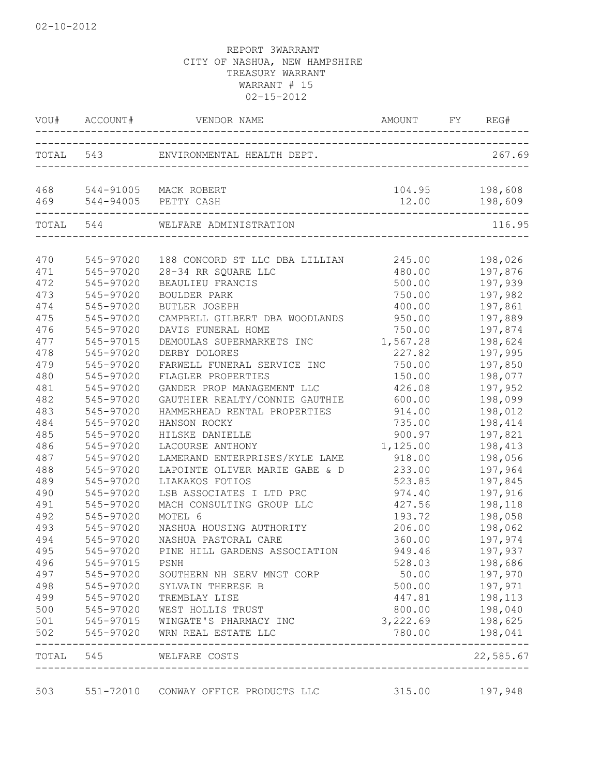|            | VOU# ACCOUNT# |                                               |          | AMOUNT FY REG#            |
|------------|---------------|-----------------------------------------------|----------|---------------------------|
|            |               |                                               |          | 267.69                    |
| 468<br>469 |               | 544-91005 MACK ROBERT<br>544-94005 PETTY CASH | 12.00    | 104.95 198,608<br>198,609 |
|            | TOTAL 544     | WELFARE ADMINISTRATION                        |          | 116.95                    |
| 470        | 545-97020     | 188 CONCORD ST LLC DBA LILLIAN                | 245.00   | 198,026                   |
| 471        | 545-97020     | 28-34 RR SQUARE LLC                           | 480.00   | 197,876                   |
| 472        | 545-97020     | BEAULIEU FRANCIS                              | 500.00   | 197,939                   |
| 473        | 545-97020     | BOULDER PARK                                  | 750.00   | 197,982                   |
| 474        | 545-97020     | BUTLER JOSEPH                                 | 400.00   | 197,861                   |
| 475        | 545-97020     | CAMPBELL GILBERT DBA WOODLANDS                | 950.00   | 197,889                   |
| 476        | 545-97020     | DAVIS FUNERAL HOME                            | 750.00   | 197,874                   |
| 477        | 545-97015     | DEMOULAS SUPERMARKETS INC                     | 1,567.28 | 198,624                   |
| 478        | 545-97020     | DERBY DOLORES                                 | 227.82   | 197,995                   |
| 479        | 545-97020     | FARWELL FUNERAL SERVICE INC                   | 750.00   | 197,850                   |
| 480        | 545-97020     | FLAGLER PROPERTIES                            | 150.00   | 198,077                   |
| 481        | 545-97020     | GANDER PROP MANAGEMENT LLC                    | 426.08   | 197,952                   |
| 482        | 545-97020     | GAUTHIER REALTY/CONNIE GAUTHIE                | 600.00   | 198,099                   |
| 483        | 545-97020     | HAMMERHEAD RENTAL PROPERTIES                  | 914.00   | 198,012                   |
| 484        | 545-97020     | HANSON ROCKY                                  | 735.00   | 198,414                   |
| 485        | 545-97020     | HILSKE DANIELLE                               | 900.97   | 197,821                   |
| 486        | 545-97020     | LACOURSE ANTHONY                              | 1,125.00 | 198,413                   |
| 487        | 545-97020     | LAMERAND ENTERPRISES/KYLE LAME                | 918.00   | 198,056                   |
| 488        | 545-97020     | LAPOINTE OLIVER MARIE GABE & D                | 233.00   | 197,964                   |
| 489        | 545-97020     | LIAKAKOS FOTIOS                               | 523.85   | 197,845                   |
| 490        | 545-97020     | LSB ASSOCIATES I LTD PRC                      | 974.40   | 197,916                   |
| 491        | 545-97020     | MACH CONSULTING GROUP LLC                     | 427.56   | 198,118                   |
| 492        | 545-97020     | MOTEL 6                                       | 193.72   | 198,058                   |
| 493        | 545-97020     | NASHUA HOUSING AUTHORITY                      | 206.00   | 198,062                   |
| 494        | 545-97020     | NASHUA PASTORAL CARE                          | 360.00   | 197,974                   |
| 495        | 545-97020     | PINE HILL GARDENS ASSOCIATION                 | 949.46   | 197,937                   |
| 496        | 545-97015     | PSNH                                          | 528.03   | 198,686                   |
| 497        | 545-97020     | SOUTHERN NH SERV MNGT CORP                    | 50.00    | 197,970                   |
| 498        | 545-97020     | SYLVAIN THERESE B                             | 500.00   | 197,971                   |
| 499        | 545-97020     | TREMBLAY LISE                                 | 447.81   | 198,113                   |
| 500        | 545-97020     | WEST HOLLIS TRUST                             | 800.00   | 198,040                   |
| 501        | 545-97015     | WINGATE'S PHARMACY INC                        | 3,222.69 | 198,625                   |
| 502        | 545-97020     | WRN REAL ESTATE LLC                           | 780.00   | 198,041                   |
| TOTAL 545  |               | WELFARE COSTS                                 |          | 22,585.67                 |

503 551-72010 CONWAY OFFICE PRODUCTS LLC 315.00 197,948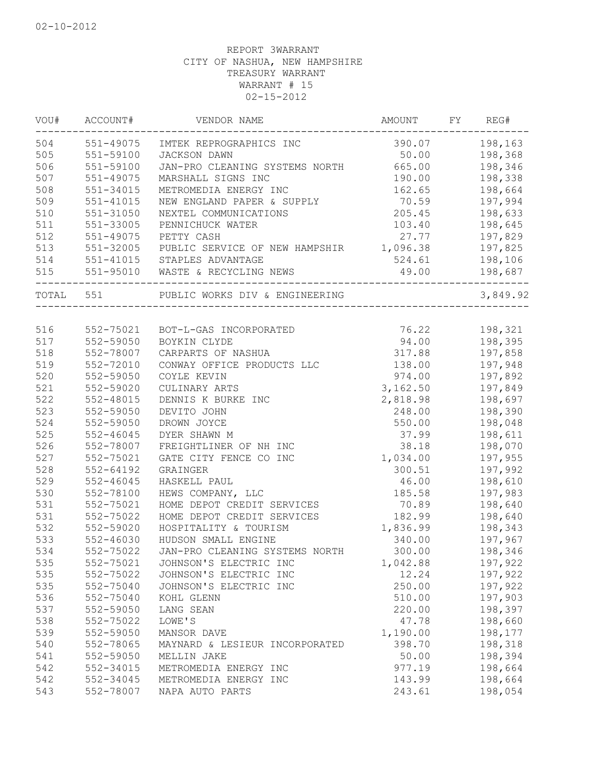| WOU# | ACCOUNT#      | VENDOR NAME                      | AMOUNT         | FY | REG#     |
|------|---------------|----------------------------------|----------------|----|----------|
| 504  | 551-49075     | IMTEK REPROGRAPHICS INC          | 390.07         |    | 198,163  |
| 505  | 551-59100     | JACKSON DAWN                     | 50.00          |    | 198,368  |
| 506  | 551-59100     | JAN-PRO CLEANING SYSTEMS NORTH   | 665.00         |    | 198,346  |
| 507  | 551-49075     | MARSHALL SIGNS INC               | 190.00         |    | 198,338  |
| 508  | 551-34015     | METROMEDIA ENERGY INC            | 162.65         |    | 198,664  |
| 509  | 551-41015     | NEW ENGLAND PAPER & SUPPLY       | 70.59          |    | 197,994  |
| 510  | 551-31050     | NEXTEL COMMUNICATIONS            | 205.45         |    | 198,633  |
| 511  | 551-33005     | PENNICHUCK WATER                 | 103.40         |    | 198,645  |
| 512  | 551-49075     | PETTY CASH                       | 27.77          |    | 197,829  |
| 513  | 551-32005     | PUBLIC SERVICE OF NEW HAMPSHIR   | 1,096.38       |    | 197,825  |
| 514  | 551-41015     | STAPLES ADVANTAGE                | 524.61         |    | 198,106  |
| 515  |               | 551-95010 WASTE & RECYCLING NEWS | 49.00          |    | 198,687  |
|      | TOTAL 551     | PUBLIC WORKS DIV & ENGINEERING   | ______________ |    | 3,849.92 |
|      |               |                                  |                |    |          |
| 516  | 552-75021     | BOT-L-GAS INCORPORATED           | 76.22          |    | 198,321  |
| 517  | 552-59050     | BOYKIN CLYDE                     | 94.00          |    | 198,395  |
| 518  | 552-78007     | CARPARTS OF NASHUA               | 317.88         |    | 197,858  |
| 519  | 552-72010     | CONWAY OFFICE PRODUCTS LLC       | 138.00         |    | 197,948  |
| 520  | 552-59050     | COYLE KEVIN                      | 974.00         |    | 197,892  |
| 521  | 552-59020     | CULINARY ARTS                    | 3,162.50       |    | 197,849  |
| 522  | 552-48015     | DENNIS K BURKE INC               | 2,818.98       |    | 198,697  |
| 523  | 552-59050     | DEVITO JOHN                      | 248.00         |    | 198,390  |
| 524  | 552-59050     | DROWN JOYCE                      | 550.00         |    | 198,048  |
| 525  | 552-46045     | DYER SHAWN M                     | 37.99          |    | 198,611  |
| 526  | 552-78007     | FREIGHTLINER OF NH INC           | 38.18          |    | 198,070  |
| 527  | 552-75021     | GATE CITY FENCE CO INC           | 1,034.00       |    | 197,955  |
| 528  | $552 - 64192$ | GRAINGER                         | 300.51         |    | 197,992  |
| 529  | $552 - 46045$ | HASKELL PAUL                     | 46.00          |    | 198,610  |
| 530  | 552-78100     | HEWS COMPANY, LLC                | 185.58         |    | 197,983  |
| 531  | 552-75021     | HOME DEPOT CREDIT SERVICES       | 70.89          |    | 198,640  |
| 531  | 552-75022     | HOME DEPOT CREDIT SERVICES       | 182.99         |    | 198,640  |
| 532  | 552-59020     | HOSPITALITY & TOURISM            | 1,836.99       |    | 198,343  |
| 533  | $552 - 46030$ | HUDSON SMALL ENGINE              | 340.00         |    | 197,967  |
| 534  | 552-75022     | JAN-PRO CLEANING SYSTEMS NORTH   | 300.00         |    | 198,346  |
| 535  | 552-75021     | JOHNSON'S ELECTRIC INC           | 1,042.88       |    | 197,922  |
| 535  | 552-75022     | JOHNSON'S ELECTRIC INC           | 12.24          |    | 197,922  |
| 535  | 552-75040     | JOHNSON'S ELECTRIC INC           | 250.00         |    | 197,922  |
| 536  | 552-75040     | KOHL GLENN                       | 510.00         |    | 197,903  |
| 537  | 552-59050     | LANG SEAN                        | 220.00         |    | 198,397  |
| 538  | 552-75022     | LOWE'S                           | 47.78          |    | 198,660  |
| 539  | 552-59050     | MANSOR DAVE                      | 1,190.00       |    | 198,177  |
| 540  | 552-78065     | MAYNARD & LESIEUR INCORPORATED   | 398.70         |    | 198,318  |
| 541  | 552-59050     | MELLIN JAKE                      | 50.00          |    | 198,394  |
| 542  | 552-34015     | METROMEDIA ENERGY INC            | 977.19         |    | 198,664  |
| 542  | 552-34045     | METROMEDIA ENERGY INC            | 143.99         |    | 198,664  |
| 543  | 552-78007     | NAPA AUTO PARTS                  | 243.61         |    | 198,054  |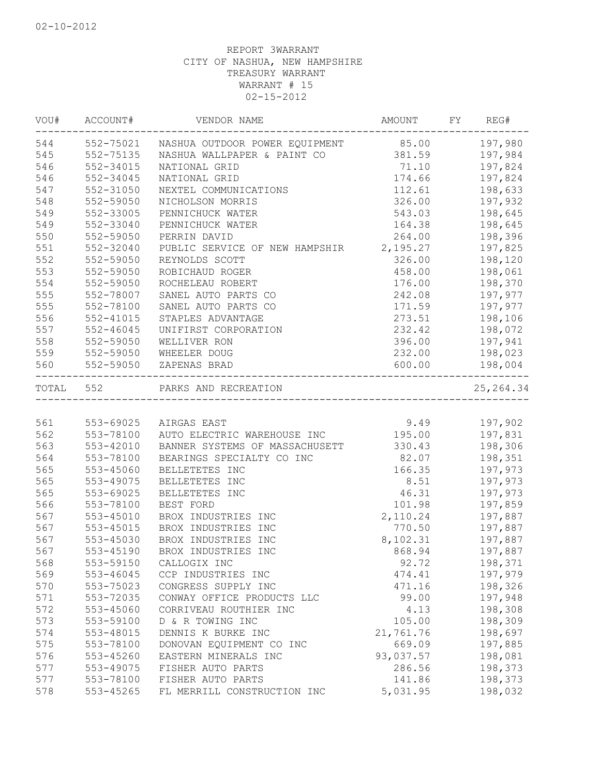| VOU#      | ACCOUNT#      | VENDOR NAME                    | AMOUNT    | FY | REG#       |
|-----------|---------------|--------------------------------|-----------|----|------------|
| 544       | 552-75021     | NASHUA OUTDOOR POWER EQUIPMENT | 85.00     |    | 197,980    |
| 545       | 552-75135     | NASHUA WALLPAPER & PAINT CO    | 381.59    |    | 197,984    |
| 546       | 552-34015     | NATIONAL GRID                  | 71.10     |    | 197,824    |
| 546       | 552-34045     | NATIONAL GRID                  | 174.66    |    | 197,824    |
| 547       | 552-31050     | NEXTEL COMMUNICATIONS          | 112.61    |    | 198,633    |
| 548       | 552-59050     | NICHOLSON MORRIS               | 326.00    |    | 197,932    |
| 549       | 552-33005     | PENNICHUCK WATER               | 543.03    |    | 198,645    |
| 549       | 552-33040     | PENNICHUCK WATER               | 164.38    |    | 198,645    |
| 550       | 552-59050     | PERRIN DAVID                   | 264.00    |    | 198,396    |
| 551       | 552-32040     | PUBLIC SERVICE OF NEW HAMPSHIR | 2,195.27  |    | 197,825    |
| 552       | 552-59050     | REYNOLDS SCOTT                 | 326.00    |    | 198,120    |
| 553       | 552-59050     | ROBICHAUD ROGER                | 458.00    |    | 198,061    |
| 554       | 552-59050     | ROCHELEAU ROBERT               | 176.00    |    | 198,370    |
| 555       | 552-78007     | SANEL AUTO PARTS CO            | 242.08    |    | 197,977    |
| 555       | 552-78100     | SANEL AUTO PARTS CO            | 171.59    |    | 197,977    |
| 556       | 552-41015     | STAPLES ADVANTAGE              | 273.51    |    | 198,106    |
| 557       | 552-46045     | UNIFIRST CORPORATION           | 232.42    |    | 198,072    |
| 558       | 552-59050     | WELLIVER RON                   | 396.00    |    | 197,941    |
| 559       | 552-59050     | WHEELER DOUG                   | 232.00    |    | 198,023    |
| 560       | 552-59050     | ZAPENAS BRAD                   | 600.00    |    | 198,004    |
| TOTAL 552 |               | PARKS AND RECREATION           |           |    | 25, 264.34 |
|           |               |                                |           |    |            |
| 561       | 553-69025     | AIRGAS EAST                    | 9.49      |    | 197,902    |
| 562       | 553-78100     | AUTO ELECTRIC WAREHOUSE INC    | 195.00    |    | 197,831    |
| 563       | 553-42010     | BANNER SYSTEMS OF MASSACHUSETT | 330.43    |    | 198,306    |
| 564       | 553-78100     | BEARINGS SPECIALTY CO INC      | 82.07     |    | 198,351    |
| 565       | 553-45060     | BELLETETES INC                 | 166.35    |    | 197,973    |
| 565       | 553-49075     | BELLETETES INC                 | 8.51      |    | 197,973    |
| 565       | 553-69025     | BELLETETES INC                 | 46.31     |    | 197,973    |
| 566       | 553-78100     | BEST FORD                      | 101.98    |    | 197,859    |
| 567       | $553 - 45010$ | BROX INDUSTRIES INC            | 2,110.24  |    | 197,887    |
| 567       | 553-45015     | BROX INDUSTRIES INC            | 770.50    |    | 197,887    |
| 567       | 553-45030     | BROX INDUSTRIES INC            | 8,102.31  |    | 197,887    |
| 567       | 553-45190     | BROX INDUSTRIES INC            | 868.94    |    | 197,887    |
| 568       | 553-59150     | CALLOGIX INC                   | 92.72     |    | 198,371    |
| 569       | $553 - 46045$ | CCP INDUSTRIES INC             | 474.41    |    | 197,979    |
| 570       | 553-75023     | CONGRESS SUPPLY INC            | 471.16    |    | 198,326    |
| 571       | 553-72035     | CONWAY OFFICE PRODUCTS LLC     | 99.00     |    | 197,948    |
| 572       | 553-45060     | CORRIVEAU ROUTHIER INC         | 4.13      |    | 198,308    |
| 573       | 553-59100     | D & R TOWING INC               | 105.00    |    | 198,309    |
| 574       | 553-48015     | DENNIS K BURKE INC             | 21,761.76 |    | 198,697    |
| 575       | 553-78100     | DONOVAN EQUIPMENT CO INC       | 669.09    |    | 197,885    |
| 576       | 553-45260     | EASTERN MINERALS INC           | 93,037.57 |    | 198,081    |
| 577       | 553-49075     | FISHER AUTO PARTS              | 286.56    |    | 198,373    |
| 577       | 553-78100     | FISHER AUTO PARTS              | 141.86    |    | 198,373    |
| 578       | 553-45265     | FL MERRILL CONSTRUCTION INC    | 5,031.95  |    | 198,032    |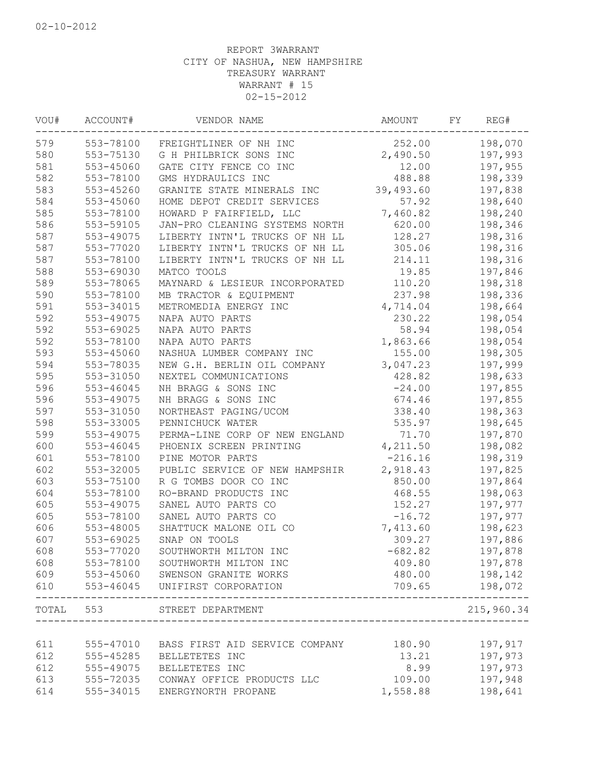| VOU#  | ACCOUNT#               | VENDOR NAME                                | AMOUNT    | FY. | REG#                       |
|-------|------------------------|--------------------------------------------|-----------|-----|----------------------------|
| 579   | 553-78100              | FREIGHTLINER OF NH INC                     | 252.00    |     | 198,070                    |
| 580   | 553-75130              | G H PHILBRICK SONS INC                     | 2,490.50  |     | 197,993                    |
| 581   | 553-45060              | GATE CITY FENCE CO INC                     | 12.00     |     | 197,955                    |
| 582   | 553-78100              | GMS HYDRAULICS INC                         | 488.88    |     | 198,339                    |
| 583   | 553-45260              | GRANITE STATE MINERALS INC                 | 39,493.60 |     | 197,838                    |
| 584   | 553-45060              | HOME DEPOT CREDIT SERVICES                 | 57.92     |     | 198,640                    |
| 585   | 553-78100              | HOWARD P FAIRFIELD, LLC                    | 7,460.82  |     | 198,240                    |
| 586   | 553-59105              | JAN-PRO CLEANING SYSTEMS NORTH             | 620.00    |     | 198,346                    |
| 587   | 553-49075              | LIBERTY INTN'L TRUCKS OF NH LL             | 128.27    |     | 198,316                    |
| 587   | 553-77020              | LIBERTY INTN'L TRUCKS OF NH LL             | 305.06    |     | 198,316                    |
| 587   | 553-78100              | LIBERTY INTN'L TRUCKS OF NH LL             | 214.11    |     | 198,316                    |
| 588   | 553-69030              | MATCO TOOLS                                | 19.85     |     | 197,846                    |
| 589   | 553-78065              | MAYNARD & LESIEUR INCORPORATED             | 110.20    |     | 198,318                    |
| 590   | 553-78100              | MB TRACTOR & EQUIPMENT                     | 237.98    |     | 198,336                    |
| 591   | 553-34015              | METROMEDIA ENERGY INC                      | 4,714.04  |     | 198,664                    |
| 592   | 553-49075              | NAPA AUTO PARTS                            | 230.22    |     | 198,054                    |
| 592   | 553-69025              | NAPA AUTO PARTS                            | 58.94     |     | 198,054                    |
| 592   | 553-78100              | NAPA AUTO PARTS                            | 1,863.66  |     | 198,054                    |
| 593   | 553-45060              | NASHUA LUMBER COMPANY INC                  | 155.00    |     | 198,305                    |
| 594   | 553-78035              | NEW G.H. BERLIN OIL COMPANY                | 3,047.23  |     | 197,999                    |
| 595   | 553-31050              | NEXTEL COMMUNICATIONS                      | 428.82    |     | 198,633                    |
| 596   | 553-46045              | NH BRAGG & SONS INC                        | $-24.00$  |     | 197,855                    |
| 596   | 553-49075              | NH BRAGG & SONS INC                        | 674.46    |     | 197,855                    |
| 597   | 553-31050              | NORTHEAST PAGING/UCOM                      | 338.40    |     | 198,363                    |
| 598   | 553-33005              | PENNICHUCK WATER                           | 535.97    |     | 198,645                    |
| 599   | 553-49075              | PERMA-LINE CORP OF NEW ENGLAND             | 71.70     |     | 197,870                    |
| 600   | 553-46045              | PHOENIX SCREEN PRINTING                    | 4,211.50  |     | 198,082                    |
| 601   | 553-78100              | PINE MOTOR PARTS                           | $-216.16$ |     | 198,319                    |
| 602   | 553-32005              | PUBLIC SERVICE OF NEW HAMPSHIR             | 2,918.43  |     | 197,825                    |
|       |                        |                                            | 850.00    |     |                            |
| 603   | 553-75100<br>553-78100 | R G TOMBS DOOR CO INC                      |           |     | 197,864                    |
| 604   |                        | RO-BRAND PRODUCTS INC                      | 468.55    |     | 198,063                    |
| 605   | 553-49075              | SANEL AUTO PARTS CO                        | 152.27    |     | 197,977                    |
| 605   | 553-78100              | SANEL AUTO PARTS CO                        | $-16.72$  |     | 197,977                    |
| 606   | 553-48005              | SHATTUCK MALONE OIL CO                     | 7,413.60  |     | 198,623                    |
| 607   | 553-69025              | SNAP ON TOOLS                              | 309.27    |     | 197,886                    |
| 608   | 553-77020              | SOUTHWORTH MILTON INC                      | $-682.82$ |     | 197,878                    |
| 608   | 553-78100              | SOUTHWORTH MILTON INC                      | 409.80    |     | 197,878                    |
| 609   | 553-45060              | SWENSON GRANITE WORKS                      | 480.00    |     | 198,142                    |
| 610   | 553-46045              | UNIFIRST CORPORATION                       | 709.65    |     | 198,072                    |
| TOTAL | 553                    | STREET DEPARTMENT<br>_____________________ |           |     | 215,960.34<br>___________. |
|       |                        |                                            |           |     |                            |
| 611   | 555-47010              | BASS FIRST AID SERVICE COMPANY             | 180.90    |     | 197,917                    |
| 612   | 555-45285              | BELLETETES INC                             | 13.21     |     | 197,973                    |
| 612   | 555-49075              | BELLETETES INC                             | 8.99      |     | 197,973                    |
| 613   | 555-72035              | CONWAY OFFICE PRODUCTS LLC                 | 109.00    |     | 197,948                    |
| 614   | 555-34015              | ENERGYNORTH PROPANE                        | 1,558.88  |     | 198,641                    |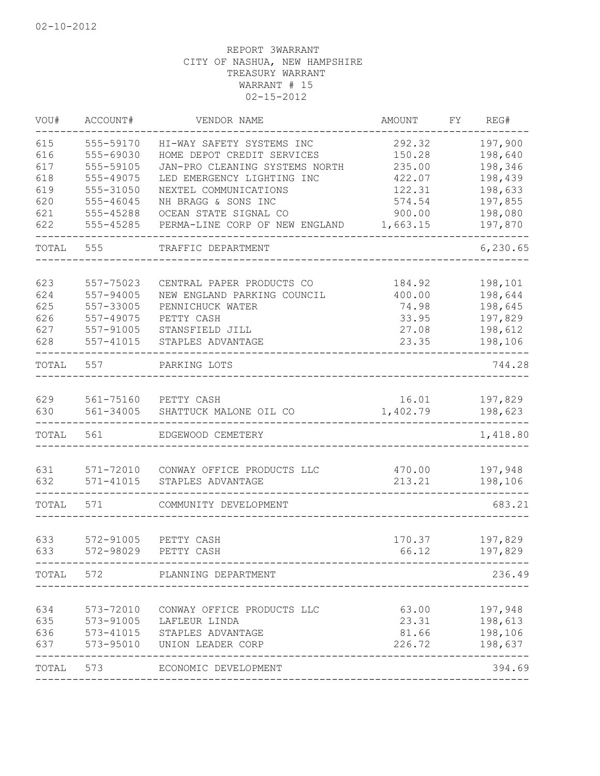| VOU#  | ACCOUNT#      | VENDOR NAME                    | AMOUNT   | FY. | REG#      |
|-------|---------------|--------------------------------|----------|-----|-----------|
| 615   | 555-59170     | HI-WAY SAFETY SYSTEMS INC      | 292.32   |     | 197,900   |
| 616   | 555-69030     | HOME DEPOT CREDIT SERVICES     | 150.28   |     | 198,640   |
| 617   | 555-59105     | JAN-PRO CLEANING SYSTEMS NORTH | 235.00   |     | 198,346   |
| 618   | 555-49075     | LED EMERGENCY LIGHTING INC     | 422.07   |     | 198,439   |
| 619   | 555-31050     | NEXTEL COMMUNICATIONS          | 122.31   |     | 198,633   |
| 620   | 555-46045     | NH BRAGG & SONS INC            | 574.54   |     | 197,855   |
| 621   | 555-45288     | OCEAN STATE SIGNAL CO          | 900.00   |     | 198,080   |
| 622   | 555-45285     | PERMA-LINE CORP OF NEW ENGLAND | 1,663.15 |     | 197,870   |
| TOTAL | 555           | TRAFFIC DEPARTMENT             |          |     | 6, 230.65 |
| 623   | 557-75023     | CENTRAL PAPER PRODUCTS CO      | 184.92   |     | 198,101   |
| 624   | 557-94005     | NEW ENGLAND PARKING COUNCIL    | 400.00   |     | 198,644   |
| 625   | 557-33005     | PENNICHUCK WATER               | 74.98    |     | 198,645   |
| 626   | 557-49075     | PETTY CASH                     | 33.95    |     | 197,829   |
| 627   | 557-91005     | STANSFIELD JILL                | 27.08    |     | 198,612   |
| 628   | 557-41015     | STAPLES ADVANTAGE              | 23.35    |     | 198,106   |
| TOTAL | 557           | PARKING LOTS                   |          |     | 744.28    |
|       |               |                                |          |     |           |
| 629   | 561-75160     | PETTY CASH                     | 16.01    |     | 197,829   |
| 630   | 561-34005     | SHATTUCK MALONE OIL CO         | 1,402.79 |     | 198,623   |
| TOTAL | 561           | EDGEWOOD CEMETERY              |          |     | 1,418.80  |
| 631   | 571-72010     | CONWAY OFFICE PRODUCTS LLC     | 470.00   |     | 197,948   |
| 632   | $571 - 41015$ | STAPLES ADVANTAGE              | 213.21   |     | 198,106   |
| TOTAL | 571           | COMMUNITY DEVELOPMENT          |          |     | 683.21    |
| 633   | 572-91005     | PETTY CASH                     | 170.37   |     | 197,829   |
| 633   | 572-98029     | PETTY CASH                     | 66.12    |     | 197,829   |
|       |               | TOTAL 572 PLANNING DEPARTMENT  |          |     | 236.49    |
|       |               |                                |          |     |           |
| 634   | 573-72010     | CONWAY OFFICE PRODUCTS LLC     | 63.00    |     | 197,948   |
| 635   |               | 573-91005 LAFLEUR LINDA        | 23.31    |     | 198,613   |
| 636   |               | 573-41015 STAPLES ADVANTAGE    | 81.66    |     | 198,106   |
| 637   |               | 573-95010 UNION LEADER CORP    | 226.72   |     | 198,637   |
| TOTAL | 573           | ECONOMIC DEVELOPMENT           |          |     | 394.69    |
|       |               |                                |          |     |           |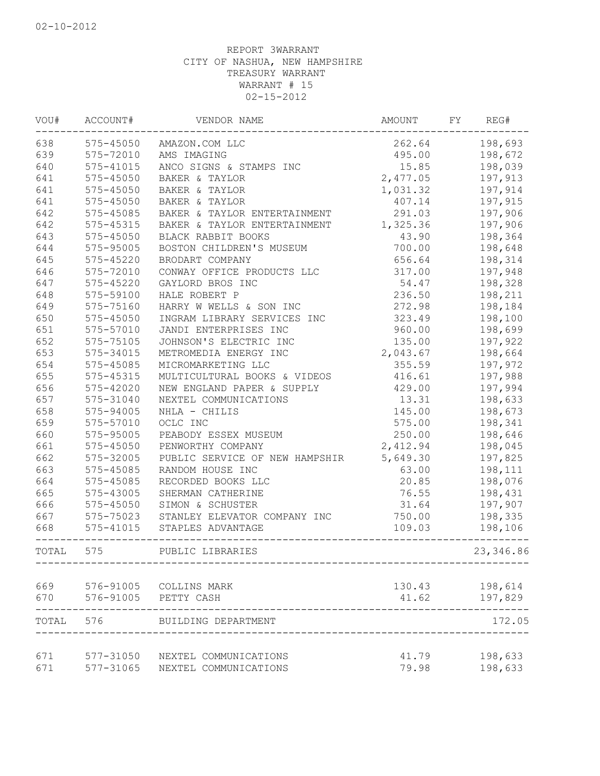| VOU#  | ACCOUNT#      | VENDOR NAME                    | AMOUNT   | FY | REG#      |
|-------|---------------|--------------------------------|----------|----|-----------|
| 638   |               | 575-45050 AMAZON.COM LLC       | 262.64   |    | 198,693   |
| 639   | 575-72010     | AMS IMAGING                    | 495.00   |    | 198,672   |
| 640   | 575-41015     | ANCO SIGNS & STAMPS INC        | 15.85    |    | 198,039   |
| 641   | $575 - 45050$ | BAKER & TAYLOR                 | 2,477.05 |    | 197,913   |
| 641   | $575 - 45050$ | BAKER & TAYLOR                 | 1,031.32 |    | 197,914   |
| 641   | $575 - 45050$ | BAKER & TAYLOR                 | 407.14   |    | 197,915   |
| 642   | 575-45085     | BAKER & TAYLOR ENTERTAINMENT   | 291.03   |    | 197,906   |
| 642   | 575-45315     | BAKER & TAYLOR ENTERTAINMENT   | 1,325.36 |    | 197,906   |
| 643   | 575-45050     | BLACK RABBIT BOOKS             | 43.90    |    | 198,364   |
| 644   | 575-95005     | BOSTON CHILDREN'S MUSEUM       | 700.00   |    | 198,648   |
| 645   | 575-45220     | BRODART COMPANY                | 656.64   |    | 198,314   |
| 646   | 575-72010     | CONWAY OFFICE PRODUCTS LLC     | 317.00   |    | 197,948   |
| 647   | 575-45220     | GAYLORD BROS INC               | 54.47    |    | 198,328   |
| 648   | 575-59100     | HALE ROBERT P                  | 236.50   |    | 198,211   |
| 649   | 575-75160     | HARRY W WELLS & SON INC        | 272.98   |    | 198,184   |
| 650   | 575-45050     | INGRAM LIBRARY SERVICES INC    | 323.49   |    | 198,100   |
| 651   | 575-57010     | JANDI ENTERPRISES INC          | 960.00   |    | 198,699   |
| 652   | 575-75105     | JOHNSON'S ELECTRIC INC         | 135.00   |    | 197,922   |
| 653   | 575-34015     | METROMEDIA ENERGY INC          | 2,043.67 |    | 198,664   |
| 654   | 575-45085     | MICROMARKETING LLC             | 355.59   |    | 197,972   |
| 655   | $575 - 45315$ | MULTICULTURAL BOOKS & VIDEOS   | 416.61   |    | 197,988   |
| 656   | 575-42020     | NEW ENGLAND PAPER & SUPPLY     | 429.00   |    | 197,994   |
| 657   | 575-31040     | NEXTEL COMMUNICATIONS          | 13.31    |    | 198,633   |
| 658   | 575-94005     | NHLA - CHILIS                  | 145.00   |    | 198,673   |
| 659   | 575-57010     | OCLC INC                       | 575.00   |    | 198,341   |
| 660   | 575-95005     | PEABODY ESSEX MUSEUM           | 250.00   |    | 198,646   |
| 661   | 575-45050     | PENWORTHY COMPANY              | 2,412.94 |    | 198,045   |
| 662   | 575-32005     | PUBLIC SERVICE OF NEW HAMPSHIR | 5,649.30 |    | 197,825   |
| 663   | 575-45085     | RANDOM HOUSE INC               | 63.00    |    | 198,111   |
| 664   | 575-45085     | RECORDED BOOKS LLC             | 20.85    |    | 198,076   |
| 665   | 575-43005     | SHERMAN CATHERINE              | 76.55    |    | 198,431   |
| 666   | $575 - 45050$ | SIMON & SCHUSTER               | 31.64    |    | 197,907   |
| 667   | 575-75023     | STANLEY ELEVATOR COMPANY INC   | 750.00   |    | 198,335   |
| 668   | 575-41015     | STAPLES ADVANTAGE              | 109.03   |    | 198,106   |
|       |               |                                |          |    |           |
| TOTAL | 575           | PUBLIC LIBRARIES               |          |    | 23,346.86 |
| 669   | 576-91005     | COLLINS MARK                   | 130.43   |    | 198,614   |
| 670   | 576-91005     | PETTY CASH                     | 41.62    |    | 197,829   |
|       |               |                                |          |    |           |
| TOTAL | 576           | BUILDING DEPARTMENT            |          |    | 172.05    |
| 671   | 577-31050     | NEXTEL COMMUNICATIONS          | 41.79    |    | 198,633   |
| 671   | 577-31065     | NEXTEL COMMUNICATIONS          | 79.98    |    | 198,633   |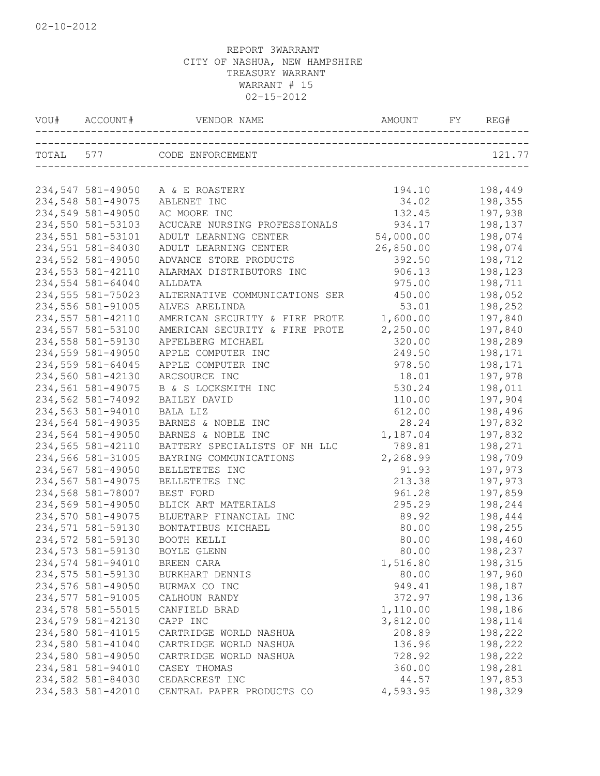| VOU# ACCOUNT#     | VENDOR NAME                    | AMOUNT FY | REG#    |
|-------------------|--------------------------------|-----------|---------|
|                   | TOTAL 577 CODE ENFORCEMENT     |           | 121.77  |
|                   |                                |           |         |
| 234,547 581-49050 | A & E ROASTERY                 | 194.10    | 198,449 |
| 234,548 581-49075 | ABLENET INC                    | 34.02     | 198,355 |
| 234,549 581-49050 | AC MOORE INC                   | 132.45    | 197,938 |
| 234,550 581-53103 | ACUCARE NURSING PROFESSIONALS  | 934.17    | 198,137 |
| 234,551 581-53101 | ADULT LEARNING CENTER          | 54,000.00 | 198,074 |
| 234,551 581-84030 | ADULT LEARNING CENTER          | 26,850.00 | 198,074 |
| 234,552 581-49050 | ADVANCE STORE PRODUCTS         | 392.50    | 198,712 |
| 234,553 581-42110 | ALARMAX DISTRIBUTORS INC       | 906.13    | 198,123 |
| 234,554 581-64040 | ALLDATA                        | 975.00    | 198,711 |
| 234,555 581-75023 | ALTERNATIVE COMMUNICATIONS SER | 450.00    | 198,052 |
| 234,556 581-91005 | ALVES ARELINDA                 | 53.01     | 198,252 |
| 234,557 581-42110 | AMERICAN SECURITY & FIRE PROTE | 1,600.00  | 197,840 |
| 234,557 581-53100 | AMERICAN SECURITY & FIRE PROTE | 2,250.00  | 197,840 |
| 234,558 581-59130 | APFELBERG MICHAEL              | 320.00    | 198,289 |
| 234,559 581-49050 | APPLE COMPUTER INC             | 249.50    | 198,171 |
| 234,559 581-64045 | APPLE COMPUTER INC             | 978.50    | 198,171 |
| 234,560 581-42130 | ARCSOURCE INC                  | 18.01     | 197,978 |
| 234,561 581-49075 | B & S LOCKSMITH INC            | 530.24    | 198,011 |
| 234,562 581-74092 | BAILEY DAVID                   | 110.00    | 197,904 |
| 234,563 581-94010 | BALA LIZ                       | 612.00    | 198,496 |
| 234,564 581-49035 | BARNES & NOBLE INC             | 28.24     | 197,832 |
| 234,564 581-49050 | BARNES & NOBLE INC             | 1,187.04  | 197,832 |
| 234,565 581-42110 | BATTERY SPECIALISTS OF NH LLC  | 789.81    | 198,271 |
| 234,566 581-31005 | BAYRING COMMUNICATIONS         | 2,268.99  | 198,709 |
| 234,567 581-49050 | BELLETETES INC                 | 91.93     | 197,973 |
| 234,567 581-49075 | BELLETETES INC                 | 213.38    | 197,973 |
| 234,568 581-78007 | BEST FORD                      | 961.28    | 197,859 |
| 234,569 581-49050 | BLICK ART MATERIALS            | 295.29    | 198,244 |
| 234,570 581-49075 | BLUETARP FINANCIAL INC         | 89.92     | 198,444 |
| 234,571 581-59130 | BONTATIBUS MICHAEL             | 80.00     | 198,255 |
| 234,572 581-59130 | BOOTH KELLI                    | 80.00     | 198,460 |
| 234,573 581-59130 | BOYLE GLENN                    | 80.00     | 198,237 |
| 234,574 581-94010 | BREEN CARA                     | 1,516.80  | 198,315 |
| 234,575 581-59130 | BURKHART DENNIS                | 80.00     | 197,960 |
| 234,576 581-49050 | BURMAX CO INC                  | 949.41    | 198,187 |
| 234,577 581-91005 | CALHOUN RANDY                  | 372.97    | 198,136 |
| 234,578 581-55015 | CANFIELD BRAD                  | 1,110.00  | 198,186 |
| 234,579 581-42130 | CAPP INC                       | 3,812.00  | 198,114 |
| 234,580 581-41015 | CARTRIDGE WORLD NASHUA         | 208.89    | 198,222 |
| 234,580 581-41040 | CARTRIDGE WORLD NASHUA         | 136.96    | 198,222 |
| 234,580 581-49050 | CARTRIDGE WORLD NASHUA         | 728.92    | 198,222 |
| 234,581 581-94010 | CASEY THOMAS                   | 360.00    | 198,281 |
| 234,582 581-84030 | CEDARCREST INC                 | 44.57     | 197,853 |
| 234,583 581-42010 | CENTRAL PAPER PRODUCTS CO      | 4,593.95  | 198,329 |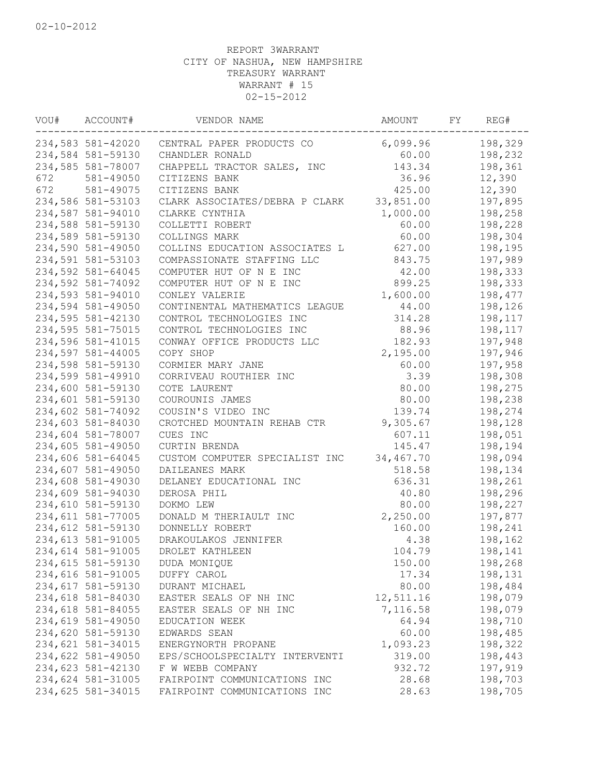| VOU# | ACCOUNT#          | VENDOR NAME                    | AMOUNT    | FY | REG#    |
|------|-------------------|--------------------------------|-----------|----|---------|
|      | 234,583 581-42020 | CENTRAL PAPER PRODUCTS CO      | 6,099.96  |    | 198,329 |
|      | 234,584 581-59130 | CHANDLER RONALD                | 60.00     |    | 198,232 |
|      | 234,585 581-78007 | CHAPPELL TRACTOR SALES, INC    | 143.34    |    | 198,361 |
| 672  | 581-49050         | CITIZENS BANK                  | 36.96     |    | 12,390  |
| 672  | 581-49075         | CITIZENS BANK                  | 425.00    |    | 12,390  |
|      | 234,586 581-53103 | CLARK ASSOCIATES/DEBRA P CLARK | 33,851.00 |    | 197,895 |
|      | 234,587 581-94010 | CLARKE CYNTHIA                 | 1,000.00  |    | 198,258 |
|      | 234,588 581-59130 | COLLETTI ROBERT                | 60.00     |    | 198,228 |
|      | 234,589 581-59130 | COLLINGS MARK                  | 60.00     |    | 198,304 |
|      | 234,590 581-49050 | COLLINS EDUCATION ASSOCIATES L | 627.00    |    | 198,195 |
|      | 234,591 581-53103 | COMPASSIONATE STAFFING LLC     | 843.75    |    | 197,989 |
|      | 234,592 581-64045 | COMPUTER HUT OF N E INC        | 42.00     |    | 198,333 |
|      | 234,592 581-74092 | COMPUTER HUT OF N E INC        | 899.25    |    | 198,333 |
|      | 234,593 581-94010 | CONLEY VALERIE                 | 1,600.00  |    | 198,477 |
|      | 234,594 581-49050 | CONTINENTAL MATHEMATICS LEAGUE | 44.00     |    | 198,126 |
|      | 234,595 581-42130 | CONTROL TECHNOLOGIES INC       | 314.28    |    | 198,117 |
|      | 234,595 581-75015 | CONTROL TECHNOLOGIES INC       | 88.96     |    | 198,117 |
|      | 234,596 581-41015 | CONWAY OFFICE PRODUCTS LLC     | 182.93    |    | 197,948 |
|      | 234,597 581-44005 | COPY SHOP                      | 2,195.00  |    | 197,946 |
|      | 234,598 581-59130 | CORMIER MARY JANE              | 60.00     |    | 197,958 |
|      | 234,599 581-49910 | CORRIVEAU ROUTHIER INC         | 3.39      |    | 198,308 |
|      | 234,600 581-59130 | COTE LAURENT                   | 80.00     |    | 198,275 |
|      | 234,601 581-59130 | COUROUNIS JAMES                | 80.00     |    | 198,238 |
|      | 234,602 581-74092 | COUSIN'S VIDEO INC             | 139.74    |    | 198,274 |
|      | 234,603 581-84030 | CROTCHED MOUNTAIN REHAB CTR    | 9,305.67  |    | 198,128 |
|      | 234,604 581-78007 | CUES INC                       | 607.11    |    | 198,051 |
|      | 234,605 581-49050 | CURTIN BRENDA                  | 145.47    |    | 198,194 |
|      | 234,606 581-64045 | CUSTOM COMPUTER SPECIALIST INC | 34,467.70 |    | 198,094 |
|      | 234,607 581-49050 | DAILEANES MARK                 | 518.58    |    | 198,134 |
|      | 234,608 581-49030 | DELANEY EDUCATIONAL INC        | 636.31    |    | 198,261 |
|      | 234,609 581-94030 | DEROSA PHIL                    | 40.80     |    | 198,296 |
|      | 234,610 581-59130 | DOKMO LEW                      | 80.00     |    | 198,227 |
|      | 234,611 581-77005 | DONALD M THERIAULT INC         | 2,250.00  |    | 197,877 |
|      | 234,612 581-59130 | DONNELLY ROBERT                | 160.00    |    | 198,241 |
|      | 234,613 581-91005 | DRAKOULAKOS JENNIFER           | 4.38      |    | 198,162 |
|      | 234,614 581-91005 | DROLET KATHLEEN                | 104.79    |    | 198,141 |
|      | 234,615 581-59130 | DUDA MONIQUE                   | 150.00    |    | 198,268 |
|      | 234,616 581-91005 | DUFFY CAROL                    | 17.34     |    | 198,131 |
|      | 234,617 581-59130 | DURANT MICHAEL                 | 80.00     |    | 198,484 |
|      | 234,618 581-84030 | EASTER SEALS OF NH INC         | 12,511.16 |    | 198,079 |
|      | 234,618 581-84055 | EASTER SEALS OF NH INC         | 7,116.58  |    | 198,079 |
|      | 234,619 581-49050 | EDUCATION WEEK                 | 64.94     |    | 198,710 |
|      | 234,620 581-59130 | EDWARDS SEAN                   | 60.00     |    | 198,485 |
|      | 234,621 581-34015 | ENERGYNORTH PROPANE            | 1,093.23  |    | 198,322 |
|      | 234,622 581-49050 | EPS/SCHOOLSPECIALTY INTERVENTI | 319.00    |    | 198,443 |
|      | 234,623 581-42130 | F W WEBB COMPANY               | 932.72    |    | 197,919 |
|      | 234,624 581-31005 | FAIRPOINT COMMUNICATIONS INC   | 28.68     |    | 198,703 |
|      | 234,625 581-34015 | FAIRPOINT COMMUNICATIONS INC   | 28.63     |    | 198,705 |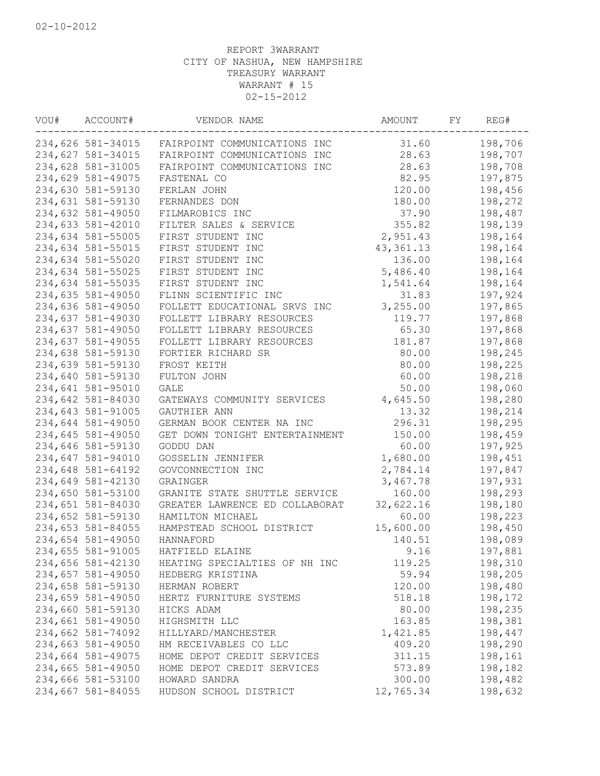| VOU# | ACCOUNT#          | VENDOR NAME                                 | AMOUNT          | FY | REG#    |
|------|-------------------|---------------------------------------------|-----------------|----|---------|
|      | 234,626 581-34015 | FAIRPOINT COMMUNICATIONS INC                | 31.60           |    | 198,706 |
|      | 234,627 581-34015 | FAIRPOINT COMMUNICATIONS INC                | 28.63           |    | 198,707 |
|      | 234,628 581-31005 | FAIRPOINT COMMUNICATIONS INC                | 28.63           |    | 198,708 |
|      | 234,629 581-49075 | FASTENAL CO                                 | 82.95           |    | 197,875 |
|      | 234,630 581-59130 | FERLAN JOHN                                 | 120.00          |    | 198,456 |
|      | 234,631 581-59130 | FERNANDES DON                               | 180.00          |    | 198,272 |
|      | 234,632 581-49050 | FILMAROBICS INC                             | 37.90           |    | 198,487 |
|      | 234,633 581-42010 | FILTER SALES & SERVICE                      | 355.82          |    | 198,139 |
|      | 234,634 581-55005 | FIRST STUDENT INC                           | 2,951.43        |    | 198,164 |
|      | 234,634 581-55015 | FIRST STUDENT INC                           | 43, 361. 13     |    | 198,164 |
|      | 234,634 581-55020 | FIRST STUDENT INC                           | 136.00          |    | 198,164 |
|      | 234,634 581-55025 | FIRST STUDENT INC                           | 5,486.40        |    | 198,164 |
|      | 234,634 581-55035 | FIRST STUDENT INC                           | 1,541.64        |    | 198,164 |
|      | 234,635 581-49050 | FLINN SCIENTIFIC INC                        | 31.83           |    | 197,924 |
|      | 234,636 581-49050 | FOLLETT EDUCATIONAL SRVS INC                | 3,255.00        |    | 197,865 |
|      | 234,637 581-49030 | FOLLETT LIBRARY RESOURCES                   | 119.77          |    | 197,868 |
|      | 234,637 581-49050 | FOLLETT LIBRARY RESOURCES                   | 65.30           |    | 197,868 |
|      | 234,637 581-49055 | FOLLETT LIBRARY RESOURCES                   | 181.87          |    | 197,868 |
|      | 234,638 581-59130 | FORTIER RICHARD SR                          | 80.00           |    | 198,245 |
|      | 234,639 581-59130 | FROST KEITH                                 | 80.00           |    | 198,225 |
|      | 234,640 581-59130 | FULTON JOHN                                 | 60.00           |    | 198,218 |
|      | 234,641 581-95010 | <b>GALE</b>                                 | 50.00           |    | 198,060 |
|      | 234,642 581-84030 | GATEWAYS COMMUNITY SERVICES                 | 4,645.50        |    | 198,280 |
|      | 234,643 581-91005 | GAUTHIER ANN                                | 13.32           |    | 198,214 |
|      | 234,644 581-49050 | GERMAN BOOK CENTER NA INC                   | 296.31          |    | 198,295 |
|      |                   |                                             |                 |    |         |
|      | 234,645 581-49050 | GET DOWN TONIGHT ENTERTAINMENT<br>GODDU DAN | 150.00<br>60.00 |    | 198,459 |
|      | 234,646 581-59130 |                                             |                 |    | 197,925 |
|      | 234,647 581-94010 | GOSSELIN JENNIFER                           | 1,680.00        |    | 198,451 |
|      | 234,648 581-64192 | GOVCONNECTION INC                           | 2,784.14        |    | 197,847 |
|      | 234,649 581-42130 | GRAINGER                                    | 3,467.78        |    | 197,931 |
|      | 234,650 581-53100 | GRANITE STATE SHUTTLE SERVICE               | 160.00          |    | 198,293 |
|      | 234,651 581-84030 | GREATER LAWRENCE ED COLLABORAT              | 32,622.16       |    | 198,180 |
|      | 234,652 581-59130 | HAMILTON MICHAEL                            | 60.00           |    | 198,223 |
|      | 234,653 581-84055 | HAMPSTEAD SCHOOL DISTRICT                   | 15,600.00       |    | 198,450 |
|      | 234,654 581-49050 | HANNAFORD                                   | 140.51          |    | 198,089 |
|      | 234,655 581-91005 | HATFIELD ELAINE                             | 9.16            |    | 197,881 |
|      | 234,656 581-42130 | HEATING SPECIALTIES OF NH INC               | 119.25          |    | 198,310 |
|      | 234,657 581-49050 | HEDBERG KRISTINA                            | 59.94           |    | 198,205 |
|      | 234,658 581-59130 | HERMAN ROBERT                               | 120.00          |    | 198,480 |
|      | 234,659 581-49050 | HERTZ FURNITURE SYSTEMS                     | 518.18          |    | 198,172 |
|      | 234,660 581-59130 | HICKS ADAM                                  | 80.00           |    | 198,235 |
|      | 234,661 581-49050 | HIGHSMITH LLC                               | 163.85          |    | 198,381 |
|      | 234,662 581-74092 | HILLYARD/MANCHESTER                         | 1,421.85        |    | 198,447 |
|      | 234,663 581-49050 | HM RECEIVABLES CO LLC                       | 409.20          |    | 198,290 |
|      | 234,664 581-49075 | HOME DEPOT CREDIT SERVICES                  | 311.15          |    | 198,161 |
|      | 234,665 581-49050 | HOME DEPOT CREDIT SERVICES                  | 573.89          |    | 198,182 |
|      | 234,666 581-53100 | HOWARD SANDRA                               | 300.00          |    | 198,482 |
|      | 234,667 581-84055 | HUDSON SCHOOL DISTRICT                      | 12,765.34       |    | 198,632 |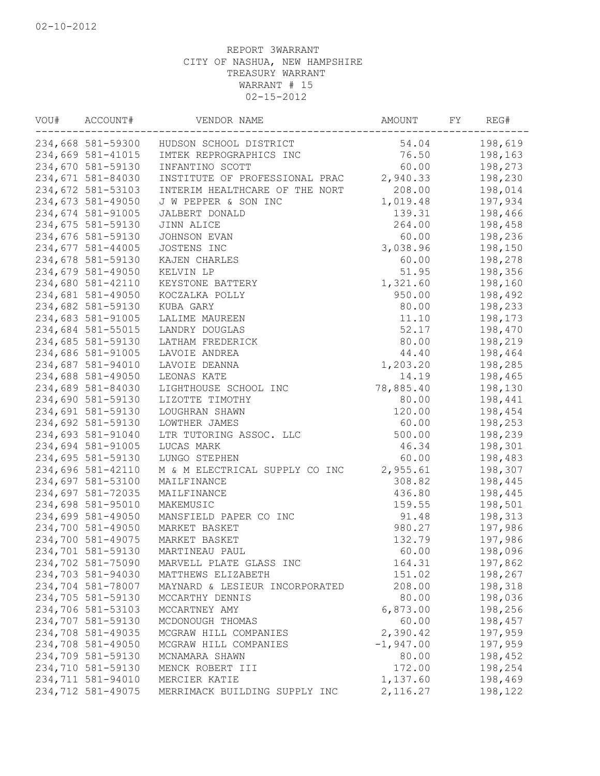| VOU# | ACCOUNT#          | VENDOR NAME                    | AMOUNT      | FY | REG#    |
|------|-------------------|--------------------------------|-------------|----|---------|
|      | 234,668 581-59300 | HUDSON SCHOOL DISTRICT         | 54.04       |    | 198,619 |
|      | 234,669 581-41015 | IMTEK REPROGRAPHICS INC        | 76.50       |    | 198,163 |
|      | 234,670 581-59130 | INFANTINO SCOTT                | 60.00       |    | 198,273 |
|      | 234,671 581-84030 | INSTITUTE OF PROFESSIONAL PRAC | 2,940.33    |    | 198,230 |
|      | 234,672 581-53103 | INTERIM HEALTHCARE OF THE NORT | 208.00      |    | 198,014 |
|      | 234,673 581-49050 | J W PEPPER & SON INC           | 1,019.48    |    | 197,934 |
|      | 234,674 581-91005 | JALBERT DONALD                 | 139.31      |    | 198,466 |
|      | 234,675 581-59130 | JINN ALICE                     | 264.00      |    | 198,458 |
|      | 234,676 581-59130 | JOHNSON EVAN                   | 60.00       |    | 198,236 |
|      | 234,677 581-44005 | JOSTENS INC                    | 3,038.96    |    | 198,150 |
|      | 234,678 581-59130 | KAJEN CHARLES                  | 60.00       |    | 198,278 |
|      | 234,679 581-49050 | KELVIN LP                      | 51.95       |    | 198,356 |
|      | 234,680 581-42110 | KEYSTONE BATTERY               | 1,321.60    |    | 198,160 |
|      | 234,681 581-49050 | KOCZALKA POLLY                 | 950.00      |    | 198,492 |
|      | 234,682 581-59130 | KUBA GARY                      | 80.00       |    | 198,233 |
|      | 234,683 581-91005 | LALIME MAUREEN                 | 11.10       |    | 198,173 |
|      | 234,684 581-55015 | LANDRY DOUGLAS                 | 52.17       |    | 198,470 |
|      | 234,685 581-59130 | LATHAM FREDERICK               | 80.00       |    | 198,219 |
|      | 234,686 581-91005 | LAVOIE ANDREA                  | 44.40       |    | 198,464 |
|      | 234,687 581-94010 | LAVOIE DEANNA                  | 1,203.20    |    | 198,285 |
|      | 234,688 581-49050 | LEONAS KATE                    | 14.19       |    | 198,465 |
|      | 234,689 581-84030 | LIGHTHOUSE SCHOOL INC          | 78,885.40   |    | 198,130 |
|      | 234,690 581-59130 | LIZOTTE TIMOTHY                | 80.00       |    | 198,441 |
|      | 234,691 581-59130 | LOUGHRAN SHAWN                 | 120.00      |    | 198,454 |
|      | 234,692 581-59130 | LOWTHER JAMES                  | 60.00       |    | 198,253 |
|      | 234,693 581-91040 | LTR TUTORING ASSOC. LLC        | 500.00      |    | 198,239 |
|      | 234,694 581-91005 | LUCAS MARK                     | 46.34       |    | 198,301 |
|      | 234,695 581-59130 | LUNGO STEPHEN                  | 60.00       |    | 198,483 |
|      | 234,696 581-42110 | M & M ELECTRICAL SUPPLY CO INC | 2,955.61    |    | 198,307 |
|      | 234,697 581-53100 | MAILFINANCE                    | 308.82      |    | 198,445 |
|      | 234,697 581-72035 | MAILFINANCE                    | 436.80      |    | 198,445 |
|      | 234,698 581-95010 | MAKEMUSIC                      | 159.55      |    | 198,501 |
|      | 234,699 581-49050 | MANSFIELD PAPER CO INC         | 91.48       |    | 198,313 |
|      | 234,700 581-49050 | MARKET BASKET                  | 980.27      |    | 197,986 |
|      | 234,700 581-49075 | MARKET BASKET                  | 132.79      |    | 197,986 |
|      | 234,701 581-59130 | MARTINEAU PAUL                 | 60.00       |    | 198,096 |
|      | 234,702 581-75090 | MARVELL PLATE GLASS INC        | 164.31      |    | 197,862 |
|      | 234,703 581-94030 | MATTHEWS ELIZABETH             | 151.02      |    | 198,267 |
|      | 234,704 581-78007 | MAYNARD & LESIEUR INCORPORATED | 208.00      |    | 198,318 |
|      | 234,705 581-59130 | MCCARTHY DENNIS                | 80.00       |    | 198,036 |
|      | 234,706 581-53103 | MCCARTNEY AMY                  | 6,873.00    |    | 198,256 |
|      | 234,707 581-59130 | MCDONOUGH THOMAS               | 60.00       |    | 198,457 |
|      | 234,708 581-49035 | MCGRAW HILL COMPANIES          | 2,390.42    |    | 197,959 |
|      | 234,708 581-49050 | MCGRAW HILL COMPANIES          | $-1,947.00$ |    | 197,959 |
|      | 234,709 581-59130 | MCNAMARA SHAWN                 | 80.00       |    | 198,452 |
|      | 234,710 581-59130 | MENCK ROBERT III               | 172.00      |    | 198,254 |
|      | 234,711 581-94010 | MERCIER KATIE                  | 1,137.60    |    | 198,469 |
|      | 234,712 581-49075 | MERRIMACK BUILDING SUPPLY INC  | 2, 116.27   |    | 198,122 |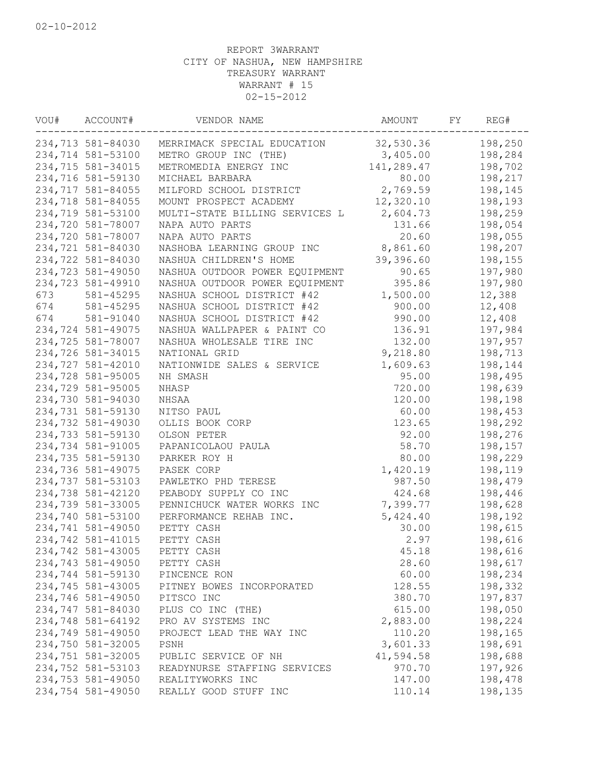| VOU# | ACCOUNT#          | VENDOR NAME                    | AMOUNT     | FY | REG#    |
|------|-------------------|--------------------------------|------------|----|---------|
|      | 234,713 581-84030 | MERRIMACK SPECIAL EDUCATION    | 32,530.36  |    | 198,250 |
|      | 234,714 581-53100 | METRO GROUP INC (THE)          | 3,405.00   |    | 198,284 |
|      | 234,715 581-34015 | METROMEDIA ENERGY INC          | 141,289.47 |    | 198,702 |
|      | 234,716 581-59130 | MICHAEL BARBARA                | 80.00      |    | 198,217 |
|      | 234,717 581-84055 | MILFORD SCHOOL DISTRICT        | 2,769.59   |    | 198,145 |
|      | 234,718 581-84055 | MOUNT PROSPECT ACADEMY         | 12,320.10  |    | 198,193 |
|      | 234,719 581-53100 | MULTI-STATE BILLING SERVICES L | 2,604.73   |    | 198,259 |
|      | 234,720 581-78007 | NAPA AUTO PARTS                | 131.66     |    | 198,054 |
|      | 234,720 581-78007 | NAPA AUTO PARTS                | 20.60      |    | 198,055 |
|      | 234,721 581-84030 | NASHOBA LEARNING GROUP INC     | 8,861.60   |    | 198,207 |
|      | 234,722 581-84030 | NASHUA CHILDREN'S HOME         | 39,396.60  |    | 198,155 |
|      | 234,723 581-49050 | NASHUA OUTDOOR POWER EQUIPMENT | 90.65      |    | 197,980 |
|      | 234,723 581-49910 | NASHUA OUTDOOR POWER EQUIPMENT | 395.86     |    | 197,980 |
| 673  | 581-45295         | NASHUA SCHOOL DISTRICT #42     | 1,500.00   |    | 12,388  |
| 674  | 581-45295         | NASHUA SCHOOL DISTRICT #42     | 900.00     |    | 12,408  |
| 674  | 581-91040         | NASHUA SCHOOL DISTRICT #42     | 990.00     |    | 12,408  |
|      | 234,724 581-49075 | NASHUA WALLPAPER & PAINT CO    | 136.91     |    | 197,984 |
|      | 234,725 581-78007 | NASHUA WHOLESALE TIRE INC      | 132.00     |    | 197,957 |
|      | 234,726 581-34015 | NATIONAL GRID                  | 9,218.80   |    | 198,713 |
|      | 234,727 581-42010 | NATIONWIDE SALES & SERVICE     | 1,609.63   |    | 198,144 |
|      | 234,728 581-95005 | NH SMASH                       | 95.00      |    | 198,495 |
|      | 234,729 581-95005 | NHASP                          | 720.00     |    | 198,639 |
|      | 234,730 581-94030 | NHSAA                          | 120.00     |    | 198,198 |
|      | 234,731 581-59130 | NITSO PAUL                     | 60.00      |    | 198,453 |
|      | 234,732 581-49030 | OLLIS BOOK CORP                | 123.65     |    | 198,292 |
|      | 234,733 581-59130 | OLSON PETER                    | 92.00      |    | 198,276 |
|      | 234,734 581-91005 |                                | 58.70      |    | 198,157 |
|      |                   | PAPANICOLAOU PAULA             |            |    |         |
|      | 234,735 581-59130 | PARKER ROY H                   | 80.00      |    | 198,229 |
|      | 234,736 581-49075 | PASEK CORP                     | 1,420.19   |    | 198,119 |
|      | 234,737 581-53103 | PAWLETKO PHD TERESE            | 987.50     |    | 198,479 |
|      | 234,738 581-42120 | PEABODY SUPPLY CO INC          | 424.68     |    | 198,446 |
|      | 234,739 581-33005 | PENNICHUCK WATER WORKS INC     | 7,399.77   |    | 198,628 |
|      | 234,740 581-53100 | PERFORMANCE REHAB INC.         | 5,424.40   |    | 198,192 |
|      | 234,741 581-49050 | PETTY CASH                     | 30.00      |    | 198,615 |
|      | 234,742 581-41015 | PETTY CASH                     | 2.97       |    | 198,616 |
|      | 234,742 581-43005 | PETTY CASH                     | 45.18      |    | 198,616 |
|      | 234,743 581-49050 | PETTY CASH                     | 28.60      |    | 198,617 |
|      | 234,744 581-59130 | PINCENCE RON                   | 60.00      |    | 198,234 |
|      | 234,745 581-43005 | PITNEY BOWES INCORPORATED      | 128.55     |    | 198,332 |
|      | 234,746 581-49050 | PITSCO INC                     | 380.70     |    | 197,837 |
|      | 234,747 581-84030 | PLUS CO INC (THE)              | 615.00     |    | 198,050 |
|      | 234,748 581-64192 | PRO AV SYSTEMS INC             | 2,883.00   |    | 198,224 |
|      | 234,749 581-49050 | PROJECT LEAD THE WAY INC       | 110.20     |    | 198,165 |
|      | 234,750 581-32005 | PSNH                           | 3,601.33   |    | 198,691 |
|      | 234,751 581-32005 | PUBLIC SERVICE OF NH           | 41,594.58  |    | 198,688 |
|      | 234,752 581-53103 | READYNURSE STAFFING SERVICES   | 970.70     |    | 197,926 |
|      | 234,753 581-49050 | REALITYWORKS INC               | 147.00     |    | 198,478 |
|      | 234,754 581-49050 | REALLY GOOD STUFF INC          | 110.14     |    | 198,135 |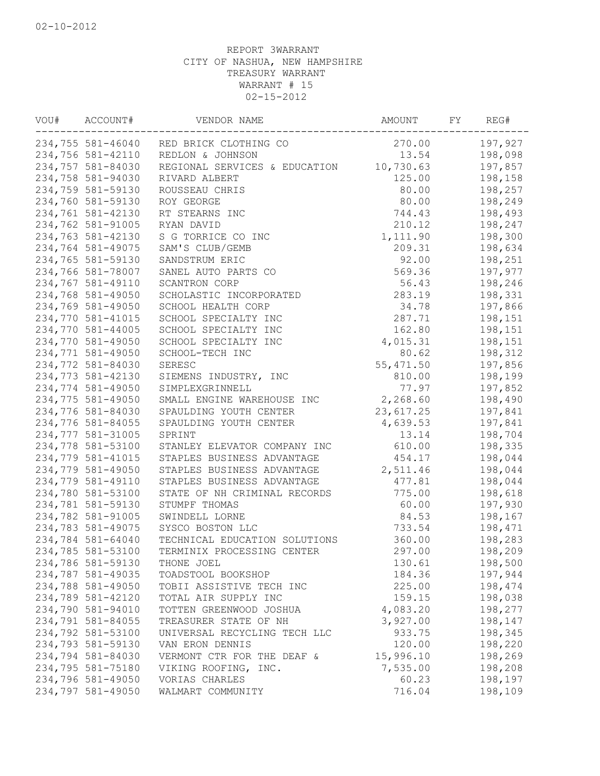| VOU# | ACCOUNT#          | VENDOR NAME                   | AMOUNT     | FY | REG#    |
|------|-------------------|-------------------------------|------------|----|---------|
|      | 234,755 581-46040 | RED BRICK CLOTHING CO         | 270.00     |    | 197,927 |
|      | 234,756 581-42110 | REDLON & JOHNSON              | 13.54      |    | 198,098 |
|      | 234,757 581-84030 | REGIONAL SERVICES & EDUCATION | 10,730.63  |    | 197,857 |
|      | 234,758 581-94030 | RIVARD ALBERT                 | 125.00     |    | 198,158 |
|      | 234,759 581-59130 | ROUSSEAU CHRIS                | 80.00      |    | 198,257 |
|      | 234,760 581-59130 | ROY GEORGE                    | 80.00      |    | 198,249 |
|      | 234,761 581-42130 | RT STEARNS INC                | 744.43     |    | 198,493 |
|      | 234,762 581-91005 | RYAN DAVID                    | 210.12     |    | 198,247 |
|      | 234,763 581-42130 | S G TORRICE CO INC            | 1,111.90   |    | 198,300 |
|      | 234,764 581-49075 | SAM'S CLUB/GEMB               | 209.31     |    | 198,634 |
|      | 234,765 581-59130 | SANDSTRUM ERIC                | 92.00      |    | 198,251 |
|      | 234,766 581-78007 | SANEL AUTO PARTS CO           | 569.36     |    | 197,977 |
|      | 234,767 581-49110 | SCANTRON CORP                 | 56.43      |    | 198,246 |
|      | 234,768 581-49050 | SCHOLASTIC INCORPORATED       | 283.19     |    | 198,331 |
|      | 234,769 581-49050 | SCHOOL HEALTH CORP            | 34.78      |    | 197,866 |
|      | 234,770 581-41015 | SCHOOL SPECIALTY INC          | 287.71     |    | 198,151 |
|      | 234,770 581-44005 | SCHOOL SPECIALTY INC          | 162.80     |    | 198,151 |
|      | 234,770 581-49050 | SCHOOL SPECIALTY INC          | 4,015.31   |    | 198,151 |
|      | 234,771 581-49050 | SCHOOL-TECH INC               | 80.62      |    | 198,312 |
|      | 234,772 581-84030 | <b>SERESC</b>                 | 55, 471.50 |    | 197,856 |
|      | 234,773 581-42130 | SIEMENS INDUSTRY, INC         | 810.00     |    | 198,199 |
|      | 234,774 581-49050 | SIMPLEXGRINNELL               | 77.97      |    | 197,852 |
|      | 234,775 581-49050 | SMALL ENGINE WAREHOUSE INC    | 2,268.60   |    | 198,490 |
|      | 234,776 581-84030 | SPAULDING YOUTH CENTER        | 23,617.25  |    | 197,841 |
|      |                   |                               |            |    |         |
|      | 234,776 581-84055 | SPAULDING YOUTH CENTER        | 4,639.53   |    | 197,841 |
|      | 234,777 581-31005 | SPRINT                        | 13.14      |    | 198,704 |
|      | 234,778 581-53100 | STANLEY ELEVATOR COMPANY INC  | 610.00     |    | 198,335 |
|      | 234,779 581-41015 | STAPLES BUSINESS ADVANTAGE    | 454.17     |    | 198,044 |
|      | 234,779 581-49050 | STAPLES BUSINESS ADVANTAGE    | 2,511.46   |    | 198,044 |
|      | 234,779 581-49110 | STAPLES BUSINESS ADVANTAGE    | 477.81     |    | 198,044 |
|      | 234,780 581-53100 | STATE OF NH CRIMINAL RECORDS  | 775.00     |    | 198,618 |
|      | 234,781 581-59130 | STUMPF THOMAS                 | 60.00      |    | 197,930 |
|      | 234,782 581-91005 | SWINDELL LORNE                | 84.53      |    | 198,167 |
|      | 234,783 581-49075 | SYSCO BOSTON LLC              | 733.54     |    | 198,471 |
|      | 234,784 581-64040 | TECHNICAL EDUCATION SOLUTIONS | 360.00     |    | 198,283 |
|      | 234,785 581-53100 | TERMINIX PROCESSING CENTER    | 297.00     |    | 198,209 |
|      | 234,786 581-59130 | THONE JOEL                    | 130.61     |    | 198,500 |
|      | 234,787 581-49035 | TOADSTOOL BOOKSHOP            | 184.36     |    | 197,944 |
|      | 234,788 581-49050 | TOBII ASSISTIVE TECH INC      | 225.00     |    | 198,474 |
|      | 234,789 581-42120 | TOTAL AIR SUPPLY INC          | 159.15     |    | 198,038 |
|      | 234,790 581-94010 | TOTTEN GREENWOOD JOSHUA       | 4,083.20   |    | 198,277 |
|      | 234,791 581-84055 | TREASURER STATE OF NH         | 3,927.00   |    | 198,147 |
|      | 234,792 581-53100 | UNIVERSAL RECYCLING TECH LLC  | 933.75     |    | 198,345 |
|      | 234,793 581-59130 | VAN ERON DENNIS               | 120.00     |    | 198,220 |
|      | 234,794 581-84030 | VERMONT CTR FOR THE DEAF &    | 15,996.10  |    | 198,269 |
|      | 234,795 581-75180 | VIKING ROOFING, INC.          | 7,535.00   |    | 198,208 |
|      | 234,796 581-49050 | VORIAS CHARLES                | 60.23      |    | 198,197 |
|      | 234,797 581-49050 | WALMART COMMUNITY             | 716.04     |    | 198,109 |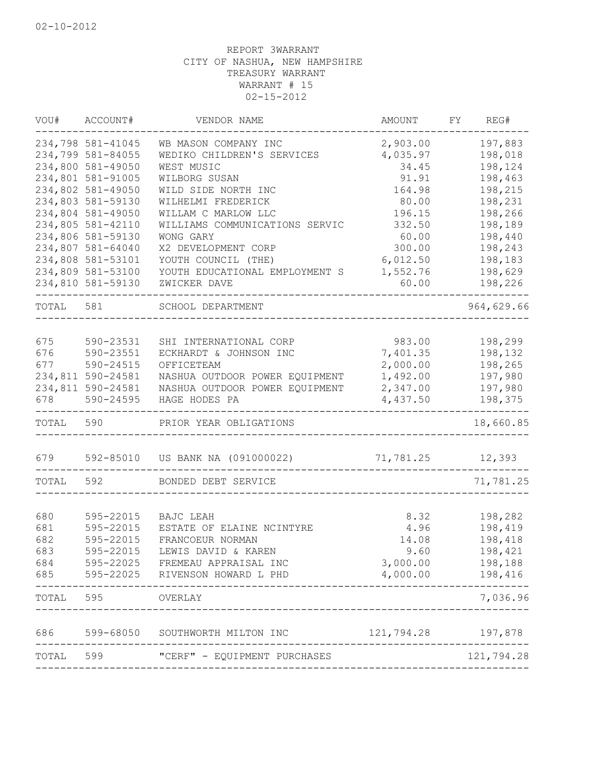|           | VOU# ACCOUNT#     | VENDOR NAME                                 | AMOUNT     | FY REG#    |
|-----------|-------------------|---------------------------------------------|------------|------------|
|           | 234,798 581-41045 | WB MASON COMPANY INC                        | 2,903.00   | 197,883    |
|           | 234,799 581-84055 | WEDIKO CHILDREN'S SERVICES                  | 4,035.97   | 198,018    |
|           | 234,800 581-49050 | WEST MUSIC                                  | 34.45      | 198,124    |
|           | 234,801 581-91005 | WILBORG SUSAN                               | 91.91      | 198,463    |
|           | 234,802 581-49050 | WILD SIDE NORTH INC                         | 164.98     | 198,215    |
|           | 234,803 581-59130 | WILHELMI FREDERICK                          | 80.00      | 198,231    |
|           | 234,804 581-49050 | WILLAM C MARLOW LLC                         | 196.15     | 198,266    |
|           | 234,805 581-42110 | WILLIAMS COMMUNICATIONS SERVIC              | 332.50     | 198,189    |
|           | 234,806 581-59130 | WONG GARY                                   | 60.00      | 198,440    |
|           | 234,807 581-64040 | X2 DEVELOPMENT CORP                         | 300.00     | 198,243    |
|           | 234,808 581-53101 | YOUTH COUNCIL (THE)                         | 6,012.50   | 198,183    |
|           | 234,809 581-53100 | YOUTH EDUCATIONAL EMPLOYMENT S              | 1,552.76   | 198,629    |
|           | 234,810 581-59130 | ZWICKER DAVE                                | 60.00      | 198,226    |
| TOTAL 581 |                   | SCHOOL DEPARTMENT<br>______________________ |            | 964,629.66 |
|           |                   |                                             |            |            |
| 675       | 590-23531         | SHI INTERNATIONAL CORP                      | 983.00     | 198,299    |
| 676       | 590-23551         | ECKHARDT & JOHNSON INC                      | 7,401.35   | 198,132    |
| 677       | 590-24515         | OFFICETEAM                                  | 2,000.00   | 198,265    |
|           | 234,811 590-24581 | NASHUA OUTDOOR POWER EQUIPMENT              | 1,492.00   | 197,980    |
|           | 234,811 590-24581 | NASHUA OUTDOOR POWER EQUIPMENT              | 2,347.00   | 197,980    |
| 678       | 590-24595         | HAGE HODES PA                               | 4,437.50   | 198,375    |
| TOTAL 590 |                   | PRIOR YEAR OBLIGATIONS                      |            | 18,660.85  |
| 679       |                   | 592-85010 US BANK NA (091000022)            | 71,781.25  | 12,393     |
| TOTAL     | 592               | BONDED DEBT SERVICE                         |            | 71,781.25  |
|           |                   |                                             |            |            |
| 680       | 595-22015         | BAJC LEAH                                   | 8.32       | 198,282    |
| 681       | 595-22015         | ESTATE OF ELAINE NCINTYRE                   | 4.96       | 198,419    |
| 682       | 595-22015         | FRANCOEUR NORMAN                            | 14.08      | 198,418    |
| 683       | 595-22015         | LEWIS DAVID & KAREN                         | 9.60       | 198,421    |
| 684       | 595-22025         | FREMEAU APPRAISAL INC                       | 3,000.00   | 198,188    |
| 685       | 595-22025         | RIVENSON HOWARD L PHD                       | 4,000.00   | 198,416    |
| TOTAL     | 595               | OVERLAY                                     |            | 7,036.96   |
| 686       | 599-68050         | SOUTHWORTH MILTON INC                       | 121,794.28 | 197,878    |
|           |                   |                                             |            |            |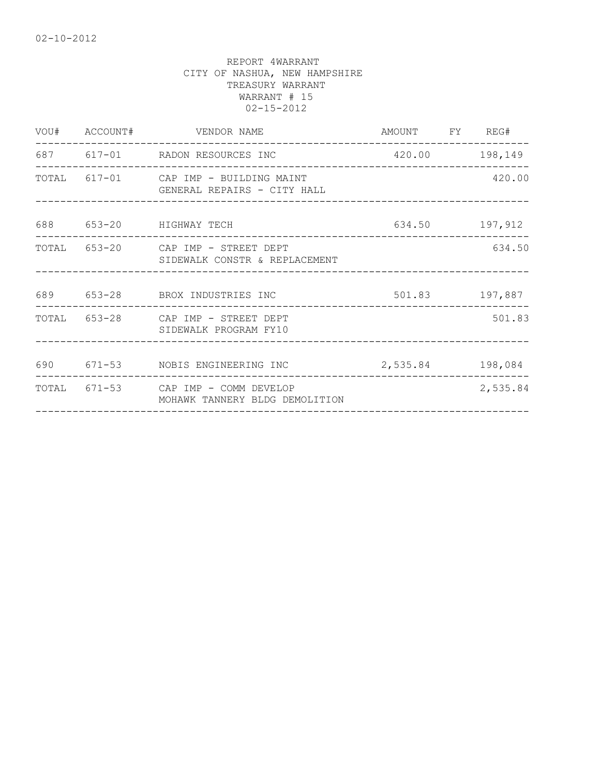|                           | VOU# ACCOUNT# VENDOR NAME                                             | AMOUNT FY REG#<br>------------------- |          |
|---------------------------|-----------------------------------------------------------------------|---------------------------------------|----------|
|                           | 687 617-01 RADON RESOURCES INC                                        | 420.00 198,149                        |          |
| _________________________ | TOTAL 617-01 CAP IMP - BUILDING MAINT<br>GENERAL REPAIRS - CITY HALL  |                                       | 420.00   |
|                           | 688 653-20 HIGHWAY TECH<br>634.50 197,912                             |                                       |          |
|                           | TOTAL 653-20 CAP IMP - STREET DEPT<br>SIDEWALK CONSTR & REPLACEMENT   |                                       | 634.50   |
|                           | 689 653-28 BROX INDUSTRIES INC 501.83 197,887                         |                                       |          |
|                           | TOTAL 653-28 CAP IMP - STREET DEPT<br>SIDEWALK PROGRAM FY10           |                                       | 501.83   |
|                           | 690 671-53 NOBIS ENGINEERING INC 2,535.84 198,084                     |                                       |          |
|                           | TOTAL 671-53 CAP IMP - COMM DEVELOP<br>MOHAWK TANNERY BLDG DEMOLITION | __________________________________    | 2,535.84 |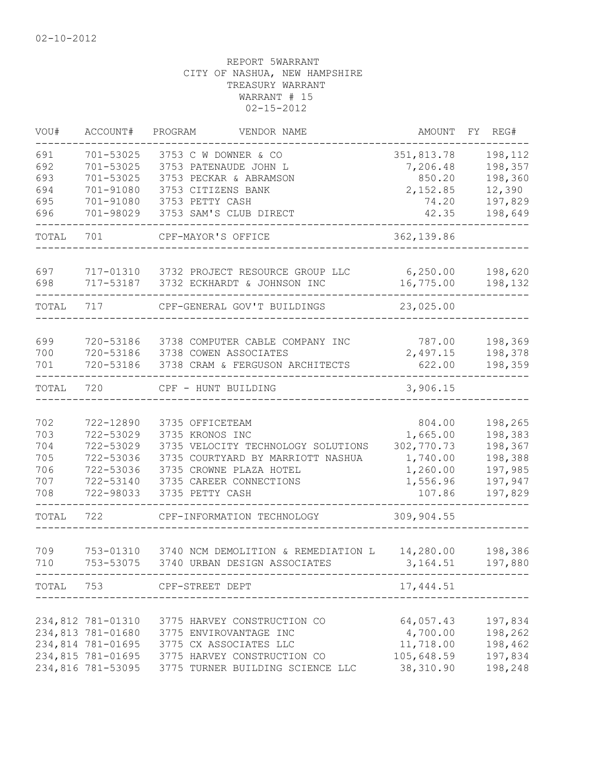| VOU#      | ACCOUNT#                               | PROGRAM<br>VENDOR NAME                    | AMOUNT     | FY | REG#               |
|-----------|----------------------------------------|-------------------------------------------|------------|----|--------------------|
| 691       | 701-53025                              | 3753 C W DOWNER & CO                      | 351,813.78 |    | 198,112            |
| 692       | 701-53025                              | 3753 PATENAUDE JOHN L                     | 7,206.48   |    | 198,357            |
| 693       | 701-53025                              | 3753 PECKAR & ABRAMSON                    | 850.20     |    | 198,360            |
| 694       | 701-91080                              | 3753 CITIZENS BANK                        | 2,152.85   |    | 12,390             |
| 695       | 701-91080                              | 3753 PETTY CASH                           | 74.20      |    | 197,829            |
| 696       | 701-98029                              | 3753 SAM'S CLUB DIRECT                    | 42.35      |    | 198,649            |
| TOTAL     | 701                                    | CPF-MAYOR'S OFFICE                        | 362,139.86 |    |                    |
| 697       |                                        | 717-01310 3732 PROJECT RESOURCE GROUP LLC | 6, 250.00  |    | 198,620            |
| 698       | 717-53187                              | 3732 ECKHARDT & JOHNSON INC               | 16,775.00  |    | 198,132            |
| TOTAL     | 717                                    | CPF-GENERAL GOV'T BUILDINGS               | 23,025.00  |    |                    |
|           |                                        |                                           |            |    |                    |
| 699       | 720-53186                              | 3738 COMPUTER CABLE COMPANY INC           | 787.00     |    | 198,369            |
| 700       | 720-53186                              | 3738 COWEN ASSOCIATES                     | 2,497.15   |    | 198,378            |
| 701       | 720-53186                              | 3738 CRAM & FERGUSON ARCHITECTS           | 622.00     |    | 198,359            |
| TOTAL     | 720                                    | CPF - HUNT BUILDING                       | 3,906.15   |    |                    |
| 702       | 722-12890                              | 3735 OFFICETEAM                           | 804.00     |    |                    |
| 703       | 722-53029                              | 3735 KRONOS INC                           | 1,665.00   |    | 198,265<br>198,383 |
| 704       | 722-53029                              | 3735 VELOCITY TECHNOLOGY SOLUTIONS        | 302,770.73 |    | 198,367            |
| 705       | 722-53036                              | 3735 COURTYARD BY MARRIOTT NASHUA         | 1,740.00   |    | 198,388            |
| 706       | 722-53036                              | 3735 CROWNE PLAZA HOTEL                   | 1,260.00   |    | 197,985            |
| 707       | 722-53140                              | 3735 CAREER CONNECTIONS                   | 1,556.96   |    | 197,947            |
| 708       | 722-98033                              | 3735 PETTY CASH                           | 107.86     |    | 197,829            |
| TOTAL     | 722                                    | CPF-INFORMATION TECHNOLOGY                | 309,904.55 |    |                    |
|           |                                        |                                           |            |    |                    |
| 709       | 753-01310                              | 3740 NCM DEMOLITION & REMEDIATION L       | 14,280.00  |    | 198,386            |
| 710       | 753-53075                              | 3740 URBAN DESIGN ASSOCIATES              | 3,164.51   |    | 197,880            |
| TOTAL 753 |                                        | CPF-STREET DEPT                           | 17,444.51  |    |                    |
|           |                                        |                                           |            |    |                    |
|           | 234,812 781-01310                      | 3775 HARVEY CONSTRUCTION CO               | 64,057.43  |    | 197,834            |
|           | 234,813 781-01680<br>234,814 781-01695 | 3775 ENVIROVANTAGE INC                    | 4,700.00   |    | 198,262            |
|           |                                        | 3775 CX ASSOCIATES LLC                    | 11,718.00  |    | 198,462            |
|           | 234,815 781-01695                      | 3775 HARVEY CONSTRUCTION CO               | 105,648.59 |    | 197,834            |
|           | 234,816 781-53095                      | 3775 TURNER BUILDING SCIENCE LLC          | 38,310.90  |    | 198,248            |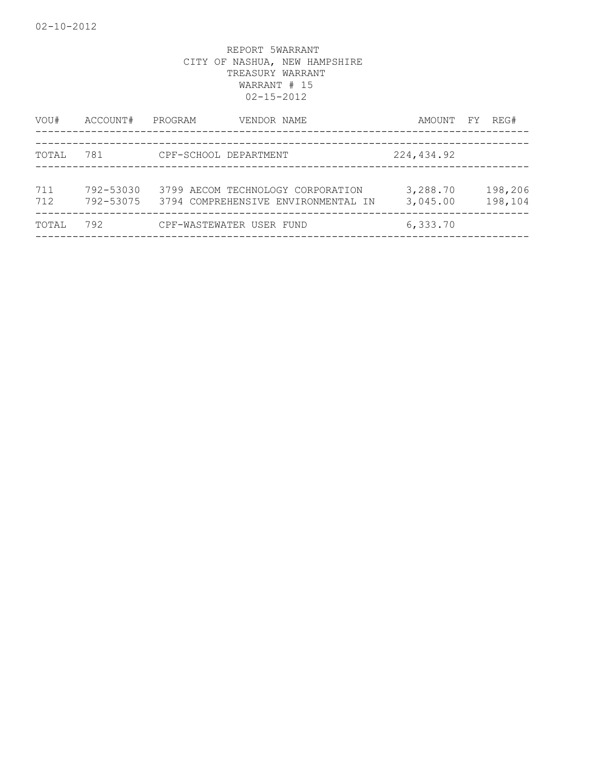| VOU#       | ACCOUNT#               | PROGRAM                  | VENDOR NAME                                                              | AMOUNT FY            | REG#               |
|------------|------------------------|--------------------------|--------------------------------------------------------------------------|----------------------|--------------------|
| TOTAL      | 781                    | CPF-SCHOOL DEPARTMENT    |                                                                          | 224,434.92           |                    |
| 711<br>712 | 792-53030<br>792-53075 |                          | 3799 AECOM TECHNOLOGY CORPORATION<br>3794 COMPREHENSIVE ENVIRONMENTAL IN | 3,288.70<br>3,045.00 | 198,206<br>198,104 |
| TOTAL      | 792                    | CPF-WASTEWATER USER FUND |                                                                          | 6,333.70             |                    |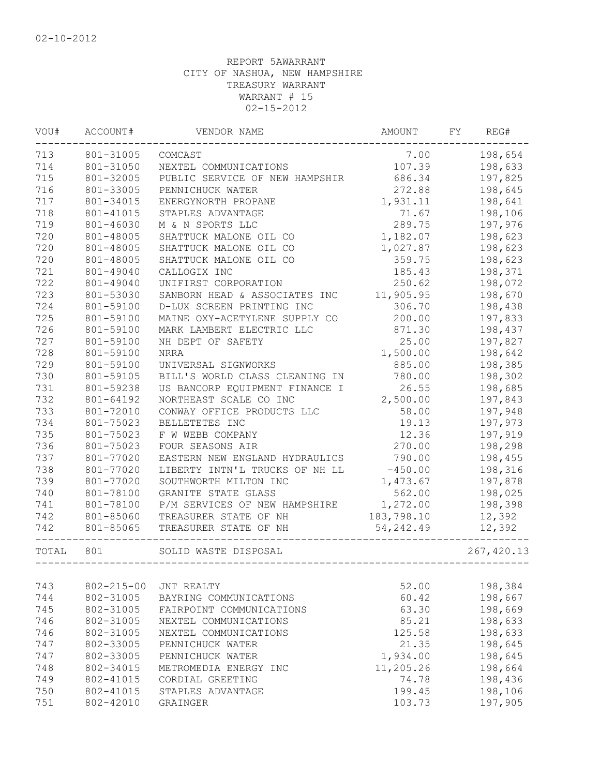| VOU#  | ACCOUNT#         | VENDOR NAME                    | AMOUNT     | FY | REG#        |
|-------|------------------|--------------------------------|------------|----|-------------|
| 713   | 801-31005        | COMCAST                        | 7.00       |    | 198,654     |
| 714   | 801-31050        | NEXTEL COMMUNICATIONS          | 107.39     |    | 198,633     |
| 715   | 801-32005        | PUBLIC SERVICE OF NEW HAMPSHIR | 686.34     |    | 197,825     |
| 716   | 801-33005        | PENNICHUCK WATER               | 272.88     |    | 198,645     |
| 717   | 801-34015        | ENERGYNORTH PROPANE            | 1,931.11   |    | 198,641     |
| 718   | 801-41015        | STAPLES ADVANTAGE              | 71.67      |    | 198,106     |
| 719   | 801-46030        | M & N SPORTS LLC               | 289.75     |    | 197,976     |
| 720   | 801-48005        | SHATTUCK MALONE OIL CO         | 1,182.07   |    | 198,623     |
| 720   | 801-48005        | SHATTUCK MALONE OIL CO         | 1,027.87   |    | 198,623     |
| 720   | 801-48005        | SHATTUCK MALONE OIL CO         | 359.75     |    | 198,623     |
| 721   | 801-49040        | CALLOGIX INC                   | 185.43     |    | 198,371     |
| 722   | 801-49040        | UNIFIRST CORPORATION           | 250.62     |    | 198,072     |
| 723   | 801-53030        | SANBORN HEAD & ASSOCIATES INC  | 11,905.95  |    | 198,670     |
| 724   | 801-59100        | D-LUX SCREEN PRINTING INC      | 306.70     |    | 198,438     |
| 725   | 801-59100        | MAINE OXY-ACETYLENE SUPPLY CO  | 200.00     |    | 197,833     |
| 726   | 801-59100        | MARK LAMBERT ELECTRIC LLC      | 871.30     |    | 198,437     |
| 727   | 801-59100        | NH DEPT OF SAFETY              | 25.00      |    | 197,827     |
| 728   | 801-59100        | <b>NRRA</b>                    | 1,500.00   |    | 198,642     |
| 729   | 801-59100        | UNIVERSAL SIGNWORKS            | 885.00     |    | 198,385     |
| 730   | 801-59105        | BILL'S WORLD CLASS CLEANING IN | 780.00     |    | 198,302     |
| 731   | 801-59238        | US BANCORP EQUIPMENT FINANCE I | 26.55      |    | 198,685     |
| 732   | 801-64192        | NORTHEAST SCALE CO INC         | 2,500.00   |    | 197,843     |
| 733   | 801-72010        | CONWAY OFFICE PRODUCTS LLC     | 58.00      |    | 197,948     |
| 734   | 801-75023        | BELLETETES INC                 | 19.13      |    | 197,973     |
| 735   | 801-75023        | F W WEBB COMPANY               | 12.36      |    | 197,919     |
| 736   | 801-75023        | FOUR SEASONS AIR               | 270.00     |    | 198,298     |
| 737   | 801-77020        | EASTERN NEW ENGLAND HYDRAULICS | 790.00     |    | 198,455     |
| 738   | 801-77020        | LIBERTY INTN'L TRUCKS OF NH LL | $-450.00$  |    | 198,316     |
| 739   | 801-77020        | SOUTHWORTH MILTON INC          | 1,473.67   |    | 197,878     |
| 740   | 801-78100        | GRANITE STATE GLASS            | 562.00     |    | 198,025     |
| 741   | 801-78100        | P/M SERVICES OF NEW HAMPSHIRE  | 1,272.00   |    | 198,398     |
| 742   | 801-85060        | TREASURER STATE OF NH          | 183,798.10 |    | 12,392      |
| 742   | 801-85065        | TREASURER STATE OF NH          | 54, 242.49 |    | 12,392      |
| TOTAL | 801              | SOLID WASTE DISPOSAL           |            |    | 267, 420.13 |
|       |                  |                                |            |    |             |
| 743   | $802 - 215 - 00$ | JNT REALTY                     | 52.00      |    | 198,384     |
| 744   | 802-31005        | BAYRING COMMUNICATIONS         | 60.42      |    | 198,667     |
| 745   | 802-31005        | FAIRPOINT COMMUNICATIONS       | 63.30      |    | 198,669     |
| 746   | 802-31005        | NEXTEL COMMUNICATIONS          | 85.21      |    | 198,633     |
| 746   | 802-31005        | NEXTEL COMMUNICATIONS          | 125.58     |    | 198,633     |
| 747   | 802-33005        | PENNICHUCK WATER               | 21.35      |    | 198,645     |
| 747   | 802-33005        | PENNICHUCK WATER               | 1,934.00   |    | 198,645     |
| 748   | 802-34015        | METROMEDIA ENERGY INC          | 11,205.26  |    | 198,664     |
| 749   | 802-41015        | CORDIAL GREETING               | 74.78      |    | 198,436     |
| 750   | 802-41015        | STAPLES ADVANTAGE              | 199.45     |    | 198,106     |
| 751   | 802-42010        | GRAINGER                       | 103.73     |    | 197,905     |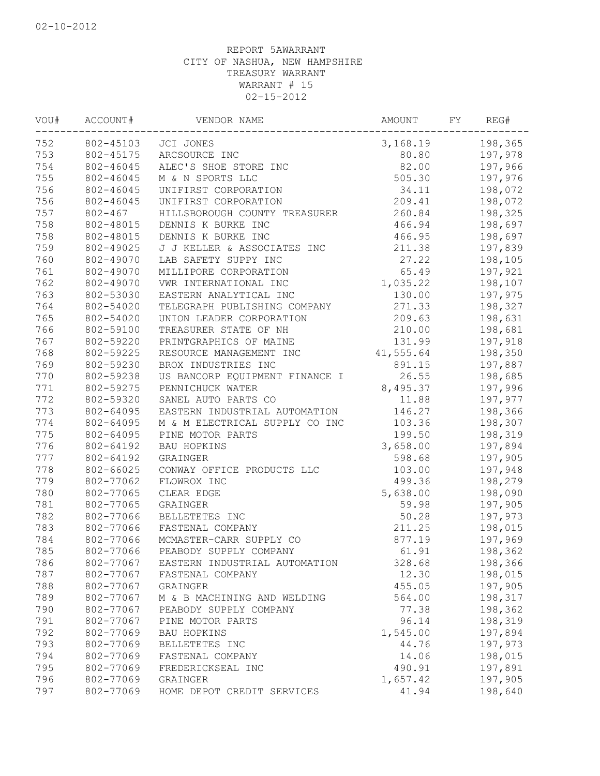| VOU#             | ACCOUNT#  | VENDOR NAME                    | AMOUNT          | FΥ | REG#    |
|------------------|-----------|--------------------------------|-----------------|----|---------|
| 752<br>802-45103 |           | JCI JONES                      | 3,168.19        |    | 198,365 |
| 753              | 802-45175 | ARCSOURCE INC                  | 80.80           |    | 197,978 |
| 754              | 802-46045 | ALEC'S SHOE STORE INC          | 82.00           |    | 197,966 |
| 755              | 802-46045 | M & N SPORTS LLC               | 505.30          |    | 197,976 |
| 756              | 802-46045 | UNIFIRST CORPORATION           | 34.11           |    | 198,072 |
| 756              | 802-46045 | UNIFIRST CORPORATION           | 209.41          |    | 198,072 |
| 757              | 802-467   | HILLSBOROUGH COUNTY TREASURER  | 260.84          |    | 198,325 |
| 758              | 802-48015 | DENNIS K BURKE INC             | 466.94          |    | 198,697 |
| 758              | 802-48015 | DENNIS K BURKE INC             | 466.95          |    | 198,697 |
| 759              | 802-49025 | J J KELLER & ASSOCIATES INC    | 211.38          |    | 197,839 |
| 760              | 802-49070 | LAB SAFETY SUPPY INC           | 27.22           |    | 198,105 |
| 761              | 802-49070 | MILLIPORE CORPORATION          | 65.49           |    | 197,921 |
| 762              | 802-49070 | VWR INTERNATIONAL INC          | 1,035.22        |    | 198,107 |
| 763              | 802-53030 | EASTERN ANALYTICAL INC         | 130.00          |    | 197,975 |
| 764              | 802-54020 | TELEGRAPH PUBLISHING COMPANY   | 271.33          |    | 198,327 |
| 765              | 802-54020 | UNION LEADER CORPORATION       | 209.63          |    | 198,631 |
| 766              | 802-59100 | TREASURER STATE OF NH          | 210.00          |    | 198,681 |
| 767              | 802-59220 | PRINTGRAPHICS OF MAINE         | 131.99          |    | 197,918 |
| 768              | 802-59225 | RESOURCE MANAGEMENT INC        | 41,555.64       |    | 198,350 |
| 769              | 802-59230 | BROX INDUSTRIES INC            | 891.15          |    | 197,887 |
| 770              | 802-59238 | US BANCORP EQUIPMENT FINANCE I | 26.55           |    | 198,685 |
| 771              | 802-59275 | PENNICHUCK WATER               | 8,495.37        |    | 197,996 |
| 772              | 802-59320 | SANEL AUTO PARTS CO            | 11.88           |    | 197,977 |
| 773              | 802-64095 | EASTERN INDUSTRIAL AUTOMATION  | 146.27          |    | 198,366 |
| 774              | 802-64095 | M & M ELECTRICAL SUPPLY CO INC | 103.36          |    | 198,307 |
| 775              | 802-64095 | PINE MOTOR PARTS               | 199.50          |    | 198,319 |
| 776              | 802-64192 | <b>BAU HOPKINS</b>             | 3,658.00        |    | 197,894 |
| 777              | 802-64192 | GRAINGER                       | 598.68          |    | 197,905 |
| 778              | 802-66025 | CONWAY OFFICE PRODUCTS LLC     | 103.00          |    | 197,948 |
| 779              | 802-77062 | FLOWROX INC                    | 499.36          |    | 198,279 |
| 780              | 802-77065 | CLEAR EDGE                     | 5,638.00        |    | 198,090 |
| 781              | 802-77065 | GRAINGER                       | 59.98           |    | 197,905 |
| 782              | 802-77066 | BELLETETES INC                 | 50.28           |    | 197,973 |
| 783              | 802-77066 | FASTENAL COMPANY               | 211.25          |    | 198,015 |
| 784              | 802-77066 | MCMASTER-CARR SUPPLY CO        | 877.19          |    | 197,969 |
| 785              | 802-77066 | PEABODY SUPPLY COMPANY         | 61.91           |    | 198,362 |
| 786              | 802-77067 |                                |                 |    |         |
| 787              | 802-77067 | EASTERN INDUSTRIAL AUTOMATION  | 328.68<br>12.30 |    | 198,366 |
|                  |           | FASTENAL COMPANY               |                 |    | 198,015 |
| 788              | 802-77067 | GRAINGER                       | 455.05          |    | 197,905 |
| 789              | 802-77067 | M & B MACHINING AND WELDING    | 564.00          |    | 198,317 |
| 790              | 802-77067 | PEABODY SUPPLY COMPANY         | 77.38           |    | 198,362 |
| 791              | 802-77067 | PINE MOTOR PARTS               | 96.14           |    | 198,319 |
| 792              | 802-77069 | <b>BAU HOPKINS</b>             | 1,545.00        |    | 197,894 |
| 793              | 802-77069 | BELLETETES INC                 | 44.76           |    | 197,973 |
| 794              | 802-77069 | FASTENAL COMPANY               | 14.06           |    | 198,015 |
| 795              | 802-77069 | FREDERICKSEAL INC              | 490.91          |    | 197,891 |
| 796              | 802-77069 | GRAINGER                       | 1,657.42        |    | 197,905 |
| 797              | 802-77069 | HOME DEPOT CREDIT SERVICES     | 41.94           |    | 198,640 |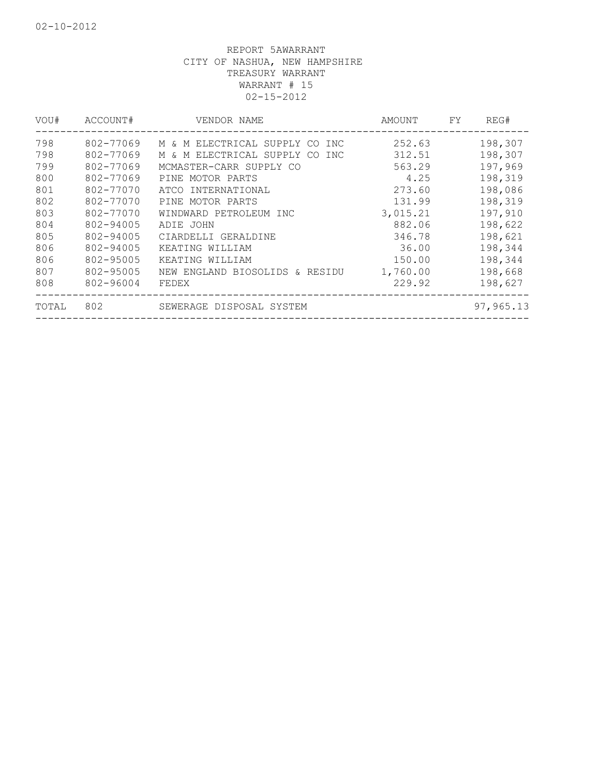| VOU#  | ACCOUNT#  | VENDOR NAME                       | AMOUNT   | FY. | REG#      |
|-------|-----------|-----------------------------------|----------|-----|-----------|
| 798   | 802-77069 | M & M ELECTRICAL SUPPLY CO<br>INC | 252.63   |     | 198,307   |
| 798   | 802-77069 | M & M ELECTRICAL SUPPLY CO<br>INC | 312.51   |     | 198,307   |
| 799   | 802-77069 | MCMASTER-CARR SUPPLY CO           | 563.29   |     | 197,969   |
| 800   | 802-77069 | PINE MOTOR PARTS                  | 4.25     |     | 198,319   |
| 801   | 802-77070 | ATCO INTERNATIONAL                | 273.60   |     | 198,086   |
| 802   | 802-77070 | PINE MOTOR PARTS                  | 131.99   |     | 198,319   |
| 803   | 802-77070 | WINDWARD PETROLEUM INC            | 3,015.21 |     | 197,910   |
| 804   | 802-94005 | ADIE JOHN                         | 882.06   |     | 198,622   |
| 805   | 802-94005 | CIARDELLI GERALDINE               | 346.78   |     | 198,621   |
| 806   | 802-94005 | KEATING WILLIAM                   | 36.00    |     | 198,344   |
| 806   | 802-95005 | KEATING WILLIAM                   | 150.00   |     | 198,344   |
| 807   | 802-95005 | NEW ENGLAND BIOSOLIDS & RESIDU    | 1,760.00 |     | 198,668   |
| 808   | 802-96004 | FEDEX                             | 229.92   |     | 198,627   |
| TOTAL | 802       | SEWERAGE DISPOSAL SYSTEM          |          |     | 97,965.13 |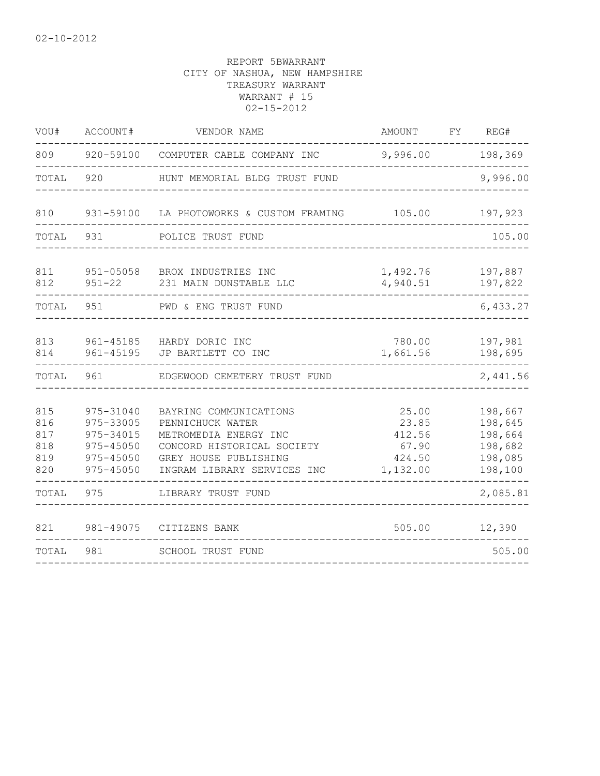| VOU#                                   | ACCOUNT#                                                                       | VENDOR NAME                                                                                                                                               | AMOUNT                                                  | FY REG#                                                        |
|----------------------------------------|--------------------------------------------------------------------------------|-----------------------------------------------------------------------------------------------------------------------------------------------------------|---------------------------------------------------------|----------------------------------------------------------------|
| 809                                    |                                                                                | 920-59100 COMPUTER CABLE COMPANY INC                                                                                                                      | 9,996.00                                                | 198,369                                                        |
| TOTAL                                  | 920                                                                            | HUNT MEMORIAL BLDG TRUST FUND                                                                                                                             |                                                         | 9,996.00                                                       |
| 810                                    |                                                                                | 931-59100 LA PHOTOWORKS & CUSTOM FRAMING                                                                                                                  | 105.00                                                  | 197,923                                                        |
| TOTAL                                  | 931                                                                            | POLICE TRUST FUND                                                                                                                                         |                                                         | 105.00                                                         |
| 811<br>812                             | $951 - 05058$<br>$951 - 22$                                                    | BROX INDUSTRIES INC<br>231 MAIN DUNSTABLE LLC                                                                                                             | 1,492.76<br>4,940.51                                    | 197,887<br>197,822                                             |
| TOTAL                                  | 951                                                                            | PWD & ENG TRUST FUND                                                                                                                                      |                                                         | 6,433.27                                                       |
| 813<br>814                             | 961-45195                                                                      | 961-45185 HARDY DORIC INC<br>JP BARTLETT CO INC                                                                                                           | 780.00<br>1,661.56                                      | 197,981<br>198,695<br>-----                                    |
| TOTAL                                  | 961                                                                            | EDGEWOOD CEMETERY TRUST FUND                                                                                                                              |                                                         | 2,441.56                                                       |
| 815<br>816<br>817<br>818<br>819<br>820 | 975-31040<br>975-33005<br>975-34015<br>$975 - 45050$<br>975-45050<br>975-45050 | BAYRING COMMUNICATIONS<br>PENNICHUCK WATER<br>METROMEDIA ENERGY INC<br>CONCORD HISTORICAL SOCIETY<br>GREY HOUSE PUBLISHING<br>INGRAM LIBRARY SERVICES INC | 25.00<br>23.85<br>412.56<br>67.90<br>424.50<br>1,132.00 | 198,667<br>198,645<br>198,664<br>198,682<br>198,085<br>198,100 |
| TOTAL                                  | 975                                                                            | LIBRARY TRUST FUND                                                                                                                                        |                                                         | 2,085.81                                                       |
| 821                                    | 981-49075                                                                      | CITIZENS BANK                                                                                                                                             | 505.00                                                  | 12,390                                                         |
| TOTAL                                  | 981                                                                            | <b>SCHOOL TRUST FUND</b>                                                                                                                                  |                                                         | 505.00                                                         |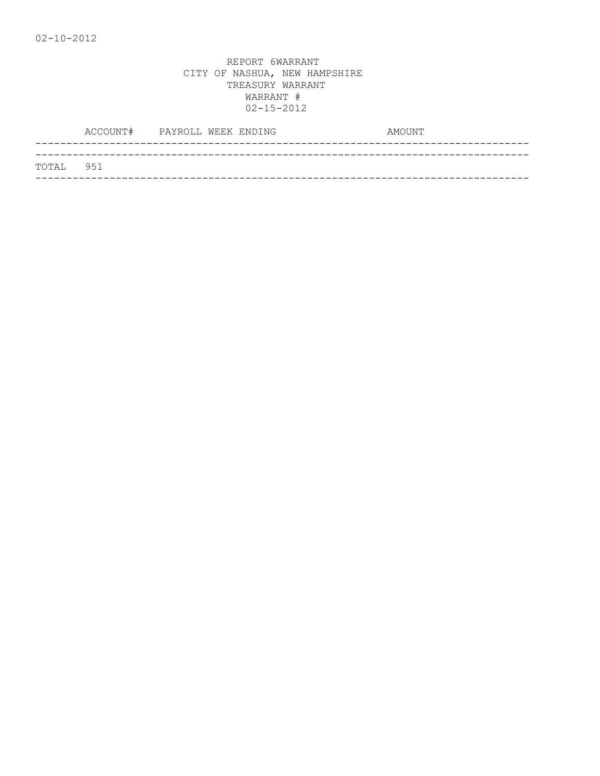|           |  | ACCOUNT# PAYROLL WEEK ENDING | AMOUNT |
|-----------|--|------------------------------|--------|
|           |  |                              |        |
| TOTAL 951 |  |                              |        |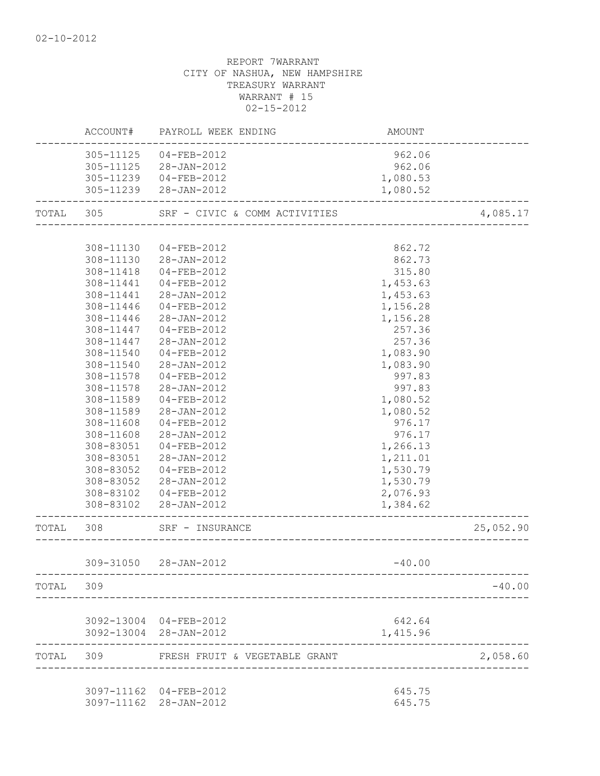|           | ACCOUNT#  | PAYROLL WEEK ENDING           | AMOUNT   |           |
|-----------|-----------|-------------------------------|----------|-----------|
|           | 305-11125 | 04-FEB-2012                   | 962.06   |           |
|           | 305-11125 | 28-JAN-2012                   | 962.06   |           |
|           | 305-11239 | $04 - FEB - 2012$             | 1,080.53 |           |
|           |           | 305-11239 28-JAN-2012         | 1,080.52 |           |
| TOTAL 305 |           | SRF - CIVIC & COMM ACTIVITIES |          | 4,085.17  |
|           |           |                               |          |           |
|           | 308-11130 | 04-FEB-2012                   | 862.72   |           |
|           | 308-11130 | 28-JAN-2012                   | 862.73   |           |
|           | 308-11418 | 04-FEB-2012                   | 315.80   |           |
|           | 308-11441 | 04-FEB-2012                   | 1,453.63 |           |
|           | 308-11441 | 28-JAN-2012                   | 1,453.63 |           |
|           | 308-11446 | 04-FEB-2012                   | 1,156.28 |           |
|           | 308-11446 | 28-JAN-2012                   | 1,156.28 |           |
|           | 308-11447 | 04-FEB-2012                   | 257.36   |           |
|           | 308-11447 | 28-JAN-2012                   | 257.36   |           |
|           | 308-11540 | 04-FEB-2012                   | 1,083.90 |           |
|           | 308-11540 | 28-JAN-2012                   | 1,083.90 |           |
|           | 308-11578 | $04 - FEB - 2012$             | 997.83   |           |
|           | 308-11578 | 28-JAN-2012                   | 997.83   |           |
|           | 308-11589 | 04-FEB-2012                   | 1,080.52 |           |
|           | 308-11589 | 28-JAN-2012                   | 1,080.52 |           |
|           | 308-11608 | 04-FEB-2012                   | 976.17   |           |
|           | 308-11608 | 28-JAN-2012                   | 976.17   |           |
|           | 308-83051 | 04-FEB-2012                   | 1,266.13 |           |
|           | 308-83051 | 28-JAN-2012                   | 1,211.01 |           |
|           | 308-83052 | 04-FEB-2012                   | 1,530.79 |           |
|           | 308-83052 | 28-JAN-2012                   | 1,530.79 |           |
|           | 308-83102 | 04-FEB-2012                   | 2,076.93 |           |
|           | 308-83102 | 28-JAN-2012                   | 1,384.62 |           |
| TOTAL     | 308       | SRF - INSURANCE               |          | 25,052.90 |
|           |           | 309-31050 28-JAN-2012         | $-40.00$ |           |
| TOTAL 309 |           |                               |          | $-40.00$  |
|           |           |                               |          |           |
|           |           | 3092-13004 04-FEB-2012        | 642.64   |           |
|           |           | 3092-13004 28-JAN-2012        | 1,415.96 |           |
| TOTAL 309 |           | FRESH FRUIT & VEGETABLE GRANT |          | 2,058.60  |
|           |           | 3097-11162 04-FEB-2012        | 645.75   |           |
|           |           | 3097-11162 28-JAN-2012        | 645.75   |           |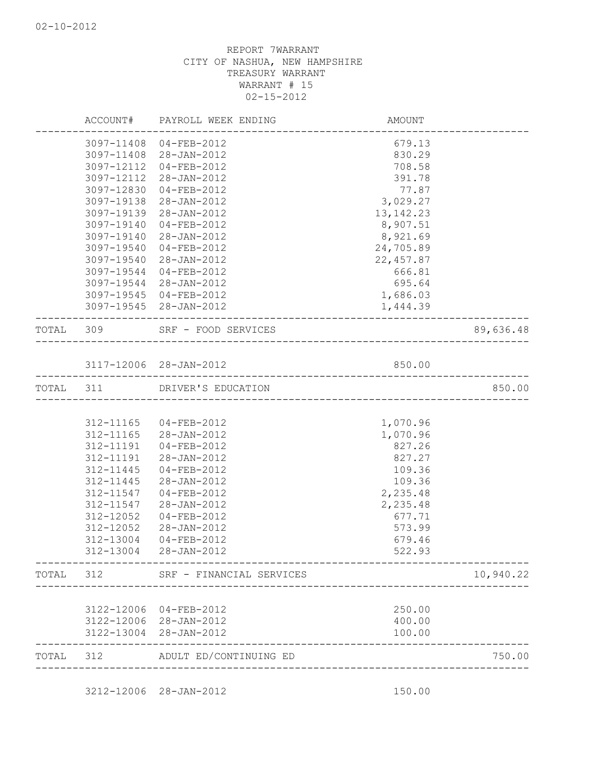|           |            | ACCOUNT# PAYROLL WEEK ENDING      | AMOUNT      |           |
|-----------|------------|-----------------------------------|-------------|-----------|
|           |            | 3097-11408 04-FEB-2012            | 679.13      |           |
|           |            | 3097-11408 28-JAN-2012            | 830.29      |           |
|           | 3097-12112 | 04-FEB-2012                       | 708.58      |           |
|           | 3097-12112 | 28-JAN-2012                       | 391.78      |           |
|           | 3097-12830 | 04-FEB-2012                       | 77.87       |           |
|           | 3097-19138 | 28-JAN-2012                       | 3,029.27    |           |
|           | 3097-19139 | 28-JAN-2012                       | 13, 142. 23 |           |
|           | 3097-19140 | $04 - FEB - 2012$                 | 8,907.51    |           |
|           | 3097-19140 | 28-JAN-2012                       | 8,921.69    |           |
|           | 3097-19540 | 04-FEB-2012                       | 24,705.89   |           |
|           | 3097-19540 | 28-JAN-2012                       | 22, 457.87  |           |
|           | 3097-19544 | 04-FEB-2012                       | 666.81      |           |
|           |            | 3097-19544 28-JAN-2012            | 695.64      |           |
|           |            | 3097-19545 04-FEB-2012            | 1,686.03    |           |
|           |            | 3097-19545 28-JAN-2012            | 1,444.39    |           |
|           |            | TOTAL 309 SRF - FOOD SERVICES     |             | 89,636.48 |
|           |            | 3117-12006 28-JAN-2012            | 850.00      |           |
|           |            | --------------------------------- |             |           |
| TOTAL 311 |            | DRIVER'S EDUCATION                |             | 850.00    |
|           |            |                                   |             |           |
|           |            | 312-11165 04-FEB-2012             | 1,070.96    |           |
|           |            | 312-11165 28-JAN-2012             | 1,070.96    |           |
|           | 312-11191  | 04-FEB-2012                       | 827.26      |           |
|           | 312-11191  | 28-JAN-2012                       | 827.27      |           |
|           | 312-11445  | 04-FEB-2012                       | 109.36      |           |
|           | 312-11445  | 28-JAN-2012                       | 109.36      |           |
|           | 312-11547  | 04-FEB-2012                       | 2,235.48    |           |
|           | 312-11547  | 28-JAN-2012                       | 2,235.48    |           |
|           | 312-12052  | 04-FEB-2012                       | 677.71      |           |
|           | 312-12052  | 28-JAN-2012                       | 573.99      |           |
|           | 312-13004  | $04 - FEB - 2012$                 | 679.46      |           |
|           | 312-13004  | 28-JAN-2012                       | 522.93      |           |
| TOTAL     | 312        | SRF - FINANCIAL SERVICES          |             | 10,940.22 |
|           |            |                                   |             |           |
|           | 3122-12006 | 04-FEB-2012                       | 250.00      |           |
|           | 3122-12006 | 28-JAN-2012                       | 400.00      |           |
|           | 3122-13004 | 28-JAN-2012                       | 100.00      |           |
| TOTAL     | 312        | ADULT ED/CONTINUING ED            |             | 750.00    |
|           |            |                                   |             |           |

3212-12006 28-JAN-2012 150.00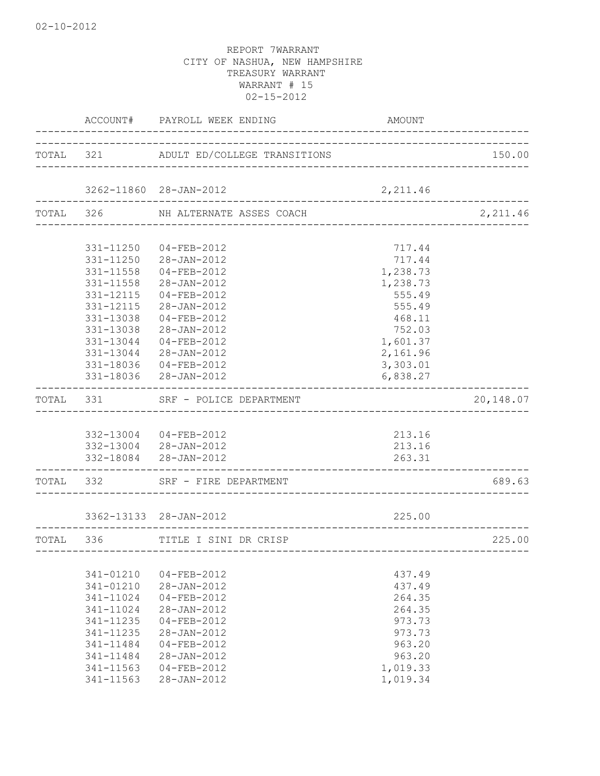|           | ACCOUNT#  | PAYROLL WEEK ENDING                    | AMOUNT                                 |           |
|-----------|-----------|----------------------------------------|----------------------------------------|-----------|
|           |           | TOTAL 321 ADULT ED/COLLEGE TRANSITIONS |                                        | 150.00    |
|           |           | 3262-11860 28-JAN-2012                 | 2,211.46                               |           |
| TOTAL 326 |           | NH ALTERNATE ASSES COACH               |                                        | 2,211.46  |
|           |           |                                        |                                        |           |
|           | 331-11250 | 04-FEB-2012                            | 717.44                                 |           |
|           | 331-11250 | 28-JAN-2012                            | 717.44                                 |           |
|           | 331-11558 | $04 - FEB - 2012$                      | 1,238.73                               |           |
|           | 331-11558 | 28-JAN-2012                            | 1,238.73                               |           |
|           | 331-12115 | $04 - FEB - 2012$                      | 555.49                                 |           |
|           | 331-12115 | 28-JAN-2012                            | 555.49                                 |           |
|           | 331-13038 | $04 - FEB - 2012$                      | 468.11                                 |           |
|           | 331-13038 | 28-JAN-2012                            | 752.03                                 |           |
|           | 331-13044 | $04 - FEB - 2012$                      | 1,601.37                               |           |
|           | 331-13044 | 28-JAN-2012                            | 2,161.96                               |           |
|           | 331-18036 | 04-FEB-2012                            | 3,303.01                               |           |
|           |           | 331-18036 28-JAN-2012                  | 6,838.27                               |           |
| TOTAL 331 |           | SRF - POLICE DEPARTMENT                |                                        | 20,148.07 |
|           |           |                                        |                                        |           |
|           |           | 332-13004 04-FEB-2012                  | 213.16                                 |           |
|           |           | 332-13004 28-JAN-2012                  | 213.16                                 |           |
|           |           | 332-18084 28-JAN-2012                  | 263.31                                 |           |
| TOTAL 332 |           | SRF - FIRE DEPARTMENT                  |                                        | 689.63    |
|           |           | 3362-13133 28-JAN-2012                 | 225.00                                 |           |
|           |           |                                        |                                        |           |
| TOTAL     | 336       | TITLE I SINI DR CRISP                  | -------------------------------------- | 225.00    |
|           |           |                                        |                                        |           |
|           | 341-01210 | $04 - FEB - 2012$                      | 437.49                                 |           |
|           | 341-01210 | 28-JAN-2012                            | 437.49                                 |           |
|           | 341-11024 | $04 - FEB - 2012$                      | 264.35                                 |           |
|           | 341-11024 | 28-JAN-2012                            | 264.35                                 |           |
|           | 341-11235 | $04 - FEB - 2012$                      | 973.73                                 |           |
|           | 341-11235 | $28 - JAN - 2012$                      | 973.73                                 |           |
|           | 341-11484 | $04 - FEB - 2012$                      | 963.20                                 |           |
|           | 341-11484 | 28-JAN-2012                            | 963.20                                 |           |
|           | 341-11563 | $04 - FEB - 2012$                      | 1,019.33                               |           |
|           | 341-11563 | 28-JAN-2012                            | 1,019.34                               |           |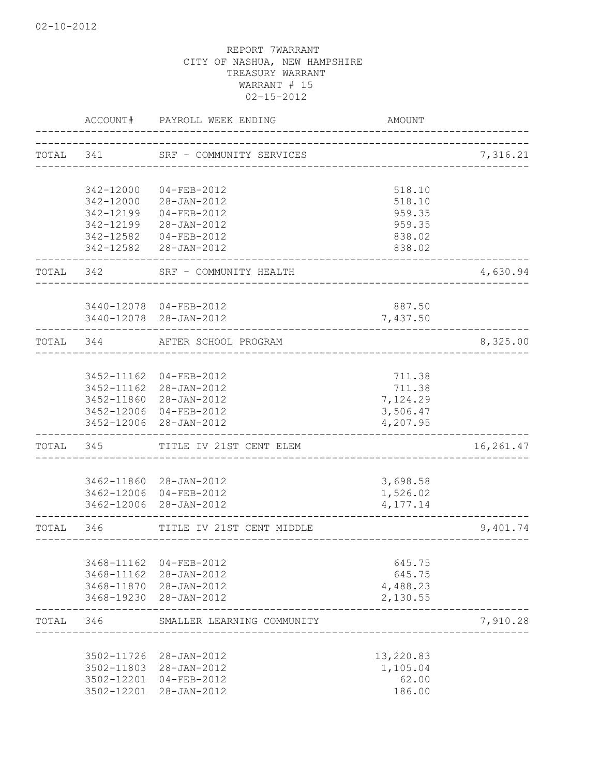|           | ACCOUNT#   | PAYROLL WEEK ENDING                              | <b>AMOUNT</b>                      |           |
|-----------|------------|--------------------------------------------------|------------------------------------|-----------|
|           |            | TOTAL 341 SRF - COMMUNITY SERVICES               |                                    | 7,316.21  |
|           |            |                                                  |                                    |           |
|           | 342-12000  | 04-FEB-2012                                      | 518.10                             |           |
|           | 342-12000  | 28-JAN-2012                                      | 518.10                             |           |
|           | 342-12199  | $04 - FEB - 2012$                                | 959.35                             |           |
|           | 342-12199  | 28-JAN-2012                                      | 959.35                             |           |
|           | 342-12582  | 04-FEB-2012                                      | 838.02                             |           |
|           | 342-12582  | 28-JAN-2012                                      | 838.02                             |           |
| TOTAL 342 |            | SRF - COMMUNITY HEALTH                           | _____________________              | 4,630.94  |
|           |            | 3440-12078 04-FEB-2012                           | 887.50                             |           |
|           |            | 3440-12078 28-JAN-2012                           | 7,437.50                           |           |
| TOTAL 344 |            | AFTER SCHOOL PROGRAM                             | __________________________________ | 8,325.00  |
|           |            |                                                  |                                    |           |
|           | 3452-11162 | $04 - FEB - 2012$                                | 711.38                             |           |
|           |            | 3452-11162 28-JAN-2012                           | 711.38                             |           |
|           |            | 3452-11860 28-JAN-2012                           | 7,124.29                           |           |
|           |            | 3452-12006 04-FEB-2012<br>3452-12006 28-JAN-2012 | 3,506.47<br>4,207.95               |           |
| TOTAL 345 |            | TITLE IV 21ST CENT ELEM                          |                                    | 16,261.47 |
|           |            |                                                  |                                    |           |
|           |            | 3462-11860 28-JAN-2012<br>3462-12006 04-FEB-2012 | 3,698.58<br>1,526.02               |           |
|           |            | 3462-12006 28-JAN-2012                           | 4, 177.14                          |           |
| TOTAL     | 346        | TITLE IV 21ST CENT MIDDLE                        |                                    | 9,401.74  |
|           |            |                                                  | ________________________________   |           |
|           | 3468-11162 | 04-FEB-2012                                      | 645.75                             |           |
|           | 3468-11162 | 28-JAN-2012                                      | 645.75                             |           |
|           |            | 3468-11870 28-JAN-2012                           | 4,488.23                           |           |
|           |            | 3468-19230 28-JAN-2012                           | 2,130.55                           |           |
| TOTAL     | 346        | SMALLER LEARNING COMMUNITY                       |                                    | 7,910.28  |
|           | 3502-11726 | 28-JAN-2012                                      | 13,220.83                          |           |
|           | 3502-11803 | 28-JAN-2012                                      | 1,105.04                           |           |
|           | 3502-12201 | 04-FEB-2012                                      | 62.00                              |           |
|           |            | 3502-12201 28-JAN-2012                           | 186.00                             |           |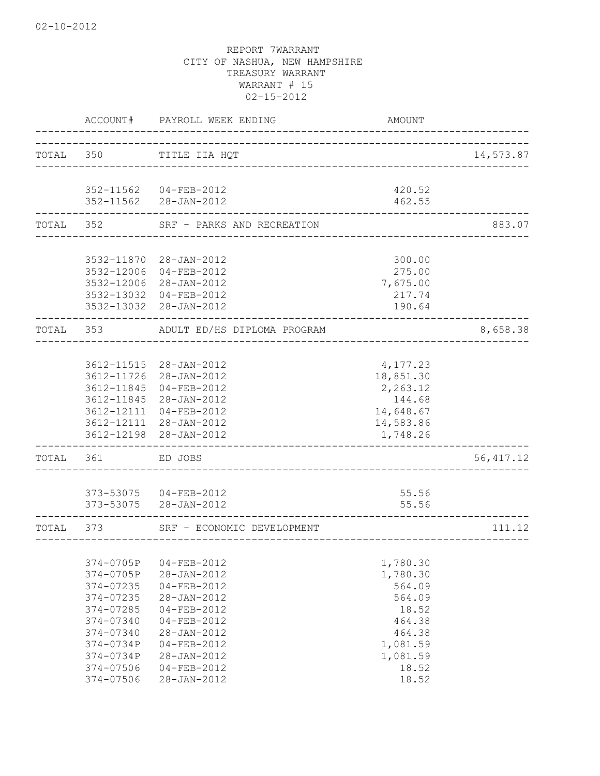|           | ACCOUNT#                 | PAYROLL WEEK ENDING         | AMOUNT              |            |
|-----------|--------------------------|-----------------------------|---------------------|------------|
| TOTAL 350 |                          | TITLE IIA HQT               |                     | 14,573.87  |
|           |                          | _________________________   |                     |            |
|           | 352-11562                | 04-FEB-2012                 | 420.52              |            |
|           |                          | 352-11562 28-JAN-2012       | 462.55              |            |
| TOTAL 352 |                          | SRF - PARKS AND RECREATION  |                     | 883.07     |
|           |                          |                             |                     |            |
|           | 3532-11870               | 28-JAN-2012                 | 300.00              |            |
|           | 3532-12006               | $04 - FEB - 2012$           | 275.00              |            |
|           | 3532-12006               | 28-JAN-2012                 | 7,675.00            |            |
|           | 3532-13032<br>3532-13032 | 04-FEB-2012<br>28-JAN-2012  | 217.74<br>190.64    |            |
| TOTAL 353 |                          | ADULT ED/HS DIPLOMA PROGRAM |                     | 8,658.38   |
|           |                          |                             |                     |            |
|           | 3612-11515               | 28-JAN-2012                 | 4,177.23            |            |
|           | 3612-11726               | 28-JAN-2012                 | 18,851.30           |            |
|           | 3612-11845               | $04 - FEB - 2012$           | 2,263.12            |            |
|           | 3612-11845               | 28-JAN-2012                 | 144.68              |            |
|           | 3612-12111               | $04 - FEB - 2012$           | 14,648.67           |            |
|           | 3612-12111               | 28-JAN-2012                 | 14,583.86           |            |
|           | 3612-12198               | 28-JAN-2012                 | 1,748.26            |            |
| TOTAL     | 361                      | ED JOBS                     |                     | 56, 417.12 |
|           |                          |                             |                     |            |
|           |                          | 373-53075 04-FEB-2012       | 55.56               |            |
|           | 373-53075                | 28-JAN-2012                 | 55.56               |            |
| TOTAL     | 373                      | SRF - ECONOMIC DEVELOPMENT  | ------------------- | 111.12     |
|           |                          |                             |                     |            |
|           | 374-0705P                | 04-FEB-2012                 | 1,780.30            |            |
|           | 374-0705P                | $28 - JAN - 2012$           | 1,780.30            |            |
|           | 374-07235                | $04 - FEB - 2012$           | 564.09              |            |
|           | 374-07235                | $28 - JAN - 2012$           | 564.09              |            |
|           | 374-07285                | $04 - FEB - 2012$           | 18.52               |            |
|           | 374-07340                | 04-FEB-2012                 | 464.38              |            |
|           | 374-07340                | $28 - JAN - 2012$           | 464.38              |            |
|           | 374-0734P                | $04 - FEB - 2012$           | 1,081.59            |            |
|           | 374-0734P                | $28 - JAN - 2012$           | 1,081.59            |            |
|           | 374-07506                | 04-FEB-2012                 | 18.52               |            |
|           | $374 - 07506$            | 28-JAN-2012                 | 18.52               |            |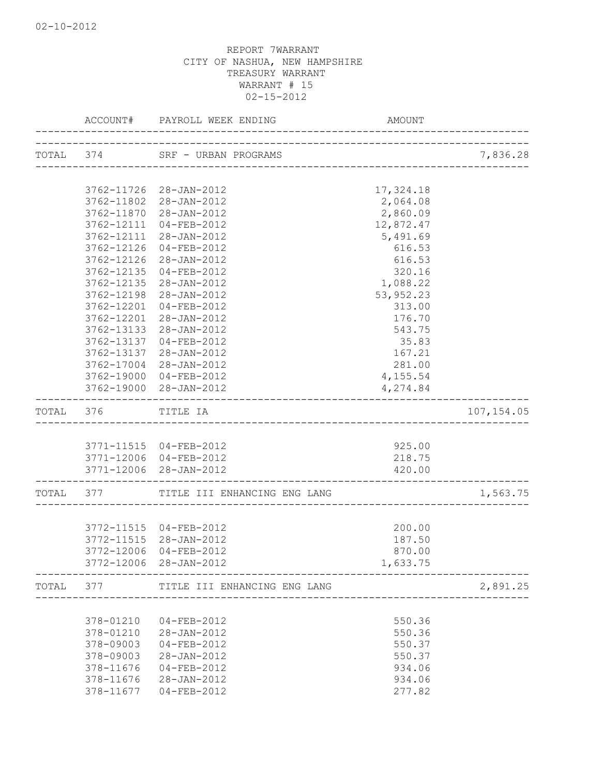|                          | ACCOUNT# PAYROLL WEEK ENDING                     | AMOUNT             |             |
|--------------------------|--------------------------------------------------|--------------------|-------------|
|                          | TOTAL 374 SRF - URBAN PROGRAMS                   |                    | 7,836.28    |
|                          |                                                  |                    |             |
|                          | 3762-11726 28-JAN-2012                           | 17,324.18          |             |
|                          | 3762-11802 28-JAN-2012                           | 2,064.08           |             |
| 3762-11870               | 28-JAN-2012                                      | 2,860.09           |             |
| 3762-12111               | $04 - FEB - 2012$                                | 12,872.47          |             |
| 3762-12111               | 28-JAN-2012                                      | 5,491.69           |             |
| 3762-12126               | 04-FEB-2012                                      | 616.53             |             |
| 3762-12126               | 28-JAN-2012                                      | 616.53             |             |
| 3762-12135<br>3762-12135 | 04-FEB-2012<br>28-JAN-2012                       | 320.16<br>1,088.22 |             |
| 3762-12198               | 28-JAN-2012                                      | 53, 952.23         |             |
| 3762-12201               | 04-FEB-2012                                      | 313.00             |             |
| 3762-12201               | $28 - JAN - 2012$                                | 176.70             |             |
| 3762-13133               | 28-JAN-2012                                      | 543.75             |             |
| 3762-13137               | 04-FEB-2012                                      | 35.83              |             |
| 3762-13137               | 28-JAN-2012                                      | 167.21             |             |
| 3762-17004               | 28-JAN-2012                                      | 281.00             |             |
|                          | 3762-19000 04-FEB-2012                           | 4,155.54           |             |
|                          | 3762-19000 28-JAN-2012                           | 4,274.84           |             |
| TOTAL 376 TITLE IA       |                                                  |                    | 107, 154.05 |
|                          |                                                  |                    |             |
|                          | 3771-11515 04-FEB-2012<br>3771-12006 04-FEB-2012 | 925.00<br>218.75   |             |
|                          | 3771-12006 28-JAN-2012                           | 420.00             |             |
|                          |                                                  |                    |             |
|                          | TOTAL 377 TITLE III ENHANCING ENG LANG           |                    | 1,563.75    |
|                          | 3772-11515 04-FEB-2012                           | 200.00             |             |
|                          | 3772-11515 28-JAN-2012                           | 187.50             |             |
|                          | 3772-12006 04-FEB-2012                           | 870.00             |             |
|                          | 3772-12006 28-JAN-2012                           | 1,633.75           |             |
|                          | TOTAL 377 TITLE III ENHANCING ENG LANG           |                    | 2,891.25    |
|                          |                                                  |                    |             |
| 378-01210                | $04 - FEB - 2012$                                | 550.36             |             |
| 378-01210                | 28-JAN-2012                                      | 550.36             |             |
| 378-09003<br>378-09003   | 04-FEB-2012<br>28-JAN-2012                       | 550.37<br>550.37   |             |
| 378-11676                | 04-FEB-2012                                      | 934.06             |             |
| 378-11676                | 28-JAN-2012                                      | 934.06             |             |
| 378-11677                | 04-FEB-2012                                      | 277.82             |             |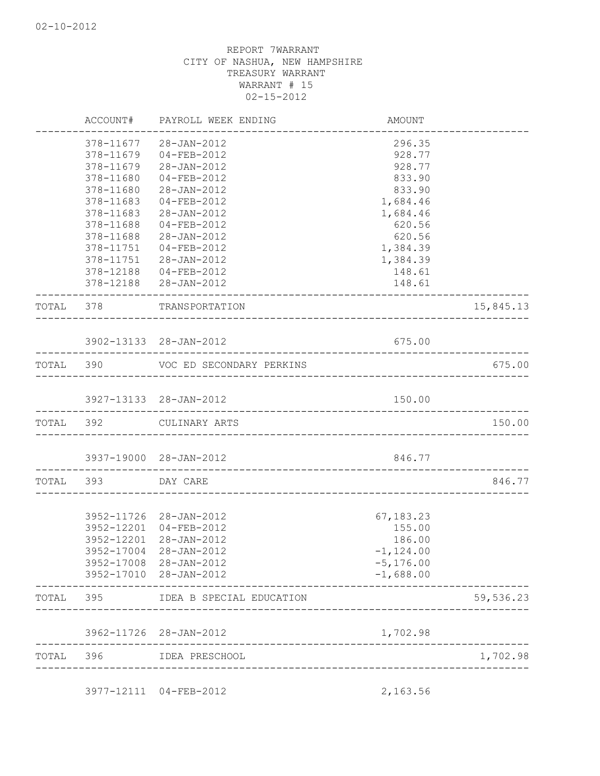|           |                    | ACCOUNT# PAYROLL WEEK ENDING                                                 | AMOUNT       |           |
|-----------|--------------------|------------------------------------------------------------------------------|--------------|-----------|
|           |                    | 378-11677 28-JAN-2012                                                        | 296.35       |           |
|           | 378-11679          | 04-FEB-2012                                                                  | 928.77       |           |
|           | 378-11679          | 28-JAN-2012                                                                  | 928.77       |           |
|           | 378-11680          | $04 - FEB - 2012$                                                            | 833.90       |           |
|           | 378-11680          | 28-JAN-2012                                                                  | 833.90       |           |
|           | 378-11683          | 04-FEB-2012                                                                  | 1,684.46     |           |
|           | 378-11683          | 28-JAN-2012                                                                  | 1,684.46     |           |
|           | 378-11688          | 04-FEB-2012                                                                  | 620.56       |           |
|           | 378-11688          | 28-JAN-2012                                                                  | 620.56       |           |
|           |                    | 378-11751 04-FEB-2012                                                        | 1,384.39     |           |
|           |                    | 378-11751 28-JAN-2012                                                        | 1,384.39     |           |
|           |                    | 378-12188  04-FEB-2012                                                       | 148.61       |           |
|           |                    | 378-12188 28-JAN-2012                                                        | 148.61       |           |
|           |                    | TOTAL 378 TRANSPORTATION                                                     |              | 15,845.13 |
|           |                    | 3902-13133 28-JAN-2012                                                       | 675.00       |           |
|           |                    | ______________________________________<br>TOTAL 390 VOC ED SECONDARY PERKINS |              | 675.00    |
|           |                    |                                                                              |              |           |
|           |                    | 3927-13133 28-JAN-2012                                                       | 150.00       |           |
| TOTAL 392 |                    | CULINARY ARTS                                                                |              | 150.00    |
|           |                    | 3937-19000 28-JAN-2012                                                       | 846.77       |           |
|           | TOTAL 393 DAY CARE |                                                                              |              | 846.77    |
|           |                    |                                                                              |              |           |
|           |                    | 3952-11726 28-JAN-2012                                                       | 67,183.23    |           |
|           |                    | 3952-12201 04-FEB-2012                                                       | 155.00       |           |
|           | 3952-12201         | 28-JAN-2012                                                                  | 186.00       |           |
|           | 3952-17004         | 28-JAN-2012                                                                  | $-1,124.00$  |           |
|           | 3952-17008         | 28-JAN-2012                                                                  | $-5, 176.00$ |           |
|           | 3952-17010         | 28-JAN-2012                                                                  | $-1,688.00$  |           |
| TOTAL     | 395                | IDEA B SPECIAL EDUCATION                                                     |              | 59,536.23 |
|           | 3962-11726         | 28-JAN-2012                                                                  | 1,702.98     |           |
|           |                    |                                                                              |              |           |

3977-12111 04-FEB-2012 2,163.56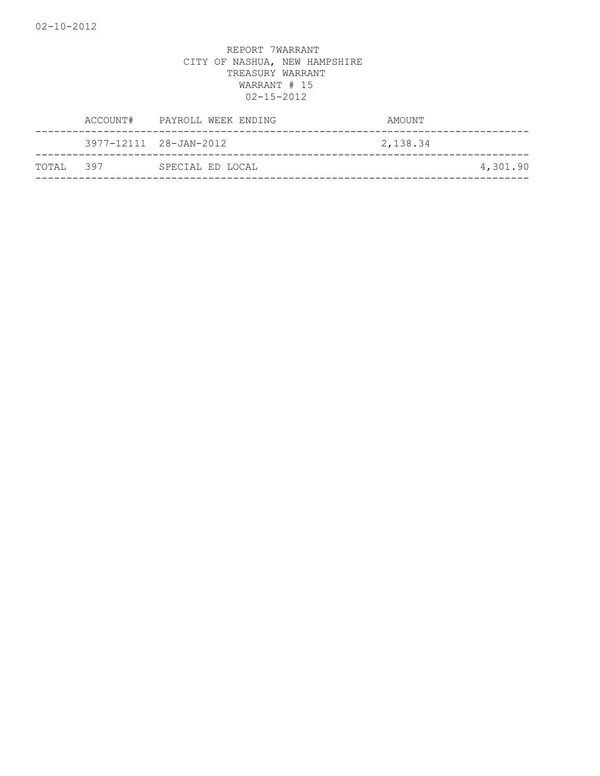|           | ACCOUNT# PAYROLL WEEK ENDING | AMOUNT   |          |
|-----------|------------------------------|----------|----------|
|           | 3977-12111 28-JAN-2012       | 2,138.34 |          |
| TOTAL 397 | SPECIAL ED LOCAL             |          | 4,301.90 |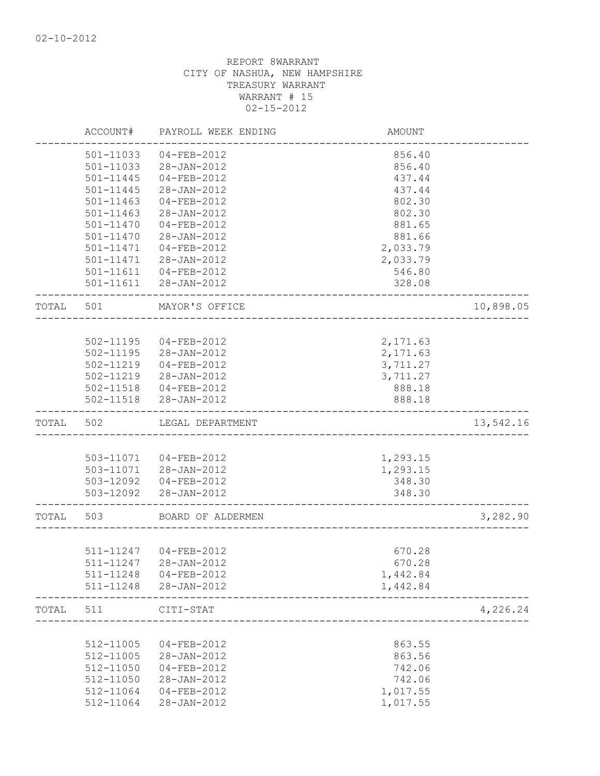|       | ACCOUNT#      | PAYROLL WEEK ENDING                             | <b>AMOUNT</b>        |           |
|-------|---------------|-------------------------------------------------|----------------------|-----------|
|       | 501-11033     | $04 - FEB - 2012$                               | 856.40               |           |
|       | 501-11033     | 28-JAN-2012                                     | 856.40               |           |
|       | $501 - 11445$ | $04 - FEB - 2012$                               | 437.44               |           |
|       | $501 - 11445$ | 28-JAN-2012                                     | 437.44               |           |
|       | 501-11463     | 04-FEB-2012                                     | 802.30               |           |
|       | 501-11463     | 28-JAN-2012                                     | 802.30               |           |
|       | 501-11470     | 04-FEB-2012                                     | 881.65               |           |
|       | 501-11470     | 28-JAN-2012                                     | 881.66               |           |
|       |               | 501-11471  04-FEB-2012<br>501-11471 28-JAN-2012 | 2,033.79<br>2,033.79 |           |
|       |               | 501-11611  04-FEB-2012                          | 546.80               |           |
|       |               | 501-11611 28-JAN-2012                           | 328.08               |           |
| TOTAL | 501           | MAYOR'S OFFICE                                  |                      | 10,898.05 |
|       |               |                                                 |                      |           |
|       |               | 502-11195 04-FEB-2012                           | 2,171.63             |           |
|       |               | 502-11195 28-JAN-2012                           | 2, 171.63            |           |
|       |               | 502-11219 04-FEB-2012                           | 3,711.27             |           |
|       |               | 502-11219 28-JAN-2012                           | 3,711.27             |           |
|       |               | 502-11518 04-FEB-2012                           | 888.18               |           |
|       |               | 502-11518 28-JAN-2012                           | 888.18               |           |
| TOTAL | 502           | LEGAL DEPARTMENT                                |                      | 13,542.16 |
|       |               |                                                 |                      |           |
|       |               | 503-11071  04-FEB-2012<br>503-11071 28-JAN-2012 | 1,293.15<br>1,293.15 |           |
|       |               | 503-12092  04-FEB-2012                          | 348.30               |           |
|       |               | 503-12092 28-JAN-2012                           | 348.30               |           |
| TOTAL | 503           | BOARD OF ALDERMEN                               |                      | 3,282.90  |
|       |               |                                                 |                      |           |
|       |               | 511-11247 04-FEB-2012                           | 670.28               |           |
|       | 511-11247     | $28 - JAN - 2012$                               | 670.28               |           |
|       | 511-11248     | $04 - FEB - 2012$                               | 1,442.84             |           |
|       | 511-11248     | $28 - JAN - 2012$                               | 1,442.84             |           |
| TOTAL | 511           | CITI-STAT                                       |                      | 4,226.24  |
|       |               |                                                 |                      |           |
|       | 512-11005     | $04 - FEB - 2012$                               | 863.55               |           |
|       | 512-11005     | $28 - JAN - 2012$                               | 863.56               |           |
|       | 512-11050     | 04-FEB-2012                                     | 742.06               |           |
|       | 512-11050     | $28 - JAN - 2012$                               | 742.06               |           |
|       | 512-11064     | $04 - FEB - 2012$                               | 1,017.55             |           |
|       | 512-11064     | $28 - JAN - 2012$                               | 1,017.55             |           |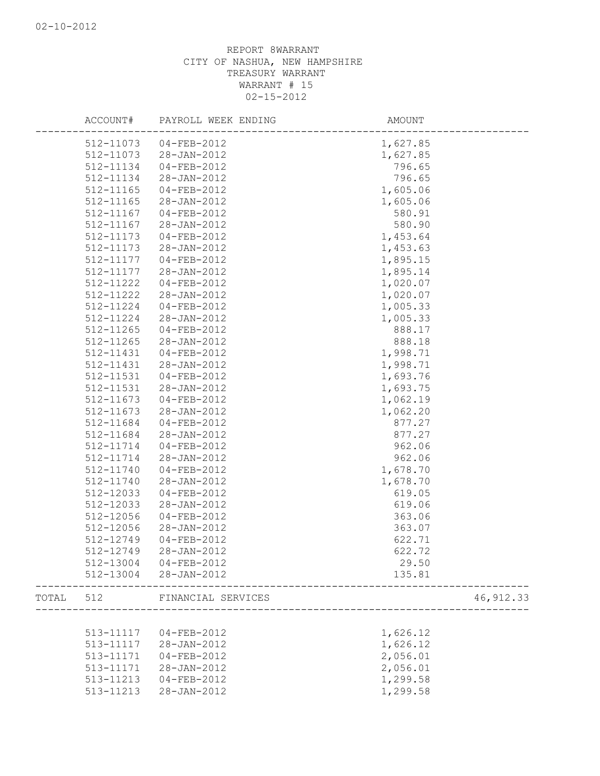| ACCOUNT#  | PAYROLL WEEK ENDING          | AMOUNT                             |            |
|-----------|------------------------------|------------------------------------|------------|
| 512-11073 | $04 - FEB - 2012$            | 1,627.85                           |            |
| 512-11073 | 28-JAN-2012                  | 1,627.85                           |            |
| 512-11134 | 04-FEB-2012                  | 796.65                             |            |
| 512-11134 | 28-JAN-2012                  | 796.65                             |            |
| 512-11165 | 04-FEB-2012                  | 1,605.06                           |            |
| 512-11165 | 28-JAN-2012                  | 1,605.06                           |            |
| 512-11167 | 04-FEB-2012                  | 580.91                             |            |
| 512-11167 | 28-JAN-2012                  | 580.90                             |            |
| 512-11173 | 04-FEB-2012                  | 1,453.64                           |            |
| 512-11173 | 28-JAN-2012                  | 1,453.63                           |            |
| 512-11177 | 04-FEB-2012                  | 1,895.15                           |            |
| 512-11177 | 28-JAN-2012                  | 1,895.14                           |            |
| 512-11222 | 04-FEB-2012                  | 1,020.07                           |            |
| 512-11222 | 28-JAN-2012                  | 1,020.07                           |            |
| 512-11224 | 04-FEB-2012                  | 1,005.33                           |            |
| 512-11224 | 28-JAN-2012                  | 1,005.33                           |            |
| 512-11265 | 04-FEB-2012                  | 888.17                             |            |
| 512-11265 | 28-JAN-2012                  | 888.18                             |            |
| 512-11431 | 04-FEB-2012                  | 1,998.71                           |            |
| 512-11431 | 28-JAN-2012                  | 1,998.71                           |            |
| 512-11531 | 04-FEB-2012                  | 1,693.76                           |            |
| 512-11531 | 28-JAN-2012                  | 1,693.75                           |            |
| 512-11673 | $04 - FEB - 2012$            | 1,062.19                           |            |
| 512-11673 | 28-JAN-2012                  | 1,062.20                           |            |
| 512-11684 | 04-FEB-2012                  | 877.27                             |            |
| 512-11684 | 28-JAN-2012                  | 877.27                             |            |
| 512-11714 | 04-FEB-2012                  | 962.06                             |            |
| 512-11714 | 28-JAN-2012                  | 962.06                             |            |
| 512-11740 | 04-FEB-2012                  | 1,678.70                           |            |
| 512-11740 | 28-JAN-2012                  | 1,678.70                           |            |
| 512-12033 | 04-FEB-2012                  | 619.05                             |            |
| 512-12033 | 28-JAN-2012                  | 619.06                             |            |
| 512-12056 | 04-FEB-2012                  | 363.06                             |            |
| 512-12056 | 28-JAN-2012                  | 363.07                             |            |
| 512-12749 | $04 - FEB - 2012$            | 622.71                             |            |
| 512-12749 | $28 - JAN - 2012$            | 622.72                             |            |
|           | 512-13004 04-FEB-2012        | 29.50                              |            |
|           | 512-13004 28-JAN-2012        | 135.81                             |            |
|           | TOTAL 512 FINANCIAL SERVICES | ----------------------             | 46, 912.33 |
|           |                              | ---------------------------------- |            |
|           | 513-11117 04-FEB-2012        | 1,626.12                           |            |
|           | 513-11117 28-JAN-2012        | 1,626.12                           |            |
|           | 513-11171  04-FEB-2012       | 2,056.01                           |            |
| 513-11171 | 28-JAN-2012                  | 2,056.01                           |            |
|           | 513-11213  04-FEB-2012       | 1,299.58                           |            |
|           | 513-11213 28-JAN-2012        | 1,299.58                           |            |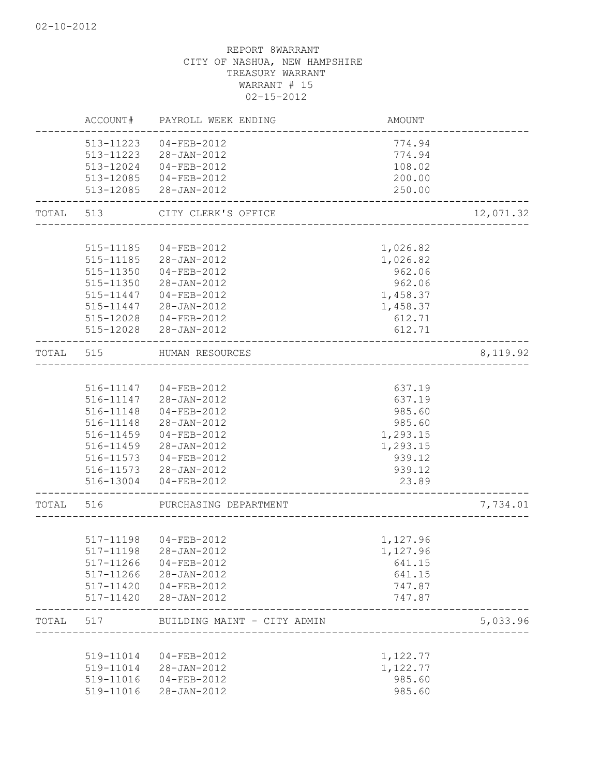|       | 519-11014<br>519-11014<br>519-11016<br>519-11016              | $04 - FEB - 2012$<br>28-JAN-2012<br>$04 - FEB - 2012$<br>28-JAN-2012                | 1,122.77<br>1,122.77<br>985.60<br>985.60         |           |
|-------|---------------------------------------------------------------|-------------------------------------------------------------------------------------|--------------------------------------------------|-----------|
| TOTAL | 517                                                           | BUILDING MAINT - CITY ADMIN                                                         |                                                  | 5,033.96  |
|       | 517-11198<br>517-11266<br>517-11266<br>517-11420<br>517-11420 | 28-JAN-2012<br>$04 - FEB - 2012$<br>28-JAN-2012<br>$04 - FEB - 2012$<br>28-JAN-2012 | 1,127.96<br>641.15<br>641.15<br>747.87<br>747.87 |           |
|       |                                                               | 517-11198 04-FEB-2012                                                               | 1,127.96                                         |           |
| TOTAL | 516                                                           | PURCHASING DEPARTMENT                                                               |                                                  | 7,734.01  |
|       | 516-13004                                                     | 04-FEB-2012                                                                         | 23.89                                            |           |
|       | 516-11573                                                     | 04-FEB-2012<br>516-11573 28-JAN-2012                                                | 939.12<br>939.12                                 |           |
|       | 516-11459                                                     | 28-JAN-2012                                                                         | 1,293.15                                         |           |
|       | 516-11459                                                     | 04-FEB-2012                                                                         | 1,293.15                                         |           |
|       | 516-11148                                                     | 28-JAN-2012                                                                         | 985.60                                           |           |
|       | 516-11148                                                     | 04-FEB-2012                                                                         | 985.60                                           |           |
|       |                                                               | 516-11147 04-FEB-2012<br>516-11147 28-JAN-2012                                      | 637.19<br>637.19                                 |           |
| TOTAL | 515                                                           | HUMAN RESOURCES                                                                     |                                                  | 8, 119.92 |
|       |                                                               | 515-12028 28-JAN-2012                                                               | 612.71                                           |           |
|       | 515-12028                                                     | $04 - FEB - 2012$                                                                   | 612.71                                           |           |
|       |                                                               | 515-11447 28-JAN-2012                                                               | 1,458.37                                         |           |
|       | 515-11447                                                     | 04-FEB-2012                                                                         | 1,458.37                                         |           |
|       | 515-11350                                                     | 28-JAN-2012                                                                         | 962.06                                           |           |
|       | 515-11185<br>515-11350                                        | 28-JAN-2012<br>$04 - FEB - 2012$                                                    | 1,026.82<br>962.06                               |           |
|       | 515-11185                                                     | $04 - FEB - 2012$                                                                   | 1,026.82                                         |           |
| TOTAL | 513                                                           | CITY CLERK'S OFFICE                                                                 |                                                  | 12,071.32 |
|       | 513-12085                                                     | 28-JAN-2012                                                                         | 250.00                                           |           |
|       | 513-12085                                                     | 04-FEB-2012                                                                         | 200.00                                           |           |
|       | 513-12024                                                     | $04 - FEB - 2012$                                                                   | 108.02                                           |           |
|       | 513-11223<br>513-11223                                        | 04-FEB-2012<br>28-JAN-2012                                                          | 774.94<br>774.94                                 |           |
|       |                                                               |                                                                                     |                                                  |           |
|       | ACCOUNT#                                                      | PAYROLL WEEK ENDING                                                                 | <b>AMOUNT</b>                                    |           |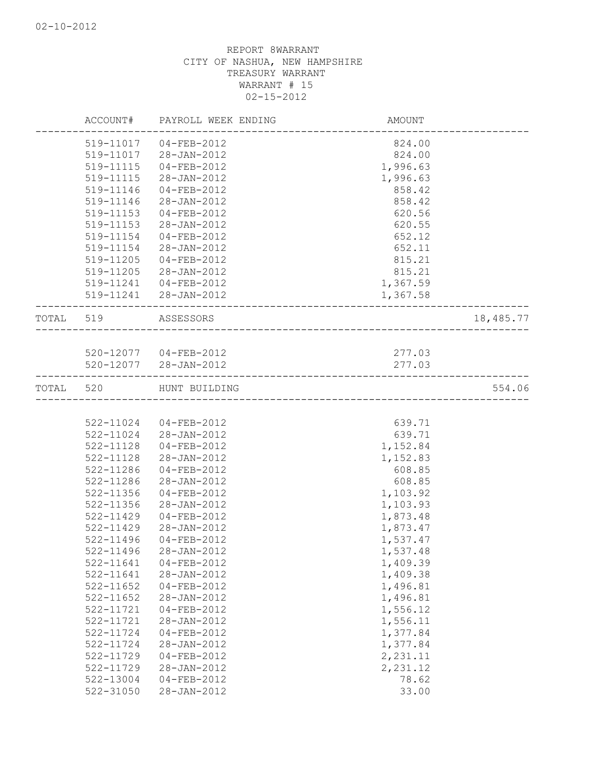|           |           | ACCOUNT# PAYROLL WEEK ENDING | AMOUNT                       |           |
|-----------|-----------|------------------------------|------------------------------|-----------|
|           | 519-11017 | 04-FEB-2012                  | 824.00                       |           |
|           | 519-11017 | 28-JAN-2012                  | 824.00                       |           |
|           | 519-11115 | $04 - FEB - 2012$            | 1,996.63                     |           |
|           | 519-11115 | 28-JAN-2012                  | 1,996.63                     |           |
|           | 519-11146 | 04-FEB-2012                  | 858.42                       |           |
|           | 519-11146 | 28-JAN-2012                  | 858.42                       |           |
|           | 519-11153 | 04-FEB-2012                  | 620.56                       |           |
|           | 519-11153 | 28-JAN-2012                  | 620.55                       |           |
|           | 519-11154 | 04-FEB-2012                  | 652.12                       |           |
|           | 519-11154 | 28-JAN-2012                  | 652.11                       |           |
|           | 519-11205 | $04 - FEB - 2012$            | 815.21                       |           |
|           | 519-11205 | 28-JAN-2012                  | 815.21                       |           |
|           | 519-11241 | 04-FEB-2012                  | 1,367.59                     |           |
|           |           | 519-11241 28-JAN-2012        | 1,367.58                     |           |
| TOTAL 519 |           | ASSESSORS                    | ____________________________ | 18,485.77 |
|           |           |                              |                              |           |
|           |           | 520-12077 04-FEB-2012        | 277.03                       |           |
|           |           | 520-12077 28-JAN-2012        | 277.03                       |           |
| TOTAL 520 |           | HUNT BUILDING                |                              | 554.06    |
|           |           |                              |                              |           |
|           |           | 522-11024 04-FEB-2012        | 639.71                       |           |
|           |           | 522-11024 28-JAN-2012        | 639.71                       |           |
|           | 522-11128 | 04-FEB-2012                  | 1,152.84                     |           |
|           | 522-11128 | 28-JAN-2012                  | 1,152.83                     |           |
|           | 522-11286 | 04-FEB-2012                  | 608.85                       |           |
|           | 522-11286 | 28-JAN-2012                  | 608.85                       |           |
|           | 522-11356 | 04-FEB-2012                  | 1,103.92                     |           |
|           | 522-11356 | 28-JAN-2012                  | 1,103.93                     |           |
|           | 522-11429 | 04-FEB-2012                  | 1,873.48                     |           |
|           | 522-11429 | 28-JAN-2012                  | 1,873.47                     |           |
|           | 522-11496 | 04-FEB-2012                  | 1,537.47                     |           |
|           | 522-11496 | 28-JAN-2012                  | 1,537.48                     |           |
|           | 522-11641 | 04-FEB-2012                  | 1,409.39                     |           |
|           | 522-11641 | 28-JAN-2012                  | 1,409.38                     |           |
|           | 522-11652 | 04-FEB-2012                  | 1,496.81                     |           |
|           | 522-11652 | 28-JAN-2012                  | 1,496.81                     |           |
|           | 522-11721 | 04-FEB-2012                  | 1,556.12                     |           |
|           | 522-11721 | 28-JAN-2012                  | 1,556.11                     |           |
|           | 522-11724 | $04 - FEB - 2012$            | 1,377.84                     |           |
|           | 522-11724 | 28-JAN-2012                  | 1,377.84                     |           |
|           | 522-11729 | $04 - FEB - 2012$            | 2,231.11                     |           |
|           | 522-11729 | 28-JAN-2012                  | 2,231.12                     |           |
|           | 522-13004 | $04 - FEB - 2012$            | 78.62                        |           |
|           | 522-31050 | 28-JAN-2012                  | 33.00                        |           |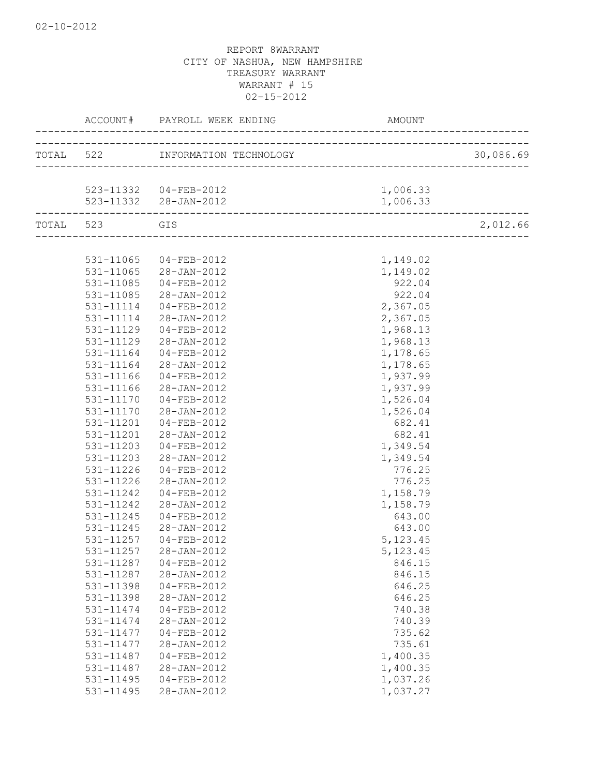|           |                | ACCOUNT# PAYROLL WEEK ENDING               | AMOUNT    |           |
|-----------|----------------|--------------------------------------------|-----------|-----------|
|           |                | TOTAL 522 INFORMATION TECHNOLOGY           |           | 30,086.69 |
|           | ______________ |                                            |           |           |
|           |                | 523-11332  04-FEB-2012                     | 1,006.33  |           |
|           |                | 523-11332 28-JAN-2012                      | 1,006.33  |           |
| TOTAL 523 |                | GIS<br>----------------------------------- |           | 2,012.66  |
|           |                |                                            |           |           |
|           | 531-11065      | 04-FEB-2012                                | 1,149.02  |           |
|           |                | 531-11065 28-JAN-2012                      | 1,149.02  |           |
|           | 531-11085      | 04-FEB-2012                                | 922.04    |           |
|           | 531-11085      | 28-JAN-2012                                | 922.04    |           |
|           | 531-11114      | 04-FEB-2012                                | 2,367.05  |           |
|           | 531-11114      | 28-JAN-2012                                | 2,367.05  |           |
|           | 531-11129      | 04-FEB-2012                                | 1,968.13  |           |
|           | 531-11129      | 28-JAN-2012                                | 1,968.13  |           |
|           | 531-11164      | $04 - FEB - 2012$                          | 1,178.65  |           |
|           | 531-11164      | 28-JAN-2012                                | 1,178.65  |           |
|           | 531-11166      | 04-FEB-2012                                | 1,937.99  |           |
|           | 531-11166      | 28-JAN-2012                                | 1,937.99  |           |
|           | 531-11170      | $04 - FEB - 2012$                          | 1,526.04  |           |
|           | 531-11170      | 28-JAN-2012                                | 1,526.04  |           |
|           | 531-11201      | 04-FEB-2012                                | 682.41    |           |
|           | 531-11201      | 28-JAN-2012                                | 682.41    |           |
|           | 531-11203      | 04-FEB-2012                                | 1,349.54  |           |
|           | 531-11203      | 28-JAN-2012                                | 1,349.54  |           |
|           | 531-11226      | 04-FEB-2012                                | 776.25    |           |
|           | 531-11226      | 28-JAN-2012                                | 776.25    |           |
|           | 531-11242      | 04-FEB-2012                                | 1,158.79  |           |
|           | 531-11242      | 28-JAN-2012                                | 1,158.79  |           |
|           | 531-11245      | $04 - FEB - 2012$                          | 643.00    |           |
|           | 531-11245      | 28-JAN-2012                                | 643.00    |           |
|           | 531-11257      | 04-FEB-2012                                | 5, 123.45 |           |
|           | 531-11257      | 28-JAN-2012                                | 5, 123.45 |           |
|           | 531-11287      | $04 - FEB - 2012$                          | 846.15    |           |
|           | 531-11287      | 28-JAN-2012                                | 846.15    |           |
|           | 531-11398      | $04 - FEB - 2012$                          | 646.25    |           |
|           | 531-11398      | 28-JAN-2012                                | 646.25    |           |
|           | 531-11474      | $04 - FEB - 2012$                          | 740.38    |           |
|           | 531-11474      |                                            | 740.39    |           |
|           | 531-11477      | 28-JAN-2012                                |           |           |
|           |                | $04 - FEB - 2012$                          | 735.62    |           |
|           | 531-11477      | 28-JAN-2012                                | 735.61    |           |
|           | 531-11487      | 04-FEB-2012                                | 1,400.35  |           |
|           | 531-11487      | 28-JAN-2012                                | 1,400.35  |           |
|           | 531-11495      | 04-FEB-2012                                | 1,037.26  |           |
|           | 531-11495      | $28 - JAN - 2012$                          | 1,037.27  |           |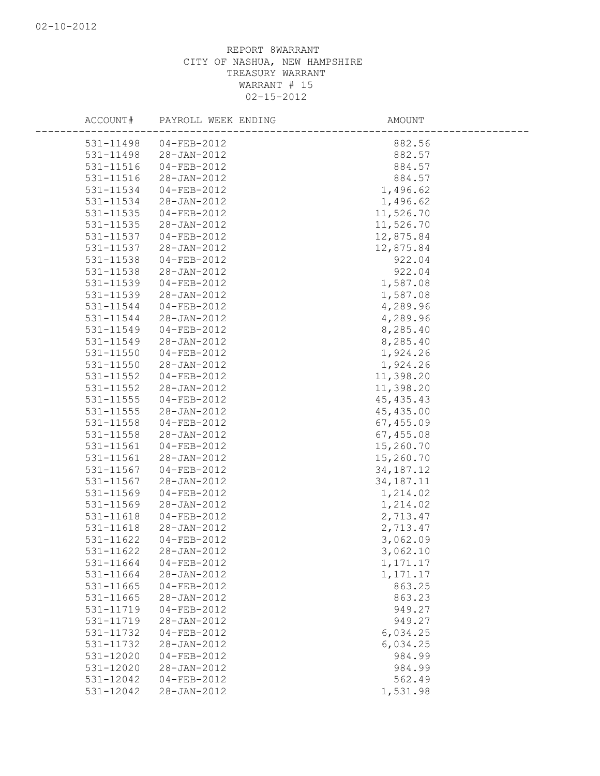|                        | ACCOUNT# PAYROLL WEEK ENDING     | AMOUNT               |
|------------------------|----------------------------------|----------------------|
| 531-11498              | 04-FEB-2012                      | 882.56               |
| 531-11498              | 28-JAN-2012                      | 882.57               |
| 531-11516              | 04-FEB-2012                      | 884.57               |
| 531-11516              | 28-JAN-2012                      | 884.57               |
| 531-11534              | 04-FEB-2012                      | 1,496.62             |
| 531-11534              | 28-JAN-2012                      | 1,496.62             |
| 531-11535              | $04 - FEB - 2012$                | 11,526.70            |
| 531-11535              | 28-JAN-2012                      | 11,526.70            |
| 531-11537              | 04-FEB-2012                      | 12,875.84            |
| 531-11537              | 28-JAN-2012                      | 12,875.84            |
| 531-11538              | 04-FEB-2012                      | 922.04               |
| 531-11538              | 28-JAN-2012                      | 922.04               |
| 531-11539              | 04-FEB-2012                      | 1,587.08             |
| 531-11539              | 28-JAN-2012                      | 1,587.08             |
| 531-11544              | 04-FEB-2012                      | 4,289.96             |
| 531-11544              | 28-JAN-2012                      | 4,289.96             |
| 531-11549              | 04-FEB-2012                      | 8,285.40             |
| 531-11549              | 28-JAN-2012                      | 8,285.40             |
| 531-11550              | 04-FEB-2012                      | 1,924.26             |
| 531-11550              | 28-JAN-2012                      | 1,924.26             |
| 531-11552              | 04-FEB-2012                      | 11,398.20            |
| 531-11552              | 28-JAN-2012                      | 11,398.20            |
| 531-11555              | 04-FEB-2012                      | 45, 435.43           |
| 531-11555              | 28-JAN-2012                      | 45, 435.00           |
| 531-11558              | 04-FEB-2012                      | 67,455.09            |
| 531-11558              | 28-JAN-2012                      | 67,455.08            |
| 531-11561              | 04-FEB-2012                      | 15,260.70            |
| 531-11561              | 28-JAN-2012                      | 15,260.70            |
| 531-11567              | 04-FEB-2012                      | 34, 187. 12          |
| 531-11567              | 28-JAN-2012                      | 34, 187. 11          |
| 531-11569              | 04-FEB-2012                      | 1,214.02             |
| 531-11569              | 28-JAN-2012                      | 1,214.02             |
| 531-11618              | $04 - FEB - 2012$                | 2,713.47             |
| 531-11618              | 28-JAN-2012                      | 2,713.47             |
| 531-11622              | 04-FEB-2012                      | 3,062.09             |
| 531-11622              | $28 - JAN - 2012$                | 3,062.10             |
| 531-11664              | $04 - FEB - 2012$                | 1, 171.17            |
| 531-11664              | 28-JAN-2012                      | 1, 171.17            |
| 531-11665              | $04 - FEB - 2012$                | 863.25               |
| 531-11665              | 28-JAN-2012                      | 863.23               |
| 531-11719              | $04 - FEB - 2012$                | 949.27               |
| 531-11719              | 28-JAN-2012<br>$04 - FEB - 2012$ | 949.27               |
| 531-11732<br>531-11732 | 28-JAN-2012                      | 6,034.25<br>6,034.25 |
| 531-12020              | $04 - FEB - 2012$                | 984.99               |
| 531-12020              | 28-JAN-2012                      | 984.99               |
| 531-12042              | $04 - FEB - 2012$                | 562.49               |
| 531-12042              | 28-JAN-2012                      | 1,531.98             |
|                        |                                  |                      |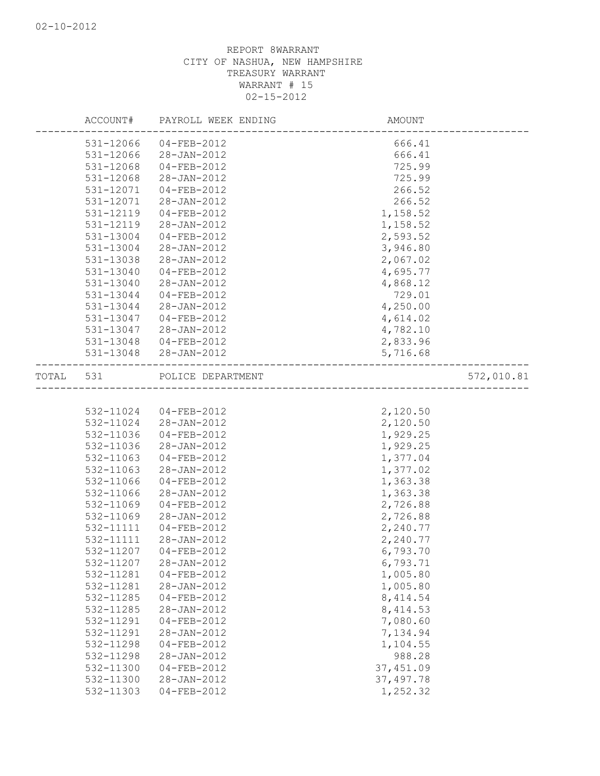|                        | ACCOUNT# PAYROLL WEEK ENDING     | AMOUNT                 |            |
|------------------------|----------------------------------|------------------------|------------|
| 531-12066              | 04-FEB-2012                      | 666.41                 |            |
| 531-12066              | 28-JAN-2012                      | 666.41                 |            |
| 531-12068              | $04 - FEB - 2012$                | 725.99                 |            |
| 531-12068              | 28-JAN-2012                      | 725.99                 |            |
| 531-12071              | 04-FEB-2012                      | 266.52                 |            |
| 531-12071              | 28-JAN-2012                      | 266.52                 |            |
| 531-12119              | $04 - FEB - 2012$                | 1,158.52               |            |
| 531-12119              | 28-JAN-2012                      | 1,158.52               |            |
| 531-13004              | 04-FEB-2012                      | 2,593.52               |            |
| 531-13004              | 28-JAN-2012                      | 3,946.80               |            |
| 531-13038              | 28-JAN-2012                      | 2,067.02               |            |
| 531-13040              | 04-FEB-2012                      | 4,695.77               |            |
| 531-13040              | 28-JAN-2012                      | 4,868.12               |            |
| 531-13044              | 04-FEB-2012                      | 729.01                 |            |
| 531-13044              | 28-JAN-2012                      | 4,250.00               |            |
| 531-13047              | $04 - FEB - 2012$                | 4,614.02               |            |
| 531-13047              | 28-JAN-2012                      | 4,782.10               |            |
| 531-13048              | $04 - FEB - 2012$                | 2,833.96               |            |
| 531-13048              | 28-JAN-2012                      | 5,716.68               |            |
|                        | TOTAL 531 POLICE DEPARTMENT      |                        | 572,010.81 |
|                        |                                  | ____________________   |            |
| 532-11024              | $04 - FEB - 2012$                | 2,120.50               |            |
|                        | 532-11024 28-JAN-2012            | 2,120.50               |            |
| 532-11036              | $04 - FEB - 2012$                | 1,929.25               |            |
| 532-11036              | 28-JAN-2012                      | 1,929.25               |            |
| 532-11063              | $04 - FEB - 2012$                | 1,377.04               |            |
| 532-11063              | 28-JAN-2012                      | 1,377.02               |            |
| 532-11066              | 04-FEB-2012                      | 1,363.38               |            |
| 532-11066              | 28-JAN-2012                      | 1,363.38               |            |
| 532-11069              | $04 - FEB - 2012$                | 2,726.88               |            |
| 532-11069              | 28-JAN-2012                      | 2,726.88               |            |
|                        | 532-11111  04-FEB-2012           | 2,240.77               |            |
| 532-11111              | 28-JAN-2012                      | 2,240.77               |            |
|                        | 532-11207 04-FEB-2012            | 6,793.70               |            |
| 532-11207              | $28 - JAN - 2012$                | 6,793.71               |            |
| 532-11281              | 04-FEB-2012                      | 1,005.80               |            |
| 532-11281              | 28-JAN-2012                      | 1,005.80               |            |
| 532-11285              | $04 - FEB - 2012$                | 8, 414.54              |            |
| 532-11285              | 28-JAN-2012                      | 8, 414.53              |            |
| 532-11291              | $04 - FEB - 2012$                | 7,080.60               |            |
| 532-11291              | 28-JAN-2012                      | 7,134.94               |            |
| 532-11298              | $04 - FEB - 2012$                | 1,104.55               |            |
| 532-11298<br>532-11300 | $28 - JAN - 2012$                | 988.28                 |            |
|                        |                                  |                        |            |
|                        | $04 - FEB - 2012$                | 37, 451.09             |            |
| 532-11300<br>532-11303 | 28-JAN-2012<br>$04 - FEB - 2012$ | 37, 497.78<br>1,252.32 |            |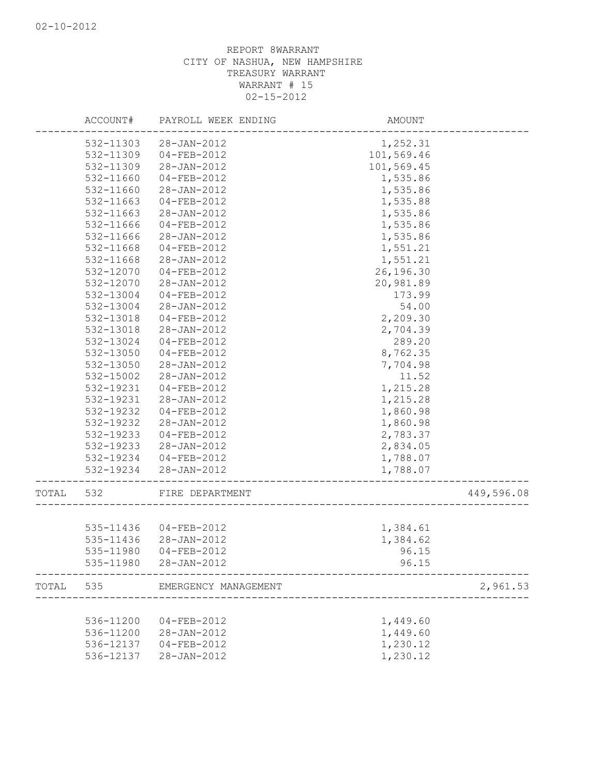|       | ACCOUNT#  | PAYROLL WEEK ENDING  | AMOUNT     |            |
|-------|-----------|----------------------|------------|------------|
|       | 532-11303 | 28-JAN-2012          | 1,252.31   |            |
|       | 532-11309 | 04-FEB-2012          | 101,569.46 |            |
|       | 532-11309 | 28-JAN-2012          | 101,569.45 |            |
|       | 532-11660 | 04-FEB-2012          | 1,535.86   |            |
|       | 532-11660 | 28-JAN-2012          | 1,535.86   |            |
|       | 532-11663 | 04-FEB-2012          | 1,535.88   |            |
|       | 532-11663 | 28-JAN-2012          | 1,535.86   |            |
|       | 532-11666 | 04-FEB-2012          | 1,535.86   |            |
|       | 532-11666 | 28-JAN-2012          | 1,535.86   |            |
|       | 532-11668 | 04-FEB-2012          | 1,551.21   |            |
|       | 532-11668 | 28-JAN-2012          | 1,551.21   |            |
|       | 532-12070 | 04-FEB-2012          | 26,196.30  |            |
|       | 532-12070 | 28-JAN-2012          | 20,981.89  |            |
|       | 532-13004 | $04 - FEB - 2012$    | 173.99     |            |
|       | 532-13004 | 28-JAN-2012          | 54.00      |            |
|       | 532-13018 | 04-FEB-2012          | 2,209.30   |            |
|       | 532-13018 | 28-JAN-2012          | 2,704.39   |            |
|       | 532-13024 | 04-FEB-2012          | 289.20     |            |
|       | 532-13050 | 04-FEB-2012          | 8,762.35   |            |
|       | 532-13050 | 28-JAN-2012          | 7,704.98   |            |
|       | 532-15002 | 28-JAN-2012          | 11.52      |            |
|       | 532-19231 | 04-FEB-2012          | 1,215.28   |            |
|       | 532-19231 | 28-JAN-2012          | 1,215.28   |            |
|       | 532-19232 | 04-FEB-2012          | 1,860.98   |            |
|       | 532-19232 | 28-JAN-2012          | 1,860.98   |            |
|       | 532-19233 | 04-FEB-2012          | 2,783.37   |            |
|       | 532-19233 | 28-JAN-2012          | 2,834.05   |            |
|       | 532-19234 | 04-FEB-2012          | 1,788.07   |            |
|       | 532-19234 | 28-JAN-2012          | 1,788.07   |            |
|       |           |                      |            |            |
| TOTAL | 532       | FIRE DEPARTMENT      |            | 449,596.08 |
|       |           |                      |            |            |
|       | 535-11436 | 04-FEB-2012          | 1,384.61   |            |
|       | 535-11436 | 28-JAN-2012          | 1,384.62   |            |
|       | 535-11980 | $04 - FEB - 2012$    | 96.15      |            |
|       | 535-11980 | $28 - JAN - 2012$    | 96.15      |            |
| TOTAL | 535       | EMERGENCY MANAGEMENT |            | 2,961.53   |
|       |           |                      |            |            |
|       | 536-11200 | $04 - FEB - 2012$    | 1,449.60   |            |
|       | 536-11200 | $28 - JAN - 2012$    | 1,449.60   |            |
|       | 536-12137 | 04-FEB-2012          | 1,230.12   |            |
|       | 536-12137 | $28 - JAN - 2012$    | 1,230.12   |            |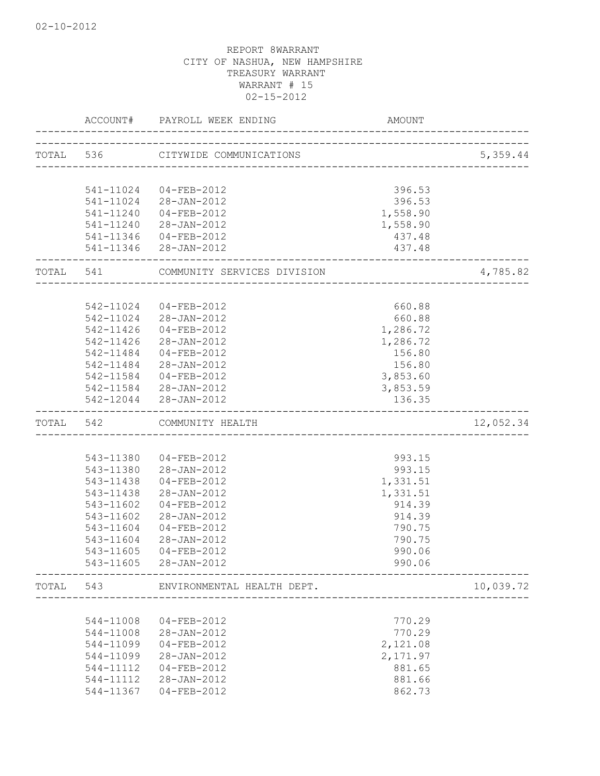|       | ACCOUNT#               | PAYROLL WEEK ENDING               | <b>AMOUNT</b>      |           |
|-------|------------------------|-----------------------------------|--------------------|-----------|
|       |                        | TOTAL 536 CITYWIDE COMMUNICATIONS |                    | 5,359.44  |
|       |                        |                                   |                    |           |
|       | 541-11024              | 04-FEB-2012                       | 396.53             |           |
|       | 541-11024              | 28-JAN-2012                       | 396.53             |           |
|       | 541-11240<br>541-11240 | 04-FEB-2012<br>28-JAN-2012        | 1,558.90           |           |
|       |                        | 541-11346 04-FEB-2012             | 1,558.90<br>437.48 |           |
|       |                        | 541-11346 28-JAN-2012             | 437.48             |           |
| TOTAL | 541                    | COMMUNITY SERVICES DIVISION       |                    | 4,785.82  |
|       |                        |                                   |                    |           |
|       |                        | 542-11024 04-FEB-2012             | 660.88             |           |
|       |                        | 542-11024 28-JAN-2012             | 660.88             |           |
|       | 542-11426              | $04 - FEB - 2012$                 | 1,286.72           |           |
|       | 542-11426              | 28-JAN-2012                       | 1,286.72           |           |
|       |                        | 542-11484 04-FEB-2012             | 156.80             |           |
|       |                        | 542-11484 28-JAN-2012             | 156.80             |           |
|       |                        | 542-11584 04-FEB-2012             | 3,853.60           |           |
|       |                        | 542-11584 28-JAN-2012             | 3,853.59           |           |
|       |                        | 542-12044 28-JAN-2012             | 136.35             |           |
| TOTAL | 542                    | COMMUNITY HEALTH                  |                    | 12,052.34 |
|       |                        |                                   |                    |           |
|       | 543-11380              | 04-FEB-2012                       | 993.15             |           |
|       |                        | 543-11380 28-JAN-2012             | 993.15             |           |
|       | 543-11438              | 04-FEB-2012                       | 1,331.51           |           |
|       | 543-11438              | 28-JAN-2012                       | 1,331.51           |           |
|       | 543-11602              | 04-FEB-2012                       | 914.39             |           |
|       | 543-11602              | 28-JAN-2012                       | 914.39             |           |
|       | 543-11604              | 04-FEB-2012                       | 790.75             |           |
|       | 543-11604              | 28-JAN-2012                       | 790.75             |           |
|       | 543-11605              | $04 - FEB - 2012$                 | 990.06             |           |
|       | 543-11605              | 28-JAN-2012                       | 990.06             |           |
| TOTAL | 543                    | ENVIRONMENTAL HEALTH DEPT.        |                    | 10,039.72 |
|       |                        |                                   |                    |           |
|       | 544-11008              | 04-FEB-2012                       | 770.29             |           |
|       | 544-11008              | 28-JAN-2012                       | 770.29             |           |
|       | 544-11099              | $04 - FEB - 2012$                 | 2,121.08           |           |
|       | 544-11099              | 28-JAN-2012                       | 2,171.97           |           |
|       | 544-11112              | $04 - FEB - 2012$                 | 881.65             |           |
|       | 544-11112              | 28-JAN-2012                       | 881.66             |           |
|       | 544-11367              | $04 - FEB - 2012$                 | 862.73             |           |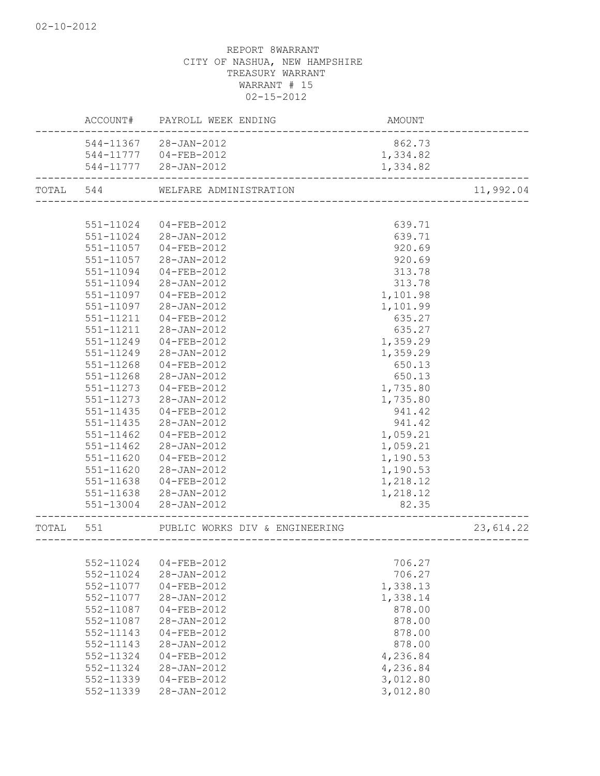|       |               | ACCOUNT# PAYROLL WEEK ENDING     | AMOUNT   |           |
|-------|---------------|----------------------------------|----------|-----------|
|       |               | 544-11367 28-JAN-2012            | 862.73   |           |
|       |               | 544-11777 04-FEB-2012            | 1,334.82 |           |
|       |               | 544-11777 28-JAN-2012            | 1,334.82 |           |
|       |               | TOTAL 544 WELFARE ADMINISTRATION |          | 11,992.04 |
|       |               |                                  |          |           |
|       | 551-11024     | 04-FEB-2012                      | 639.71   |           |
|       | 551-11024     | 28-JAN-2012                      | 639.71   |           |
|       | 551-11057     | 04-FEB-2012                      | 920.69   |           |
|       | 551-11057     | 28-JAN-2012                      | 920.69   |           |
|       | 551-11094     | 04-FEB-2012                      | 313.78   |           |
|       | 551-11094     | 28-JAN-2012                      | 313.78   |           |
|       | 551-11097     | 04-FEB-2012                      | 1,101.98 |           |
|       | 551-11097     | 28-JAN-2012                      | 1,101.99 |           |
|       | 551-11211     | $04 - FEB - 2012$                | 635.27   |           |
|       | 551-11211     | 28-JAN-2012                      | 635.27   |           |
|       | 551-11249     | $04 - FEB - 2012$                | 1,359.29 |           |
|       | 551-11249     | 28-JAN-2012                      | 1,359.29 |           |
|       | 551-11268     | $04 - FEB - 2012$                | 650.13   |           |
|       | 551-11268     | 28-JAN-2012                      | 650.13   |           |
|       | 551-11273     | 04-FEB-2012                      | 1,735.80 |           |
|       | 551-11273     | 28-JAN-2012                      | 1,735.80 |           |
|       | 551-11435     | $04 - FEB - 2012$                | 941.42   |           |
|       | 551-11435     | 28-JAN-2012                      | 941.42   |           |
|       | $551 - 11462$ | 04-FEB-2012                      | 1,059.21 |           |
|       | 551-11462     | 28-JAN-2012                      | 1,059.21 |           |
|       | $551 - 11620$ | 04-FEB-2012                      | 1,190.53 |           |
|       | $551 - 11620$ | 28-JAN-2012                      | 1,190.53 |           |
|       | 551-11638     | 04-FEB-2012                      | 1,218.12 |           |
|       |               | 551-11638 28-JAN-2012            | 1,218.12 |           |
|       | 551-13004     | 28-JAN-2012                      | 82.35    |           |
| TOTAL | 551           | PUBLIC WORKS DIV & ENGINEERING   |          | 23,614.22 |
|       |               | ___________________              |          |           |
|       | 552-11024     | $04 - FEB - 2012$                | 706.27   |           |
|       | 552-11024     | 28-JAN-2012                      | 706.27   |           |
|       | 552-11077     | $04 - FEB - 2012$                | 1,338.13 |           |
|       | 552-11077     | $28 - JAN - 2012$                | 1,338.14 |           |
|       | 552-11087     | $04 - FEB - 2012$                | 878.00   |           |
|       | 552-11087     | 28-JAN-2012                      | 878.00   |           |
|       | 552-11143     | $04 - FEB - 2012$                | 878.00   |           |
|       | 552-11143     | 28-JAN-2012                      | 878.00   |           |
|       | 552-11324     | $04 - FEB - 2012$                | 4,236.84 |           |
|       | 552-11324     | 28-JAN-2012                      | 4,236.84 |           |
|       | 552-11339     | $04 - FEB - 2012$                | 3,012.80 |           |
|       |               |                                  |          |           |
|       | 552-11339     | 28-JAN-2012                      | 3,012.80 |           |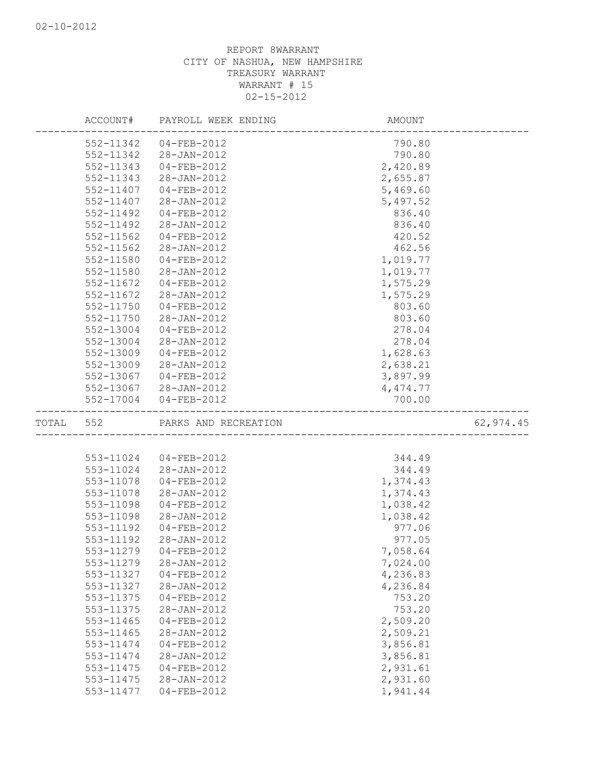|           |           | ACCOUNT# PAYROLL WEEK ENDING | AMOUNT                            |           |
|-----------|-----------|------------------------------|-----------------------------------|-----------|
|           | 552-11342 | 04-FEB-2012                  | 790.80                            |           |
|           | 552-11342 | 28-JAN-2012                  | 790.80                            |           |
|           | 552-11343 | 04-FEB-2012                  | 2,420.89                          |           |
|           | 552-11343 | 28-JAN-2012                  | 2,655.87                          |           |
|           | 552-11407 | 04-FEB-2012                  | 5,469.60                          |           |
|           | 552-11407 | 28-JAN-2012                  | 5,497.52                          |           |
|           | 552-11492 | 04-FEB-2012                  | 836.40                            |           |
|           | 552-11492 | 28-JAN-2012                  | 836.40                            |           |
|           | 552-11562 | 04-FEB-2012                  | 420.52                            |           |
|           | 552-11562 | 28-JAN-2012                  | 462.56                            |           |
|           | 552-11580 | 04-FEB-2012                  | 1,019.77                          |           |
|           | 552-11580 | 28-JAN-2012                  | 1,019.77                          |           |
|           | 552-11672 | 04-FEB-2012                  | 1,575.29                          |           |
|           | 552-11672 | 28-JAN-2012                  | 1,575.29                          |           |
|           | 552-11750 | 04-FEB-2012                  | 803.60                            |           |
|           | 552-11750 | 28-JAN-2012                  | 803.60                            |           |
|           | 552-13004 | 04-FEB-2012                  | 278.04                            |           |
|           | 552-13004 | 28-JAN-2012                  | 278.04                            |           |
|           | 552-13009 | 04-FEB-2012                  | 1,628.63                          |           |
|           | 552-13009 | 28-JAN-2012                  | 2,638.21                          |           |
|           | 552-13067 | 04-FEB-2012                  | 3,897.99                          |           |
|           |           | 552-13067 28-JAN-2012        | 4,474.77                          |           |
|           |           | 552-17004 04-FEB-2012        | 700.00                            |           |
| TOTAL 552 |           | PARKS AND RECREATION         |                                   | 62,974.45 |
|           |           |                              |                                   |           |
|           |           |                              | --------------------------------- |           |
|           | 553-11024 | 04-FEB-2012                  | 344.49                            |           |
|           |           | 553-11024 28-JAN-2012        | 344.49                            |           |
|           | 553-11078 | 04-FEB-2012                  | 1,374.43                          |           |
|           | 553-11078 | 28-JAN-2012                  | 1,374.43                          |           |
|           | 553-11098 | $04 - FEB - 2012$            | 1,038.42                          |           |
|           | 553-11098 | 28-JAN-2012                  | 1,038.42                          |           |
|           | 553-11192 | 04-FEB-2012                  | 977.06                            |           |
|           | 553-11192 | 28-JAN-2012                  | 977.05                            |           |
|           | 553-11279 | $04 - FEB - 2012$            | 7,058.64                          |           |
|           | 553-11279 | 28-JAN-2012                  | 7,024.00                          |           |
|           | 553-11327 | $04 - FEB - 2012$            | 4,236.83                          |           |
|           | 553-11327 | 28-JAN-2012                  | 4,236.84                          |           |
|           | 553-11375 | 04-FEB-2012                  | 753.20                            |           |
|           | 553-11375 | 28-JAN-2012                  | 753.20                            |           |
|           | 553-11465 | $04 - FEB - 2012$            | 2,509.20                          |           |
|           | 553-11465 | 28-JAN-2012                  | 2,509.21                          |           |
|           | 553-11474 | 04-FEB-2012                  | 3,856.81                          |           |
|           | 553-11474 | $28 - JAN - 2012$            | 3,856.81                          |           |
|           | 553-11475 | $04 - FEB - 2012$            | 2,931.61                          |           |
|           | 553-11475 | 28-JAN-2012                  | 2,931.60                          |           |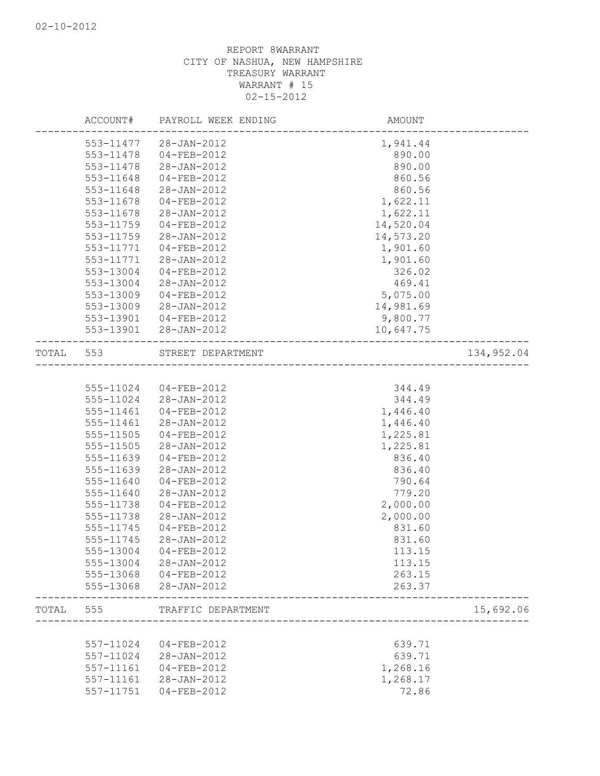|           | ACCOUNT#               | PAYROLL WEEK ENDING | AMOUNT           |            |
|-----------|------------------------|---------------------|------------------|------------|
|           | 553-11477              | 28-JAN-2012         | 1,941.44         |            |
|           | 553-11478              | 04-FEB-2012         | 890.00           |            |
|           | 553-11478              | 28-JAN-2012         | 890.00           |            |
|           | 553-11648              | $04 - FEB - 2012$   | 860.56           |            |
|           | 553-11648              | 28-JAN-2012         | 860.56           |            |
|           | 553-11678              | 04-FEB-2012         | 1,622.11         |            |
|           | 553-11678              | 28-JAN-2012         | 1,622.11         |            |
|           | 553-11759              | $04 - FEB - 2012$   | 14,520.04        |            |
|           | 553-11759              | 28-JAN-2012         | 14,573.20        |            |
|           | 553-11771              | $04 - FEB - 2012$   | 1,901.60         |            |
|           | 553-11771              | 28-JAN-2012         | 1,901.60         |            |
|           | 553-13004              | 04-FEB-2012         | 326.02           |            |
|           | 553-13004              | 28-JAN-2012         | 469.41           |            |
|           | 553-13009              | 04-FEB-2012         | 5,075.00         |            |
|           | 553-13009              | 28-JAN-2012         | 14,981.69        |            |
|           | 553-13901              |                     | 9,800.77         |            |
|           |                        | 04-FEB-2012         |                  |            |
|           | 553-13901              | 28-JAN-2012         | 10,647.75        |            |
| TOTAL 553 |                        | STREET DEPARTMENT   |                  | 134,952.04 |
|           |                        |                     |                  |            |
|           | 555-11024              | 04-FEB-2012         | 344.49           |            |
|           | 555-11024              | 28-JAN-2012         | 344.49           |            |
|           | 555-11461              | 04-FEB-2012         | 1,446.40         |            |
|           | 555-11461              | 28-JAN-2012         | 1,446.40         |            |
|           | 555-11505              | 04-FEB-2012         | 1,225.81         |            |
|           | 555-11505              | 28-JAN-2012         | 1,225.81         |            |
|           | 555-11639              | 04-FEB-2012         | 836.40           |            |
|           | 555-11639              | 28-JAN-2012         | 836.40           |            |
|           | 555-11640              | 04-FEB-2012         | 790.64           |            |
|           | 555-11640              | 28-JAN-2012         | 779.20           |            |
|           | 555-11738              | 04-FEB-2012         | 2,000.00         |            |
|           | 555-11738              | 28-JAN-2012         | 2,000.00         |            |
|           | 555-11745              | 04-FEB-2012         | 831.60           |            |
|           | 555-11745              | 28-JAN-2012         | 831.60           |            |
|           | 555-13004              | $04 - FEB - 2012$   | 113.15           |            |
|           | 555-13004              | 28-JAN-2012         |                  |            |
|           |                        | $04 - FEB - 2012$   | 113.15           |            |
|           | 555-13068<br>555-13068 | 28-JAN-2012         | 263.15<br>263.37 |            |
|           |                        |                     |                  |            |
| TOTAL     | 555                    | TRAFFIC DEPARTMENT  |                  | 15,692.06  |
|           |                        |                     |                  |            |
|           | 557-11024              | $04 - FEB - 2012$   | 639.71           |            |
|           | 557-11024              | 28-JAN-2012         | 639.71           |            |
|           | 557-11161              | 04-FEB-2012         | 1,268.16         |            |
|           | 557-11161              | 28-JAN-2012         | 1,268.17         |            |
|           | 557-11751              | $04 - FEB - 2012$   | 72.86            |            |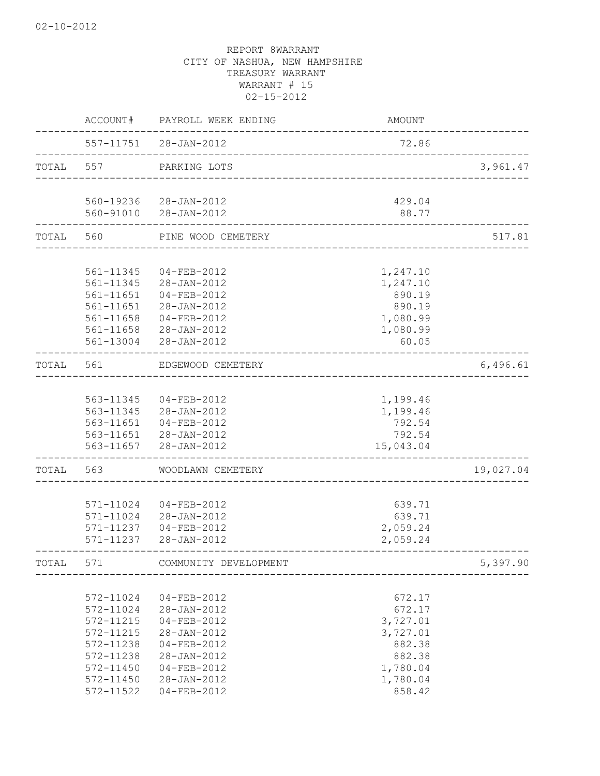|           | ACCOUNT#      | PAYROLL WEEK ENDING   | AMOUNT    |           |
|-----------|---------------|-----------------------|-----------|-----------|
|           |               | 557-11751 28-JAN-2012 | 72.86     |           |
| TOTAL 557 |               | PARKING LOTS          |           | 3,961.47  |
|           | 560-19236     | 28-JAN-2012           | 429.04    |           |
|           | 560-91010     | 28-JAN-2012           | 88.77     |           |
| TOTAL 560 |               | PINE WOOD CEMETERY    |           | 517.81    |
|           |               |                       |           |           |
|           | 561-11345     | 04-FEB-2012           | 1,247.10  |           |
|           | 561-11345     | 28-JAN-2012           | 1,247.10  |           |
|           | 561-11651     | 04-FEB-2012           | 890.19    |           |
|           | 561-11651     | 28-JAN-2012           | 890.19    |           |
|           | $561 - 11658$ | 04-FEB-2012           | 1,080.99  |           |
|           | 561-11658     | 28-JAN-2012           | 1,080.99  |           |
|           | 561-13004     | $28 - JAN - 2012$     | 60.05     |           |
| TOTAL     | 561           | EDGEWOOD CEMETERY     |           | 6,496.61  |
|           |               |                       |           |           |
|           | 563-11345     | $04 - FEB - 2012$     | 1,199.46  |           |
|           | 563-11345     | 28-JAN-2012           | 1,199.46  |           |
|           | 563-11651     | 04-FEB-2012           | 792.54    |           |
|           | 563-11651     | 28-JAN-2012           | 792.54    |           |
|           | 563-11657     | 28-JAN-2012           | 15,043.04 |           |
| TOTAL     | 563           | WOODLAWN CEMETERY     |           | 19,027.04 |
|           |               |                       |           |           |
|           | 571-11024     | 04-FEB-2012           | 639.71    |           |
|           | 571-11024     | 28-JAN-2012           | 639.71    |           |
|           | 571-11237     | 04-FEB-2012           | 2,059.24  |           |
|           | 571-11237     | 28-JAN-2012           | 2,059.24  |           |
| TOTAL     | 571           | COMMUNITY DEVELOPMENT |           | 5,397.90  |
|           |               |                       |           |           |
|           | 572-11024     | 04-FEB-2012           | 672.17    |           |
|           | 572-11024     | 28-JAN-2012           | 672.17    |           |
|           | 572-11215     | $04 - FEB - 2012$     | 3,727.01  |           |
|           | 572-11215     | 28-JAN-2012           | 3,727.01  |           |
|           | 572-11238     | 04-FEB-2012           | 882.38    |           |
|           | 572-11238     | 28-JAN-2012           | 882.38    |           |
|           | 572-11450     | $04 - FEB - 2012$     | 1,780.04  |           |
|           | 572-11450     | 28-JAN-2012           | 1,780.04  |           |
|           | 572-11522     | $04 - FEB - 2012$     | 858.42    |           |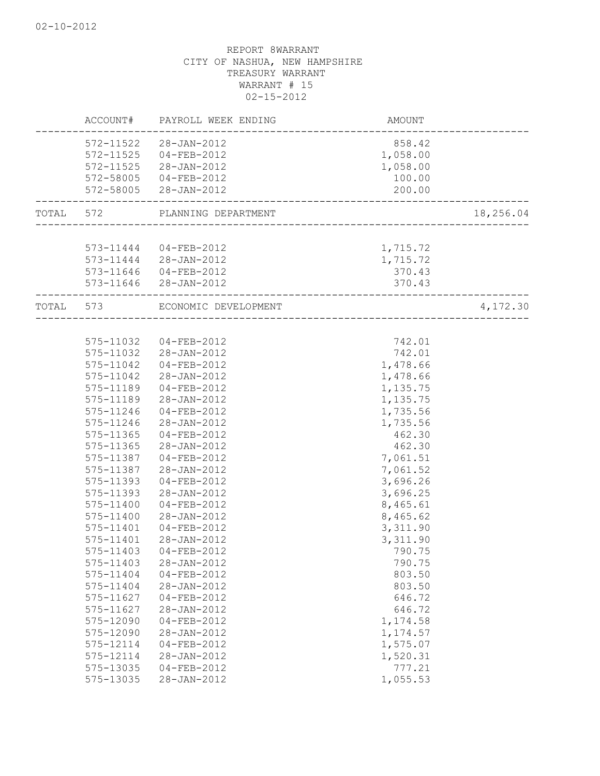|           |           | ACCOUNT# PAYROLL WEEK ENDING | AMOUNT                         |           |
|-----------|-----------|------------------------------|--------------------------------|-----------|
|           | 572-11522 | 28-JAN-2012                  | 858.42                         |           |
|           | 572-11525 | 04-FEB-2012                  | 1,058.00                       |           |
|           | 572-11525 | 28-JAN-2012                  | 1,058.00                       |           |
|           | 572-58005 | 04-FEB-2012                  | 100.00                         |           |
|           |           | 572-58005 28-JAN-2012        | 200.00                         |           |
| TOTAL 572 |           | PLANNING DEPARTMENT          |                                | 18,256.04 |
|           |           |                              |                                |           |
|           |           | 573-11444 04-FEB-2012        | 1,715.72                       |           |
|           |           | 573-11444 28-JAN-2012        | 1,715.72                       |           |
|           |           | 573-11646 04-FEB-2012        | 370.43                         |           |
|           |           | 573-11646 28-JAN-2012        | 370.43                         |           |
|           | TOTAL 573 | ECONOMIC DEVELOPMENT         | ______________________________ | 4,172.30  |
|           |           |                              |                                |           |
|           | 575-11032 | 04-FEB-2012                  | 742.01                         |           |
|           |           | 575-11032 28-JAN-2012        | 742.01                         |           |
|           | 575-11042 | 04-FEB-2012                  | 1,478.66                       |           |
|           | 575-11042 | 28-JAN-2012                  | 1,478.66                       |           |
|           | 575-11189 | 04-FEB-2012                  | 1,135.75                       |           |
|           | 575-11189 | 28-JAN-2012                  | 1,135.75                       |           |
|           | 575-11246 | 04-FEB-2012                  | 1,735.56                       |           |
|           | 575-11246 | 28-JAN-2012                  | 1,735.56                       |           |
|           | 575-11365 | 04-FEB-2012                  | 462.30                         |           |
|           | 575-11365 | 28-JAN-2012                  | 462.30                         |           |
|           | 575-11387 | 04-FEB-2012                  | 7,061.51                       |           |
|           | 575-11387 | 28-JAN-2012                  | 7,061.52                       |           |
|           | 575-11393 | 04-FEB-2012                  | 3,696.26                       |           |
|           | 575-11393 | 28-JAN-2012                  | 3,696.25                       |           |
|           | 575-11400 | 04-FEB-2012                  | 8,465.61                       |           |
|           | 575-11400 | 28-JAN-2012                  | 8,465.62                       |           |
|           | 575-11401 | 04-FEB-2012                  | 3,311.90                       |           |
|           | 575-11401 | 28-JAN-2012                  | 3,311.90                       |           |
|           | 575-11403 | $04 - FEB - 2012$            | 790.75                         |           |
|           | 575-11403 | 28-JAN-2012                  | 790.75                         |           |
|           | 575-11404 | $04 - FEB - 2012$            | 803.50                         |           |
|           | 575-11404 | 28-JAN-2012                  | 803.50                         |           |
|           | 575-11627 | 04-FEB-2012                  | 646.72                         |           |
|           | 575-11627 | $28 - JAN - 2012$            | 646.72                         |           |
|           | 575-12090 | $04 - FEB - 2012$            | 1,174.58                       |           |
|           | 575-12090 | 28-JAN-2012                  | 1, 174.57                      |           |
|           | 575-12114 | 04-FEB-2012                  | 1,575.07                       |           |
|           | 575-12114 | 28-JAN-2012                  | 1,520.31                       |           |
|           | 575-13035 | $04 - FEB - 2012$            | 777.21                         |           |
|           | 575-13035 | $28 - JAN - 2012$            | 1,055.53                       |           |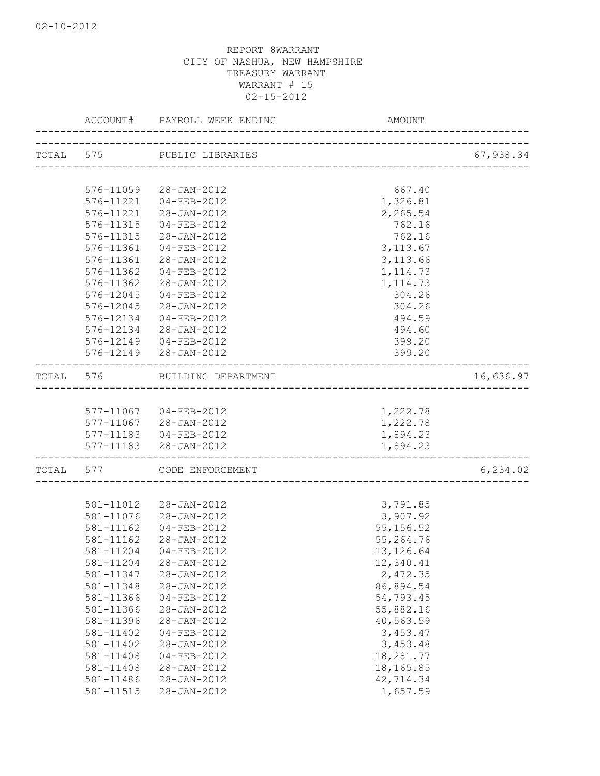|                        | ACCOUNT# PAYROLL WEEK ENDING  | AMOUNT                  |           |
|------------------------|-------------------------------|-------------------------|-----------|
|                        | TOTAL 575 PUBLIC LIBRARIES    |                         | 67,938.34 |
|                        |                               |                         |           |
| 576-11059              | 28-JAN-2012                   | 667.40                  |           |
| 576-11221              | 04-FEB-2012                   | 1,326.81                |           |
| 576-11221              | 28-JAN-2012                   | 2,265.54                |           |
| 576-11315              | 04-FEB-2012                   | 762.16                  |           |
| 576-11315              | 28-JAN-2012                   | 762.16                  |           |
| 576-11361              | 04-FEB-2012                   | 3, 113.67               |           |
| 576-11361              | 28-JAN-2012                   | 3, 113.66               |           |
| 576-11362              | 04-FEB-2012                   | 1, 114.73               |           |
| 576-11362              | 28-JAN-2012                   | 1, 114.73               |           |
| 576-12045              | 04-FEB-2012                   | 304.26                  |           |
| 576-12045              | 28-JAN-2012                   | 304.26                  |           |
| 576-12134              | $04 - FEB - 2012$             | 494.59                  |           |
| 576-12134              | 28-JAN-2012                   | 494.60                  |           |
| 576-12149              | $04 - FEB - 2012$             | 399.20                  |           |
|                        | 576-12149 28-JAN-2012         | 399.20                  |           |
|                        | TOTAL 576 BUILDING DEPARTMENT | _______________________ | 16,636.97 |
|                        |                               |                         |           |
|                        | 577-11067 04-FEB-2012         | 1,222.78                |           |
| 577-11067              | 28-JAN-2012                   | 1,222.78                |           |
| 577-11183              | 04-FEB-2012                   | 1,894.23                |           |
|                        | 577-11183 28-JAN-2012         | 1,894.23                |           |
| TOTAL 577              | CODE ENFORCEMENT              | _______________________ | 6, 234.02 |
|                        |                               |                         |           |
|                        | 581-11012 28-JAN-2012         | 3,791.85                |           |
|                        | 581-11076 28-JAN-2012         | 3,907.92                |           |
| 581-11162              | $04 - FEB - 2012$             | 55, 156.52              |           |
| 581-11162              | 28-JAN-2012                   | 55,264.76               |           |
|                        | 581-11204 04-FEB-2012         | 13, 126.64              |           |
| 581-11204              | 28-JAN-2012                   | 12,340.41               |           |
| 581-11347              | 28-JAN-2012                   | 2,472.35                |           |
| 581-11348              | 28-JAN-2012                   | 86,894.54               |           |
| 581-11366              | 04-FEB-2012                   | 54,793.45               |           |
| 581-11366              | 28-JAN-2012                   | 55,882.16               |           |
| 581-11396              | 28-JAN-2012                   | 40,563.59               |           |
| 581-11402              | $04 - FEB - 2012$             | 3,453.47                |           |
| 581-11402              | $28 - JAN - 2012$             | 3,453.48                |           |
| 581-11408              | 04-FEB-2012                   | 18,281.77               |           |
| 581-11408<br>581-11486 | 28-JAN-2012<br>28-JAN-2012    | 18, 165.85<br>42,714.34 |           |
| 581-11515              |                               | 1,657.59                |           |
|                        | 28-JAN-2012                   |                         |           |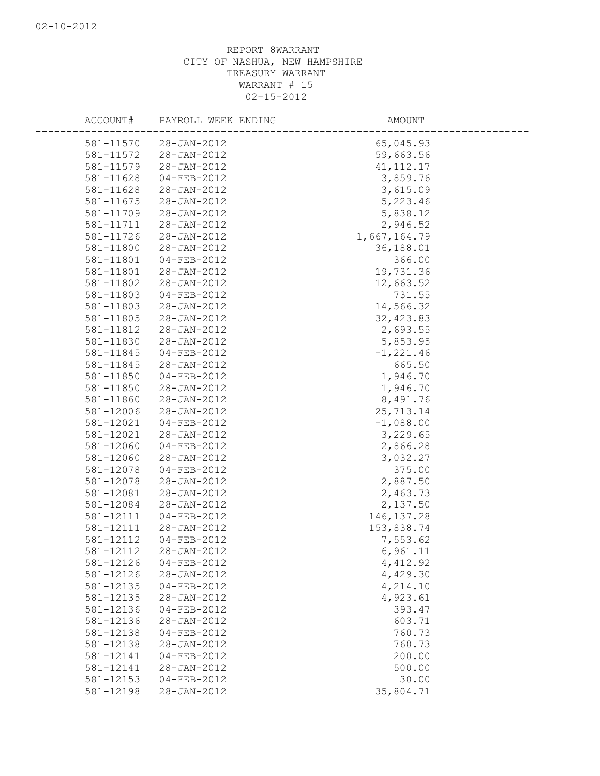|           | ACCOUNT# PAYROLL WEEK ENDING     | AMOUNT           |  |
|-----------|----------------------------------|------------------|--|
| 581-11570 | 28-JAN-2012                      | 65,045.93        |  |
| 581-11572 | 28-JAN-2012                      | 59,663.56        |  |
| 581-11579 | 28-JAN-2012                      | 41, 112.17       |  |
| 581-11628 | 04-FEB-2012                      | 3,859.76         |  |
| 581-11628 | 28-JAN-2012                      | 3,615.09         |  |
| 581-11675 | 28-JAN-2012                      | 5,223.46         |  |
| 581-11709 | 28-JAN-2012                      | 5,838.12         |  |
| 581-11711 | 28-JAN-2012                      | 2,946.52         |  |
| 581-11726 | 28-JAN-2012                      | 1,667,164.79     |  |
| 581-11800 | 28-JAN-2012                      | 36,188.01        |  |
| 581-11801 | 04-FEB-2012                      | 366.00           |  |
| 581-11801 | 28-JAN-2012                      | 19,731.36        |  |
| 581-11802 | 28-JAN-2012                      | 12,663.52        |  |
| 581-11803 | 04-FEB-2012                      | 731.55           |  |
| 581-11803 | 28-JAN-2012                      | 14,566.32        |  |
| 581-11805 | 28-JAN-2012                      | 32, 423.83       |  |
| 581-11812 | 28-JAN-2012                      | 2,693.55         |  |
| 581-11830 | 28-JAN-2012                      | 5,853.95         |  |
| 581-11845 | 04-FEB-2012                      | $-1, 221.46$     |  |
| 581-11845 | 28-JAN-2012                      | 665.50           |  |
| 581-11850 | 04-FEB-2012                      | 1,946.70         |  |
| 581-11850 | 28-JAN-2012                      | 1,946.70         |  |
| 581-11860 | 28-JAN-2012                      | 8,491.76         |  |
| 581-12006 | 28-JAN-2012                      | 25,713.14        |  |
| 581-12021 | 04-FEB-2012                      | $-1,088.00$      |  |
| 581-12021 | 28-JAN-2012                      | 3,229.65         |  |
| 581-12060 | 04-FEB-2012                      | 2,866.28         |  |
| 581-12060 | 28-JAN-2012                      | 3,032.27         |  |
| 581-12078 | 04-FEB-2012                      | 375.00           |  |
| 581-12078 | 28-JAN-2012                      | 2,887.50         |  |
| 581-12081 | 28-JAN-2012                      | 2,463.73         |  |
| 581-12084 | 28-JAN-2012                      | 2,137.50         |  |
| 581-12111 | 04-FEB-2012                      | 146, 137.28      |  |
| 581-12111 | 28-JAN-2012                      | 153,838.74       |  |
| 581-12112 | 04-FEB-2012                      | 7,553.62         |  |
| 581-12112 | 28-JAN-2012                      | 6,961.11         |  |
| 581-12126 | $04 - FEB - 2012$                | 4, 412.92        |  |
| 581-12126 | 28-JAN-2012                      | 4,429.30         |  |
| 581-12135 | $04 - FEB - 2012$                | 4,214.10         |  |
| 581-12135 | 28-JAN-2012                      | 4,923.61         |  |
| 581-12136 | $04 - FEB - 2012$                | 393.47           |  |
| 581-12136 | 28-JAN-2012                      | 603.71           |  |
| 581-12138 | 04-FEB-2012                      | 760.73           |  |
| 581-12138 | 28-JAN-2012                      | 760.73           |  |
| 581-12141 | $04 - FEB - 2012$                | 200.00<br>500.00 |  |
| 581-12141 | 28-JAN-2012<br>$04 - FEB - 2012$ |                  |  |
| 581-12153 |                                  | 30.00            |  |
| 581-12198 | 28-JAN-2012                      | 35,804.71        |  |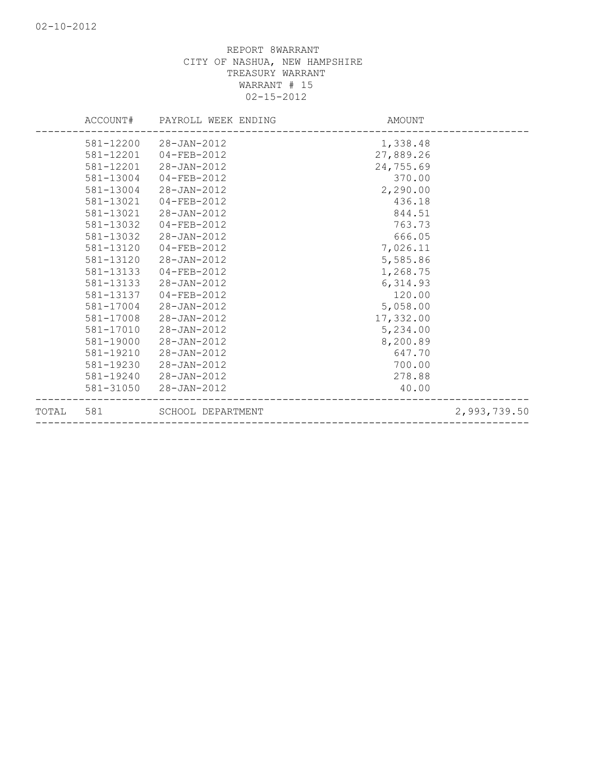|       |           | ACCOUNT# PAYROLL WEEK ENDING | AMOUNT    |              |
|-------|-----------|------------------------------|-----------|--------------|
|       | 581-12200 | 28-JAN-2012                  | 1,338.48  |              |
|       |           | 581-12201  04-FEB-2012       | 27,889.26 |              |
|       | 581-12201 | 28-JAN-2012                  | 24,755.69 |              |
|       | 581-13004 | 04-FEB-2012                  | 370.00    |              |
|       | 581-13004 | 28-JAN-2012                  | 2,290.00  |              |
|       | 581-13021 | 04-FEB-2012                  | 436.18    |              |
|       | 581-13021 | 28-JAN-2012                  | 844.51    |              |
|       | 581-13032 | $04 - FEB - 2012$            | 763.73    |              |
|       | 581-13032 | 28-JAN-2012                  | 666.05    |              |
|       | 581-13120 | 04-FEB-2012                  | 7,026.11  |              |
|       | 581-13120 | 28-JAN-2012                  | 5,585.86  |              |
|       | 581-13133 | 04-FEB-2012                  | 1,268.75  |              |
|       | 581-13133 | 28-JAN-2012                  | 6,314.93  |              |
|       | 581-13137 | 04-FEB-2012                  | 120.00    |              |
|       | 581-17004 | 28-JAN-2012                  | 5,058.00  |              |
|       | 581-17008 | 28-JAN-2012                  | 17,332.00 |              |
|       | 581-17010 | 28-JAN-2012                  | 5,234.00  |              |
|       | 581-19000 | 28-JAN-2012                  | 8,200.89  |              |
|       | 581-19210 | 28-JAN-2012                  | 647.70    |              |
|       | 581-19230 | 28-JAN-2012                  | 700.00    |              |
|       | 581-19240 | 28-JAN-2012                  | 278.88    |              |
|       | 581-31050 | 28-JAN-2012                  | 40.00     |              |
| TOTAL | 581       | SCHOOL DEPARTMENT            |           | 2,993,739.50 |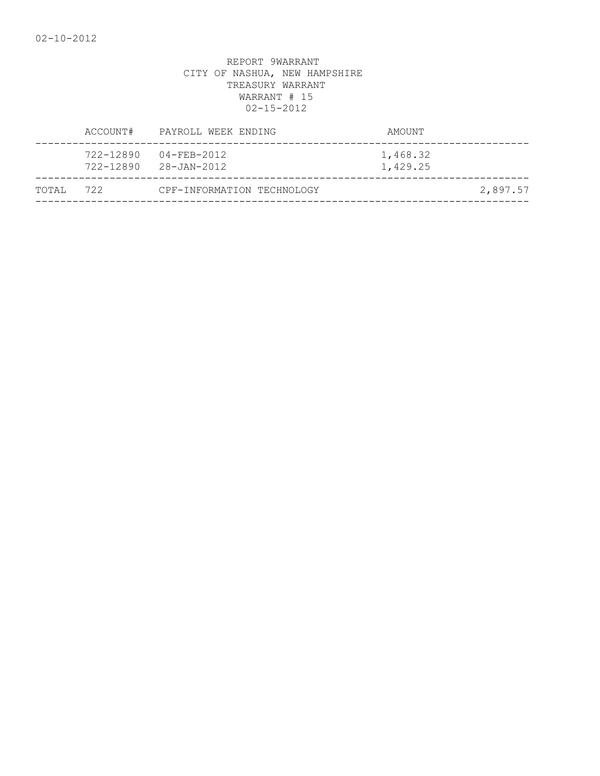|        | ACCOUNT#  | PAYROLL WEEK ENDING                            | AMOUNT               |          |
|--------|-----------|------------------------------------------------|----------------------|----------|
|        | 722-12890 | 04-FEB-2012<br>$722 - 12890$ $28 - JAN - 2012$ | 1,468.32<br>1,429.25 |          |
| TOTAI, | 722       | CPF-INFORMATION TECHNOLOGY                     |                      | 2,897.57 |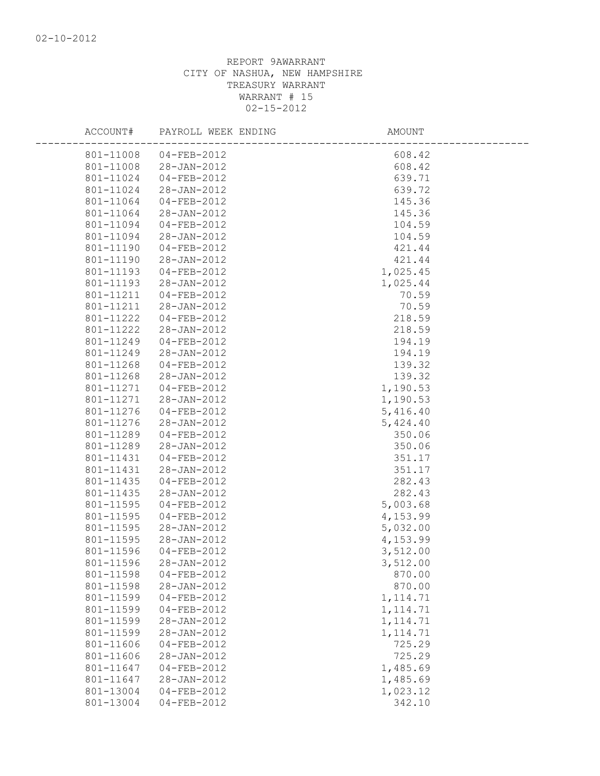| ACCOUNT#  | PAYROLL WEEK ENDING | AMOUNT    |
|-----------|---------------------|-----------|
| 801-11008 | $04 - FEB - 2012$   | 608.42    |
| 801-11008 | 28-JAN-2012         | 608.42    |
| 801-11024 | 04-FEB-2012         | 639.71    |
| 801-11024 | 28-JAN-2012         | 639.72    |
| 801-11064 | 04-FEB-2012         | 145.36    |
| 801-11064 | 28-JAN-2012         | 145.36    |
| 801-11094 | 04-FEB-2012         | 104.59    |
| 801-11094 | 28-JAN-2012         | 104.59    |
| 801-11190 | 04-FEB-2012         | 421.44    |
| 801-11190 | 28-JAN-2012         | 421.44    |
| 801-11193 | 04-FEB-2012         | 1,025.45  |
| 801-11193 | 28-JAN-2012         | 1,025.44  |
| 801-11211 | $04 - FEB - 2012$   | 70.59     |
| 801-11211 | 28-JAN-2012         | 70.59     |
| 801-11222 | 04-FEB-2012         | 218.59    |
| 801-11222 | 28-JAN-2012         | 218.59    |
| 801-11249 | 04-FEB-2012         | 194.19    |
| 801-11249 | 28-JAN-2012         | 194.19    |
| 801-11268 | 04-FEB-2012         | 139.32    |
| 801-11268 | 28-JAN-2012         | 139.32    |
| 801-11271 | $04 - FEB - 2012$   | 1,190.53  |
| 801-11271 | 28-JAN-2012         | 1,190.53  |
| 801-11276 | 04-FEB-2012         | 5,416.40  |
| 801-11276 | 28-JAN-2012         | 5,424.40  |
| 801-11289 | 04-FEB-2012         | 350.06    |
| 801-11289 | 28-JAN-2012         | 350.06    |
| 801-11431 | $04 - FEB - 2012$   | 351.17    |
| 801-11431 | 28-JAN-2012         | 351.17    |
| 801-11435 | 04-FEB-2012         | 282.43    |
| 801-11435 | 28-JAN-2012         | 282.43    |
| 801-11595 | 04-FEB-2012         | 5,003.68  |
| 801-11595 | 04-FEB-2012         | 4,153.99  |
| 801-11595 | 28-JAN-2012         | 5,032.00  |
| 801-11595 | 28-JAN-2012         | 4,153.99  |
| 801-11596 | $04 - FEB - 2012$   | 3,512.00  |
| 801-11596 | $28 - JAN - 2012$   | 3,512.00  |
| 801-11598 | $04 - FEB - 2012$   | 870.00    |
| 801-11598 | 28-JAN-2012         | 870.00    |
| 801-11599 | $04 - FEB - 2012$   | 1, 114.71 |
| 801-11599 | 04-FEB-2012         | 1, 114.71 |
| 801-11599 | 28-JAN-2012         | 1, 114.71 |
| 801-11599 | 28-JAN-2012         | 1, 114.71 |
| 801-11606 | 04-FEB-2012         | 725.29    |
| 801-11606 | 28-JAN-2012         | 725.29    |
| 801-11647 | $04 - FEB - 2012$   | 1,485.69  |
| 801-11647 | 28-JAN-2012         | 1,485.69  |
| 801-13004 | 04-FEB-2012         | 1,023.12  |
| 801-13004 | $04 - FEB - 2012$   | 342.10    |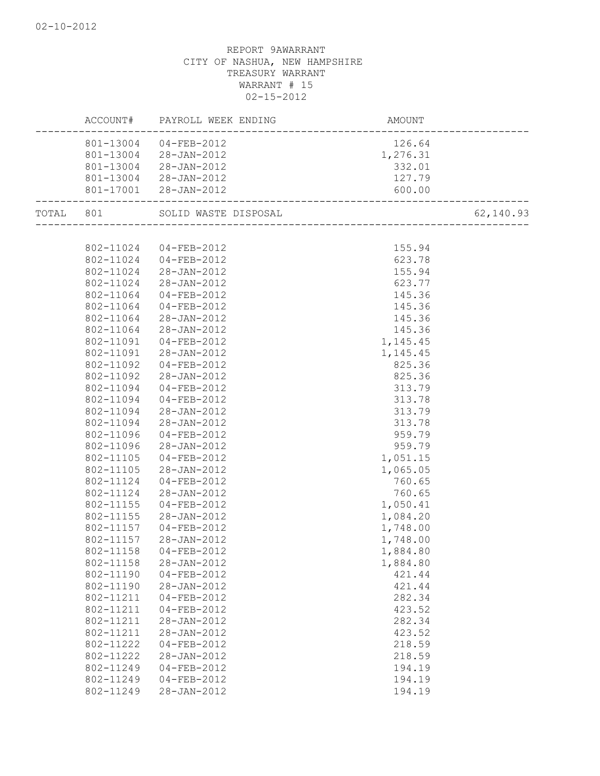|           |           | ACCOUNT# PAYROLL WEEK ENDING | AMOUNT   |           |
|-----------|-----------|------------------------------|----------|-----------|
|           |           | 801-13004 04-FEB-2012        | 126.64   |           |
|           | 801-13004 | 28-JAN-2012                  | 1,276.31 |           |
|           | 801-13004 | 28-JAN-2012                  | 332.01   |           |
|           |           | 801-13004 28-JAN-2012        | 127.79   |           |
|           |           | 801-17001 28-JAN-2012        | 600.00   |           |
| TOTAL 801 |           | SOLID WASTE DISPOSAL         |          | 62,140.93 |
|           |           |                              |          |           |
|           |           | 802-11024 04-FEB-2012        | 155.94   |           |
|           |           | 802-11024 04-FEB-2012        | 623.78   |           |
|           | 802-11024 | 28-JAN-2012                  | 155.94   |           |
|           | 802-11024 | 28-JAN-2012                  | 623.77   |           |
|           | 802-11064 | 04-FEB-2012                  | 145.36   |           |
|           | 802-11064 | $04 - FEB - 2012$            | 145.36   |           |
|           | 802-11064 | 28-JAN-2012                  | 145.36   |           |
|           | 802-11064 | 28-JAN-2012                  | 145.36   |           |
|           | 802-11091 | $04 - FEB - 2012$            | 1,145.45 |           |
|           |           | 802-11091 28-JAN-2012        | 1,145.45 |           |
|           | 802-11092 | $04 - FEB - 2012$            | 825.36   |           |
|           | 802-11092 | 28-JAN-2012                  | 825.36   |           |
|           | 802-11094 | $04 - FEB - 2012$            | 313.79   |           |
|           | 802-11094 | $04 - FEB - 2012$            | 313.78   |           |
|           | 802-11094 | 28-JAN-2012                  | 313.79   |           |
|           | 802-11094 | 28-JAN-2012                  | 313.78   |           |
|           | 802-11096 | 04-FEB-2012                  | 959.79   |           |
|           | 802-11096 | 28-JAN-2012                  | 959.79   |           |
|           | 802-11105 | 04-FEB-2012                  | 1,051.15 |           |
|           | 802-11105 | 28-JAN-2012                  | 1,065.05 |           |
|           | 802-11124 | 04-FEB-2012                  | 760.65   |           |
|           | 802-11124 | 28-JAN-2012                  | 760.65   |           |
|           | 802-11155 | 04-FEB-2012                  | 1,050.41 |           |
|           | 802-11155 | 28-JAN-2012                  | 1,084.20 |           |
|           | 802-11157 | 04-FEB-2012                  | 1,748.00 |           |
|           | 802-11157 | 28-JAN-2012                  | 1,748.00 |           |
|           | 802-11158 | $04 - FEB - 2012$            | 1,884.80 |           |
|           | 802-11158 | $28 - JAN - 2012$            | 1,884.80 |           |
|           | 802-11190 | $04 - FEB - 2012$            | 421.44   |           |
|           | 802-11190 | $28 - JAN - 2012$            | 421.44   |           |
|           | 802-11211 | $04 - FEB - 2012$            | 282.34   |           |
|           | 802-11211 | $04 - FEB - 2012$            | 423.52   |           |
|           | 802-11211 | $28 - JAN - 2012$            | 282.34   |           |
|           | 802-11211 | 28-JAN-2012                  | 423.52   |           |
|           | 802-11222 | $04 - FEB - 2012$            | 218.59   |           |
|           | 802-11222 | 28-JAN-2012                  | 218.59   |           |
|           | 802-11249 | $04 - FEB - 2012$            | 194.19   |           |
|           | 802-11249 | $04 - FEB - 2012$            | 194.19   |           |
|           | 802-11249 | $28 - JAN - 2012$            | 194.19   |           |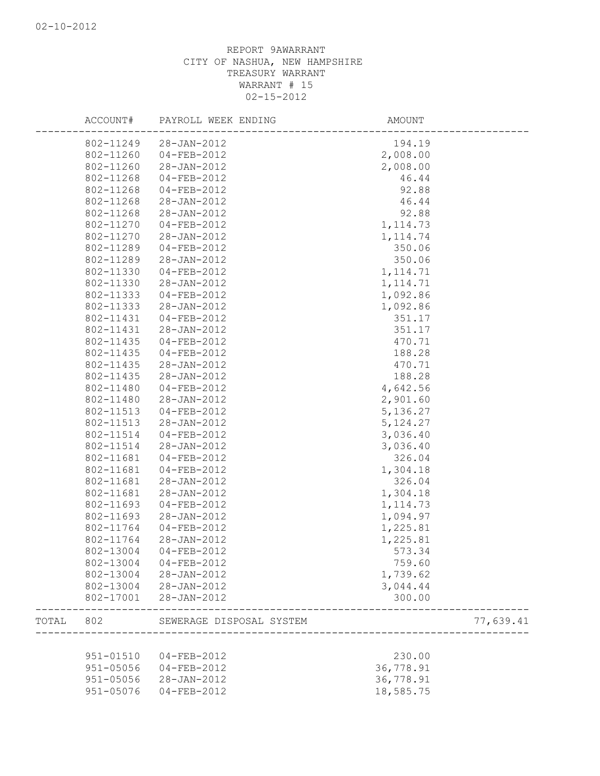|       | ACCOUNT#  | PAYROLL WEEK ENDING      | AMOUNT                          |           |
|-------|-----------|--------------------------|---------------------------------|-----------|
|       | 802-11249 | 28-JAN-2012              | 194.19                          |           |
|       | 802-11260 | 04-FEB-2012              | 2,008.00                        |           |
|       | 802-11260 | 28-JAN-2012              | 2,008.00                        |           |
|       | 802-11268 | 04-FEB-2012              | 46.44                           |           |
|       | 802-11268 | $04 - FEB - 2012$        | 92.88                           |           |
|       | 802-11268 | 28-JAN-2012              | 46.44                           |           |
|       | 802-11268 | 28-JAN-2012              | 92.88                           |           |
|       | 802-11270 | 04-FEB-2012              | 1, 114.73                       |           |
|       | 802-11270 | 28-JAN-2012              | 1, 114.74                       |           |
|       | 802-11289 | 04-FEB-2012              | 350.06                          |           |
|       | 802-11289 | 28-JAN-2012              | 350.06                          |           |
|       | 802-11330 | 04-FEB-2012              | 1, 114.71                       |           |
|       | 802-11330 | 28-JAN-2012              | 1, 114.71                       |           |
|       | 802-11333 | 04-FEB-2012              | 1,092.86                        |           |
|       | 802-11333 | 28-JAN-2012              | 1,092.86                        |           |
|       | 802-11431 | 04-FEB-2012              | 351.17                          |           |
|       | 802-11431 | 28-JAN-2012              | 351.17                          |           |
|       | 802-11435 | 04-FEB-2012              | 470.71                          |           |
|       | 802-11435 | 04-FEB-2012              | 188.28                          |           |
|       | 802-11435 | 28-JAN-2012              | 470.71                          |           |
|       | 802-11435 | 28-JAN-2012              | 188.28                          |           |
|       | 802-11480 | 04-FEB-2012              | 4,642.56                        |           |
|       | 802-11480 | 28-JAN-2012              | 2,901.60                        |           |
|       | 802-11513 | 04-FEB-2012              | 5, 136.27                       |           |
|       | 802-11513 | 28-JAN-2012              | 5, 124.27                       |           |
|       | 802-11514 | 04-FEB-2012              | 3,036.40                        |           |
|       | 802-11514 | 28-JAN-2012              | 3,036.40                        |           |
|       | 802-11681 | 04-FEB-2012              | 326.04                          |           |
|       | 802-11681 | 04-FEB-2012              | 1,304.18                        |           |
|       | 802-11681 | 28-JAN-2012              | 326.04                          |           |
|       | 802-11681 | 28-JAN-2012              | 1,304.18                        |           |
|       | 802-11693 | 04-FEB-2012              | 1, 114.73                       |           |
|       | 802-11693 | 28-JAN-2012              | 1,094.97                        |           |
|       | 802-11764 | 04-FEB-2012              | 1,225.81                        |           |
|       | 802-11764 | 28-JAN-2012              | 1,225.81                        |           |
|       | 802-13004 | $04 - FEB - 2012$        | 573.34                          |           |
|       |           | 802-13004 04-FEB-2012    | 759.60                          |           |
|       |           | 802-13004 28-JAN-2012    | 1,739.62                        |           |
|       |           | 802-13004 28-JAN-2012    | 3,044.44                        |           |
|       |           | 802-17001 28-JAN-2012    | 300.00                          |           |
|       |           |                          |                                 |           |
| TOTAL | 802       | SEWERAGE DISPOSAL SYSTEM | _______________________________ | 77,639.41 |
|       | 951-01510 | 04-FEB-2012              | 230.00                          |           |
|       | 951-05056 | 04-FEB-2012              | 36,778.91                       |           |
|       | 951-05056 | 28-JAN-2012              | 36,778.91                       |           |
|       | 951-05076 | $04 - FEB - 2012$        | 18,585.75                       |           |
|       |           |                          |                                 |           |